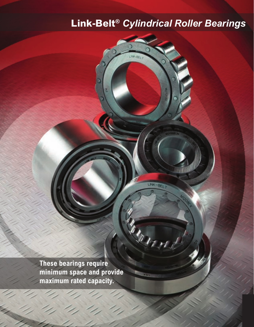# **Link-Belt®** *Cylindrical Roller Bearings*

**These bearings require minimum space and provide maximum rated capacity.**

*Link-Belt® Cylindrical Roller Bearings Features & Benefits - 1*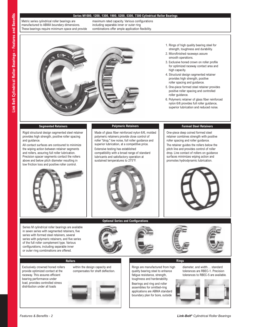# **Series M1000, 1200, 1300, 1900, 5200, 5300, 7300 Cylindrical Roller Bearings**

Metric series cylindrical roller bearings are manufactured to ABMA boundary dimensions. These bearings require minimum space and provide maximum rated capacity. Various configurations including separable inner or outer ring combinations offer ample application flexibility.



- 1. Rings of high quality bearing steel for strength, toughness and durability.
- 2. Microfinished raceways assure smooth operations.
- 3. Exclusive honed crown on roller profile for optimized raceway contact area and high capacity.
- 4. Structural design segmented retainer provides high strength, positive roller spacing and guidance.
- 5. One-piece formed steel retainer provides positive roller spacing and controlled roller guidance.
- 6. Polymeric retainer of glass fiber reinforced nylon 6/6 provides full roller guidance, superior lubrication and reduced noise.

# **Segmented Retainers**

Rigid structural design segmented steel retainer provides high strength, positive roller spacing and guidance.

All contact surfaces are contoured to minimize the wiping action between retainer segments and rollers, assuring full roller lubrication. Precision spacer segments contact the rollers above and below pitch diameter resulting in low friction loss and positive roller control.



Series M cylindrical roller bearings are available in seven series with segmented retainers, five series with formed steel retainers, several series with polymeric retainers, and five series of the full roller complement type. Various configurations, including separable inner or outer ring combinations are offered.

# **Polymeric Retainers**

Made of glass fiber reinforced nylon 6/6, molded polymeric retainers provide close control of roller "drop," low noise, full roller guidance and superior lubrication, at a competitive price.

Extensive testing has established compatibility with a broad range of standard lubricants and satisfactory operation at sustained temperatures to 275°F.



**Optional Series and Configurations**

# **Formed Steel Retainers**

One-piece deep coined formed steel retainer combines strength with positive roller spacing and roller guidance.

The retainer guides the rollers below the pitch line and provides control of roller drop. Line contact of rollers on guidance surfaces minimizes wiping action and promotes hydrodynamic lubrication.



# **Rollers Rings**

Exclusively crowned honed rollers provide optimized contact at the raceway. This assures efficient bearing performance under load, provides controlled stress distribution under all loads



within the design capacity and compensates for shaft deflection.

Rings are manufactured from high quality bearing steel to enhance fatigue resistance, strength, toughness and hardenability. Bearings and ring and roller assemblies for omitted-ring applications are ABMA standard boundary plan for bore, outside

diameter, and width… standard tolerances are RBEC-1. Precision tolerances to RBEC-5 are available.

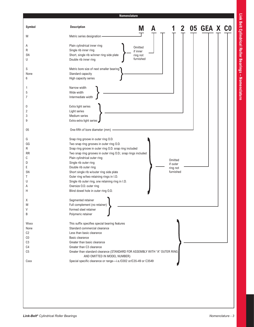# **Symbol Description** M Metric series designation A Plain cylindrical inner ring R Single rib inner ring SN Short, single rib w/inner ring side plate U Double rib inner ring S Metric bore size of next smaller bearing None Standard capacity 6 High capacity series 1 **Narrow width** 5 Wide width 7 Intermediate width 0 Extra light series 2 Light series 3 Medium series 9 Extra extra light series 05 One-fifth of bore diameter (mm) -G Snap ring groove in outer ring O.D. GG Two snap ring grooves in outer ring O.D. R Snap ring groove in outer ring O.D. snap ring included RR Two snap ring grooves in outer ring O.D.; snap rings included C Plain cylindrical outer ring D Single rib outer ring E Double rib outer ring SN Short single rib w/outer ring side plate T Outer ring w/two retaining rings in I.D. U Single rib outer ring, one retaining ring in I.D. A Oversize O.D. outer ring H Blind dowel hole in outer ring O.D. X Segmented retainer M Full complement (no retainer) V Formed steel retainer B Polymeric retainer Wxxx This suffix specifies special bearing features None Standard commercial clearance C2 Less than basic clearance C0 Basic clearance C3 Greater than basic clearance C4 Greater than C3 clearance C5 Greater than standard clearance (STANDARD FOR ASSEMBLY WITH "A" OUTER RING AND OMITTED IN MODEL NUMBER) Cxxx Special specific clearance or range-i.e./C002 or/C35-49 or C3549 Omitted if outer ring not furnished Omitted if inner ring not furnished **Nomenclature M A 1 2 05 GEA X C0**

Link Belt Cylindrical Roller Bearings - Nomenclature **Link Belt Cylindrical Roller Bearings – Nomenclature**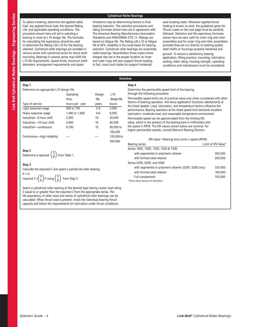# **Cylindrical Roller Bearings**

To select a bearing, determine the applied radial load, any applied thrust load, the desired Rating Life, and applicable operating conditions. The procedure shown here will aid in selecting a bearing to meet an L10 design life. The formulas for calculating life expectancy should be used to determine the Rating Life L10 for the bearing selected. Cylindrical roller bearings are available in various series with cylindrical bores for direct shaft mounting. Bearings in several series may fulfill the L10 life requirements. Speed limits, minimum shaft diameters, arrangement requirements and space

limitations may be determining factors in final bearing selection. The selection procedures and rating formulas shown here are in agreement with The American Bearing Manufacturers Association Standards and ANSI/ABMA STD 11. Ratings are based on fatigue life. The Rating Life L10 or fatigue life at 90% reliability is the usual basis for bearing selection. Cylindrical roller bearings are essentially radial bearings. Nevertheless those styles where integral ribs are in the proper location on inner and outer rings will also support thrust loading. In fact, most such styles do support incidental,

axial locating loads. Whenever applied thrust loading is known to exist, the guidelines given for Thrust Loads on the next page must be carefully followed. Selection and life expectancy formulas shown here are also valid for inner ring and roller assemblies and for outer ring and roller assemblies provided they are run directly on bearing quality steel shafts or housings properly hardened and

ground. To assure a satisfactory bearing application, fitting practice, mounting, lubrication, sealing, static rating, housing strength, operating conditions and maintenance must be considered.

**Step 1** 

Determine an appropriate L10 design life.

|                             | Operating         | Design  | L <sub>10</sub> |
|-----------------------------|-------------------|---------|-----------------|
|                             | time,             | life,   | design life,    |
| Type of service             | hours per<br>year | years   | hours           |
| Light seasonal usage        | 500 to 750        | $3-5$   | 3,000           |
| Heavy seasonal usage        | 1,400 to 1,600    | $4 - 6$ | 8,000           |
| Industrial-8 hour shift     | 2,000             | 10      | 20,000          |
| Industrial-16 hour shift    | 4,000             | 10      | 40.000          |
| Industrial-continuous       | 8,700             | 10      | 80,000 to       |
|                             |                   |         | 100,000         |
| Continuous-high reliability |                   |         | 120,000 to      |
|                             |                   |         | 300.000         |

# **Step 2**

**Determine a required**  $\left(\frac{C}{P}\right)$  from Table 1.

#### **Step 3**

Calculate the required C and select a cylindrical roller bearing.

P = Fr  
required C = 
$$
\left(\frac{C}{P}\right)P
$$
 using  $\left(\frac{C}{P}\right)$  from Step 2.

Select a cylindrical roller bearing of the desired type having a basic load rating C equal to or greater than the required C from the appropriate series. The life expectancy of other sizes and series of cylindrical roller bearings can be calculated. When thrust load is present, check the individual bearing thrust capacity and follow the requirements for lubrication under thrust conditions.

**Selection Step 4**

> Determine the permissible speed limit of the bearing through the following procedure:

Permissible speed limits are of practical value only when considered with other factors of bearing operation. Not every application functions satisfactorily at the listed speeds. Load, lubrication, and temperature factors influence the performance. Bearing operation at the listed speed limit demands excellent lubrication, moderate load, and reasonable temperature environment. Permissible speed can be approximated from the limiting DN value, which is the product of the bearing bore in millimeters and the speed in RPM. The DN values shown below are nominal. For higher permissible speeds, consult Rexnord Bearing Division.

DN value = Bearing bore (mm) x speed (RPM)

| Bearing series                                         | Limit of DN Value* |
|--------------------------------------------------------|--------------------|
| Series 1900, 1000, 1200, 1300 & 7300                   |                    |
| with segmented or polymeric retainer                   | 450,000            |
| with formed steel retainer                             | 250,000            |
| Series 5200, 6200, and 5300                            |                    |
| with segmented or polymeric retainer (5200, 5300 only) | 330,000            |
| with formed steel retainer                             | 180,000            |
| Full complement                                        | 150.000            |
| *These values assume oil lubrication                   |                    |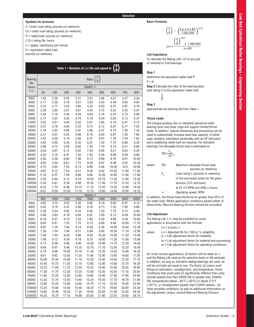# **Selection**

# **Symbols for formulas:**

C = basic load rating, pounds (or newtons) Co = static load rating, pounds (or newtons) Fr = radial load, pounds (or newtons)  $L10$  = rating life, hours n = speed, revolutions per minute P = equivalent radial load, pounds (or newtons)

| $\binom{C}{P}$<br>Ratio<br><b>Bearing</b><br>life<br>Speed, n<br>hours<br>$L_{10}$<br>100<br>400<br>500<br>600<br>50<br>200<br>300<br>700<br>800<br>2.38<br>1.93<br>2.93<br>3.31<br>3.61<br>3.86<br>4.27<br>4.44<br>4.07<br>3000<br>3.61<br>3.93<br>4.84<br>4000<br>2.11<br>2.59<br>3.19<br>4.20<br>4.44<br>4.65<br>5000<br>2.25<br>2.77<br>3.42<br>3.86<br>4.20<br>4.50<br>4.75<br>4.97<br>5.18<br>4.44<br>6000<br>2.38<br>2.93<br>3.61<br>4.07<br>4.75<br>5.02<br>5.25<br>5.47<br>4.84<br>8000<br>2.59<br>3.19<br>3.93<br>4.44<br>5.18<br>5.47<br>5.73<br>5.96<br>10000<br>2.77<br>3.42<br>4.20<br>4.75<br>5.18<br>5.54<br>5.85<br>6.12<br>6.37<br>2.93<br>12000<br>3.61<br>4.44<br>5.02<br>5.47<br>5.85<br>6.18<br>6.47<br>6.73<br>5.25<br>7.05<br>14000<br>3.07<br>3.78<br>4.65<br>5.73<br>6.12<br>6.47<br>6.77<br>7.34<br>16000<br>3.19<br>3.93<br>4.84<br>5.47<br>5.96<br>6.37<br>6.73<br>7.05<br>18000<br>3.31<br>4.07<br>5.02<br>5.66<br>6.18<br>6.60<br>6.97<br>7.30<br>7.60<br>20000<br>3.42<br>4.20<br>5.18<br>5.85<br>6.37<br>6.81<br>7.20<br>7.54<br>7.85<br>25000<br>3.65<br>4.50<br>5.54<br>6.25<br>6.81<br>7.29<br>7.70<br>8.06<br>8.39<br>7.20<br>30000<br>3.86<br>4.75<br>5.85<br>6.60<br>7.70<br>8.13<br>8.51<br>8.86<br>4.04<br>7.54<br>35000<br>4.97<br>6.12<br>6.92<br>8.06<br>8.51<br>8.92<br>9.28<br>7.20<br>40000<br>4.20<br>5.18<br>6.37<br>7.85<br>8.39<br>8.86<br>9.28<br>9.66<br>45000<br>4.36<br>5.36<br>6.60<br>7.46<br>8.13<br>8.69<br>9.18<br>9.61<br>10.00<br>50000<br>4.50<br>5.54<br>6.81<br>7.70<br>8.39<br>8.97<br>9.48<br>9.92<br>10.30<br>60000<br>4.75<br>5.85<br>7.20<br>8.13<br>8.86<br>9.48<br>10.00<br>10.5<br>10.90<br>9.92<br>70000<br>4.97<br>6.12<br>7.54<br>8.51<br>9.28<br>10.50<br>11.00<br>11.40<br>9.66<br>80000<br>5.18<br>6.37<br>7.85<br>8.86<br>10.30<br>10.90<br>11.40<br>11.90<br>90000<br>5.36<br>6.60<br>8.13<br>9.18<br>10.00<br>10.70<br>11.30<br>11.80<br>12.30<br>5.54<br>6.81<br>8.39<br>9.48<br>10.30<br>11.00<br>11.70<br>12.20<br>12.70<br>100000<br>150000<br>6.25<br>7.70<br>9.48<br>10.70<br>11.70<br>12.50<br>13.20<br>13.80<br>14.40<br>6.81<br>8.39<br>10.30<br>11.70<br>12.70<br>13.60<br>14.40<br>15.00<br>200000<br>15.70<br>Speed, n<br>1200<br>1500<br>2400<br>900<br>1000<br>1800<br>3000<br>3600<br>6000<br>3000<br>6.18<br>4.60<br>5.02<br>5.36<br>5.66<br>6.60<br>8.13<br>4.75<br>6.97<br>4000<br>5.02<br>5.18<br>5.47<br>5.85<br>6.18<br>6.73<br>7.20<br>7.60<br>8.86<br>7.70<br>5000<br>5.36<br>5.54<br>5.85<br>6.25<br>6.60<br>7.20<br>8.13<br>9.48<br>6000<br>5.66<br>5.85<br>6.18<br>6.60<br>6.97<br>7.60<br>8.13<br>8.59<br>10.00<br>7.20<br>8000<br>6.18<br>6.37<br>6.73<br>7.60<br>8.29<br>8.86<br>9.36<br>10.90<br>6.60<br>7.20<br>7.70<br>8.13<br>10000<br>6.81<br>8.86<br>9.48<br>10.00<br>11.70<br>12000<br>6.97<br>7.20<br>7.60<br>8.13<br>8.59<br>9.36<br>10.00<br>10.60<br>12.30<br>14000<br>7.30<br>7.54<br>7.96<br>8.51<br>8.99<br>9.80<br>10.50<br>11.10<br>12.90<br>7.60<br>16000<br>7.85<br>8.29<br>8.86<br>9.36<br>10.20<br>10.90<br>11.50<br>13.40<br>18000<br>7.88<br>8.13<br>8.59<br>9.18<br>9.70<br>10.60<br>11.30<br>11.90<br>13.90<br>8.13<br>8.86<br>20000<br>8.39<br>9.48<br>10.00<br>10.90<br>11.70<br>12.30<br>14.40<br>25000<br>8.69<br>9.48<br>10.10<br>10.70<br>11.70<br>12.50<br>13.20<br>15.40<br>8.97<br>9.18<br>10.70<br>30000<br>9.48<br>10.00<br>11.30<br>12.30<br>13.20<br>13.90<br>16.20<br>35000<br>9.61<br>9.92<br>10.50<br>11.20<br>11.80<br>12.90<br>13.80<br>14.60<br>17.00<br>11.70<br>13.40<br>40000<br>10.00<br>10.30<br>10.90<br>12.30<br>14.40<br>15.20<br>17.70<br>45000<br>10.40<br>10.70<br>11.30<br>12.10<br>12.80<br>13.90<br>14.90<br>15.70<br>18.30<br>50000<br>10.70<br>11.00<br>11.70<br>12.50<br>13.20<br>14.40<br>15.40<br>16.20<br>18.90<br>60000<br>11.30<br>11.70<br>12.30<br>13.20<br>13.90<br>15.20<br>16.20<br>17.10<br>20.00<br>70000<br>11.80<br>12.20<br>12.90<br>13.80<br>14.60<br>15.90<br>17.00<br>17.90<br>20.90<br>12.30<br>80000<br>12.70<br>13.40<br>14.40<br>15.20<br>16.50<br>17.70<br>18.70<br>21.80<br>12.80<br>90000<br>13.20<br>13.90<br>14.90<br>15.70<br>17.10<br>18.30<br>19.40<br>22.60<br>13.20<br>100000<br>13.60<br>14.40<br>15.40<br>16.20<br>17.70<br>18.90<br>20.00<br>23.30<br>150000<br>14.90<br>15.40<br>16.20<br>17.30<br>18.30<br>20.00<br>21.40<br>22.60<br>26.30<br>200000<br>16.20<br>17.70<br>18.90<br>20.00<br>21.80<br>23.30<br>24.60<br>28.70<br>16.70 |  |  | Table 1 . Relation of L10 life and speed to |  |  |
|--------------------------------------------------------------------------------------------------------------------------------------------------------------------------------------------------------------------------------------------------------------------------------------------------------------------------------------------------------------------------------------------------------------------------------------------------------------------------------------------------------------------------------------------------------------------------------------------------------------------------------------------------------------------------------------------------------------------------------------------------------------------------------------------------------------------------------------------------------------------------------------------------------------------------------------------------------------------------------------------------------------------------------------------------------------------------------------------------------------------------------------------------------------------------------------------------------------------------------------------------------------------------------------------------------------------------------------------------------------------------------------------------------------------------------------------------------------------------------------------------------------------------------------------------------------------------------------------------------------------------------------------------------------------------------------------------------------------------------------------------------------------------------------------------------------------------------------------------------------------------------------------------------------------------------------------------------------------------------------------------------------------------------------------------------------------------------------------------------------------------------------------------------------------------------------------------------------------------------------------------------------------------------------------------------------------------------------------------------------------------------------------------------------------------------------------------------------------------------------------------------------------------------------------------------------------------------------------------------------------------------------------------------------------------------------------------------------------------------------------------------------------------------------------------------------------------------------------------------------------------------------------------------------------------------------------------------------------------------------------------------------------------------------------------------------------------------------------------------------------------------------------------------------------------------------------------------------------------------------------------------------------------------------------------------------------------------------------------------------------------------------------------------------------------------------------------------------------------------------------------------------------------------------------------------------------------------------------------------------------------------------------------------------------------------------------------------------------------------------------------------------------------------------------------------------------------------------------------------------------------------------------------------------------------------------------------------------------------------------------------------------------------------------------------------------------------------------------------------------------------------------------------------------------------------------------------------------------------------------------------------------------------------------------------------------------------------------------------------------------------------------------------------------------------------------------------------|--|--|---------------------------------------------|--|--|
|                                                                                                                                                                                                                                                                                                                                                                                                                                                                                                                                                                                                                                                                                                                                                                                                                                                                                                                                                                                                                                                                                                                                                                                                                                                                                                                                                                                                                                                                                                                                                                                                                                                                                                                                                                                                                                                                                                                                                                                                                                                                                                                                                                                                                                                                                                                                                                                                                                                                                                                                                                                                                                                                                                                                                                                                                                                                                                                                                                                                                                                                                                                                                                                                                                                                                                                                                                                                                                                                                                                                                                                                                                                                                                                                                                                                                                                                                                                                                                                                                                                                                                                                                                                                                                                                                                                                                                                                                                                        |  |  |                                             |  |  |
|                                                                                                                                                                                                                                                                                                                                                                                                                                                                                                                                                                                                                                                                                                                                                                                                                                                                                                                                                                                                                                                                                                                                                                                                                                                                                                                                                                                                                                                                                                                                                                                                                                                                                                                                                                                                                                                                                                                                                                                                                                                                                                                                                                                                                                                                                                                                                                                                                                                                                                                                                                                                                                                                                                                                                                                                                                                                                                                                                                                                                                                                                                                                                                                                                                                                                                                                                                                                                                                                                                                                                                                                                                                                                                                                                                                                                                                                                                                                                                                                                                                                                                                                                                                                                                                                                                                                                                                                                                                        |  |  |                                             |  |  |
|                                                                                                                                                                                                                                                                                                                                                                                                                                                                                                                                                                                                                                                                                                                                                                                                                                                                                                                                                                                                                                                                                                                                                                                                                                                                                                                                                                                                                                                                                                                                                                                                                                                                                                                                                                                                                                                                                                                                                                                                                                                                                                                                                                                                                                                                                                                                                                                                                                                                                                                                                                                                                                                                                                                                                                                                                                                                                                                                                                                                                                                                                                                                                                                                                                                                                                                                                                                                                                                                                                                                                                                                                                                                                                                                                                                                                                                                                                                                                                                                                                                                                                                                                                                                                                                                                                                                                                                                                                                        |  |  |                                             |  |  |
|                                                                                                                                                                                                                                                                                                                                                                                                                                                                                                                                                                                                                                                                                                                                                                                                                                                                                                                                                                                                                                                                                                                                                                                                                                                                                                                                                                                                                                                                                                                                                                                                                                                                                                                                                                                                                                                                                                                                                                                                                                                                                                                                                                                                                                                                                                                                                                                                                                                                                                                                                                                                                                                                                                                                                                                                                                                                                                                                                                                                                                                                                                                                                                                                                                                                                                                                                                                                                                                                                                                                                                                                                                                                                                                                                                                                                                                                                                                                                                                                                                                                                                                                                                                                                                                                                                                                                                                                                                                        |  |  |                                             |  |  |
|                                                                                                                                                                                                                                                                                                                                                                                                                                                                                                                                                                                                                                                                                                                                                                                                                                                                                                                                                                                                                                                                                                                                                                                                                                                                                                                                                                                                                                                                                                                                                                                                                                                                                                                                                                                                                                                                                                                                                                                                                                                                                                                                                                                                                                                                                                                                                                                                                                                                                                                                                                                                                                                                                                                                                                                                                                                                                                                                                                                                                                                                                                                                                                                                                                                                                                                                                                                                                                                                                                                                                                                                                                                                                                                                                                                                                                                                                                                                                                                                                                                                                                                                                                                                                                                                                                                                                                                                                                                        |  |  |                                             |  |  |
|                                                                                                                                                                                                                                                                                                                                                                                                                                                                                                                                                                                                                                                                                                                                                                                                                                                                                                                                                                                                                                                                                                                                                                                                                                                                                                                                                                                                                                                                                                                                                                                                                                                                                                                                                                                                                                                                                                                                                                                                                                                                                                                                                                                                                                                                                                                                                                                                                                                                                                                                                                                                                                                                                                                                                                                                                                                                                                                                                                                                                                                                                                                                                                                                                                                                                                                                                                                                                                                                                                                                                                                                                                                                                                                                                                                                                                                                                                                                                                                                                                                                                                                                                                                                                                                                                                                                                                                                                                                        |  |  |                                             |  |  |
|                                                                                                                                                                                                                                                                                                                                                                                                                                                                                                                                                                                                                                                                                                                                                                                                                                                                                                                                                                                                                                                                                                                                                                                                                                                                                                                                                                                                                                                                                                                                                                                                                                                                                                                                                                                                                                                                                                                                                                                                                                                                                                                                                                                                                                                                                                                                                                                                                                                                                                                                                                                                                                                                                                                                                                                                                                                                                                                                                                                                                                                                                                                                                                                                                                                                                                                                                                                                                                                                                                                                                                                                                                                                                                                                                                                                                                                                                                                                                                                                                                                                                                                                                                                                                                                                                                                                                                                                                                                        |  |  |                                             |  |  |
|                                                                                                                                                                                                                                                                                                                                                                                                                                                                                                                                                                                                                                                                                                                                                                                                                                                                                                                                                                                                                                                                                                                                                                                                                                                                                                                                                                                                                                                                                                                                                                                                                                                                                                                                                                                                                                                                                                                                                                                                                                                                                                                                                                                                                                                                                                                                                                                                                                                                                                                                                                                                                                                                                                                                                                                                                                                                                                                                                                                                                                                                                                                                                                                                                                                                                                                                                                                                                                                                                                                                                                                                                                                                                                                                                                                                                                                                                                                                                                                                                                                                                                                                                                                                                                                                                                                                                                                                                                                        |  |  |                                             |  |  |
|                                                                                                                                                                                                                                                                                                                                                                                                                                                                                                                                                                                                                                                                                                                                                                                                                                                                                                                                                                                                                                                                                                                                                                                                                                                                                                                                                                                                                                                                                                                                                                                                                                                                                                                                                                                                                                                                                                                                                                                                                                                                                                                                                                                                                                                                                                                                                                                                                                                                                                                                                                                                                                                                                                                                                                                                                                                                                                                                                                                                                                                                                                                                                                                                                                                                                                                                                                                                                                                                                                                                                                                                                                                                                                                                                                                                                                                                                                                                                                                                                                                                                                                                                                                                                                                                                                                                                                                                                                                        |  |  |                                             |  |  |
|                                                                                                                                                                                                                                                                                                                                                                                                                                                                                                                                                                                                                                                                                                                                                                                                                                                                                                                                                                                                                                                                                                                                                                                                                                                                                                                                                                                                                                                                                                                                                                                                                                                                                                                                                                                                                                                                                                                                                                                                                                                                                                                                                                                                                                                                                                                                                                                                                                                                                                                                                                                                                                                                                                                                                                                                                                                                                                                                                                                                                                                                                                                                                                                                                                                                                                                                                                                                                                                                                                                                                                                                                                                                                                                                                                                                                                                                                                                                                                                                                                                                                                                                                                                                                                                                                                                                                                                                                                                        |  |  |                                             |  |  |
|                                                                                                                                                                                                                                                                                                                                                                                                                                                                                                                                                                                                                                                                                                                                                                                                                                                                                                                                                                                                                                                                                                                                                                                                                                                                                                                                                                                                                                                                                                                                                                                                                                                                                                                                                                                                                                                                                                                                                                                                                                                                                                                                                                                                                                                                                                                                                                                                                                                                                                                                                                                                                                                                                                                                                                                                                                                                                                                                                                                                                                                                                                                                                                                                                                                                                                                                                                                                                                                                                                                                                                                                                                                                                                                                                                                                                                                                                                                                                                                                                                                                                                                                                                                                                                                                                                                                                                                                                                                        |  |  |                                             |  |  |
|                                                                                                                                                                                                                                                                                                                                                                                                                                                                                                                                                                                                                                                                                                                                                                                                                                                                                                                                                                                                                                                                                                                                                                                                                                                                                                                                                                                                                                                                                                                                                                                                                                                                                                                                                                                                                                                                                                                                                                                                                                                                                                                                                                                                                                                                                                                                                                                                                                                                                                                                                                                                                                                                                                                                                                                                                                                                                                                                                                                                                                                                                                                                                                                                                                                                                                                                                                                                                                                                                                                                                                                                                                                                                                                                                                                                                                                                                                                                                                                                                                                                                                                                                                                                                                                                                                                                                                                                                                                        |  |  |                                             |  |  |
|                                                                                                                                                                                                                                                                                                                                                                                                                                                                                                                                                                                                                                                                                                                                                                                                                                                                                                                                                                                                                                                                                                                                                                                                                                                                                                                                                                                                                                                                                                                                                                                                                                                                                                                                                                                                                                                                                                                                                                                                                                                                                                                                                                                                                                                                                                                                                                                                                                                                                                                                                                                                                                                                                                                                                                                                                                                                                                                                                                                                                                                                                                                                                                                                                                                                                                                                                                                                                                                                                                                                                                                                                                                                                                                                                                                                                                                                                                                                                                                                                                                                                                                                                                                                                                                                                                                                                                                                                                                        |  |  |                                             |  |  |
|                                                                                                                                                                                                                                                                                                                                                                                                                                                                                                                                                                                                                                                                                                                                                                                                                                                                                                                                                                                                                                                                                                                                                                                                                                                                                                                                                                                                                                                                                                                                                                                                                                                                                                                                                                                                                                                                                                                                                                                                                                                                                                                                                                                                                                                                                                                                                                                                                                                                                                                                                                                                                                                                                                                                                                                                                                                                                                                                                                                                                                                                                                                                                                                                                                                                                                                                                                                                                                                                                                                                                                                                                                                                                                                                                                                                                                                                                                                                                                                                                                                                                                                                                                                                                                                                                                                                                                                                                                                        |  |  |                                             |  |  |
|                                                                                                                                                                                                                                                                                                                                                                                                                                                                                                                                                                                                                                                                                                                                                                                                                                                                                                                                                                                                                                                                                                                                                                                                                                                                                                                                                                                                                                                                                                                                                                                                                                                                                                                                                                                                                                                                                                                                                                                                                                                                                                                                                                                                                                                                                                                                                                                                                                                                                                                                                                                                                                                                                                                                                                                                                                                                                                                                                                                                                                                                                                                                                                                                                                                                                                                                                                                                                                                                                                                                                                                                                                                                                                                                                                                                                                                                                                                                                                                                                                                                                                                                                                                                                                                                                                                                                                                                                                                        |  |  |                                             |  |  |
|                                                                                                                                                                                                                                                                                                                                                                                                                                                                                                                                                                                                                                                                                                                                                                                                                                                                                                                                                                                                                                                                                                                                                                                                                                                                                                                                                                                                                                                                                                                                                                                                                                                                                                                                                                                                                                                                                                                                                                                                                                                                                                                                                                                                                                                                                                                                                                                                                                                                                                                                                                                                                                                                                                                                                                                                                                                                                                                                                                                                                                                                                                                                                                                                                                                                                                                                                                                                                                                                                                                                                                                                                                                                                                                                                                                                                                                                                                                                                                                                                                                                                                                                                                                                                                                                                                                                                                                                                                                        |  |  |                                             |  |  |
|                                                                                                                                                                                                                                                                                                                                                                                                                                                                                                                                                                                                                                                                                                                                                                                                                                                                                                                                                                                                                                                                                                                                                                                                                                                                                                                                                                                                                                                                                                                                                                                                                                                                                                                                                                                                                                                                                                                                                                                                                                                                                                                                                                                                                                                                                                                                                                                                                                                                                                                                                                                                                                                                                                                                                                                                                                                                                                                                                                                                                                                                                                                                                                                                                                                                                                                                                                                                                                                                                                                                                                                                                                                                                                                                                                                                                                                                                                                                                                                                                                                                                                                                                                                                                                                                                                                                                                                                                                                        |  |  |                                             |  |  |
|                                                                                                                                                                                                                                                                                                                                                                                                                                                                                                                                                                                                                                                                                                                                                                                                                                                                                                                                                                                                                                                                                                                                                                                                                                                                                                                                                                                                                                                                                                                                                                                                                                                                                                                                                                                                                                                                                                                                                                                                                                                                                                                                                                                                                                                                                                                                                                                                                                                                                                                                                                                                                                                                                                                                                                                                                                                                                                                                                                                                                                                                                                                                                                                                                                                                                                                                                                                                                                                                                                                                                                                                                                                                                                                                                                                                                                                                                                                                                                                                                                                                                                                                                                                                                                                                                                                                                                                                                                                        |  |  |                                             |  |  |
|                                                                                                                                                                                                                                                                                                                                                                                                                                                                                                                                                                                                                                                                                                                                                                                                                                                                                                                                                                                                                                                                                                                                                                                                                                                                                                                                                                                                                                                                                                                                                                                                                                                                                                                                                                                                                                                                                                                                                                                                                                                                                                                                                                                                                                                                                                                                                                                                                                                                                                                                                                                                                                                                                                                                                                                                                                                                                                                                                                                                                                                                                                                                                                                                                                                                                                                                                                                                                                                                                                                                                                                                                                                                                                                                                                                                                                                                                                                                                                                                                                                                                                                                                                                                                                                                                                                                                                                                                                                        |  |  |                                             |  |  |
|                                                                                                                                                                                                                                                                                                                                                                                                                                                                                                                                                                                                                                                                                                                                                                                                                                                                                                                                                                                                                                                                                                                                                                                                                                                                                                                                                                                                                                                                                                                                                                                                                                                                                                                                                                                                                                                                                                                                                                                                                                                                                                                                                                                                                                                                                                                                                                                                                                                                                                                                                                                                                                                                                                                                                                                                                                                                                                                                                                                                                                                                                                                                                                                                                                                                                                                                                                                                                                                                                                                                                                                                                                                                                                                                                                                                                                                                                                                                                                                                                                                                                                                                                                                                                                                                                                                                                                                                                                                        |  |  |                                             |  |  |
|                                                                                                                                                                                                                                                                                                                                                                                                                                                                                                                                                                                                                                                                                                                                                                                                                                                                                                                                                                                                                                                                                                                                                                                                                                                                                                                                                                                                                                                                                                                                                                                                                                                                                                                                                                                                                                                                                                                                                                                                                                                                                                                                                                                                                                                                                                                                                                                                                                                                                                                                                                                                                                                                                                                                                                                                                                                                                                                                                                                                                                                                                                                                                                                                                                                                                                                                                                                                                                                                                                                                                                                                                                                                                                                                                                                                                                                                                                                                                                                                                                                                                                                                                                                                                                                                                                                                                                                                                                                        |  |  |                                             |  |  |
|                                                                                                                                                                                                                                                                                                                                                                                                                                                                                                                                                                                                                                                                                                                                                                                                                                                                                                                                                                                                                                                                                                                                                                                                                                                                                                                                                                                                                                                                                                                                                                                                                                                                                                                                                                                                                                                                                                                                                                                                                                                                                                                                                                                                                                                                                                                                                                                                                                                                                                                                                                                                                                                                                                                                                                                                                                                                                                                                                                                                                                                                                                                                                                                                                                                                                                                                                                                                                                                                                                                                                                                                                                                                                                                                                                                                                                                                                                                                                                                                                                                                                                                                                                                                                                                                                                                                                                                                                                                        |  |  |                                             |  |  |
|                                                                                                                                                                                                                                                                                                                                                                                                                                                                                                                                                                                                                                                                                                                                                                                                                                                                                                                                                                                                                                                                                                                                                                                                                                                                                                                                                                                                                                                                                                                                                                                                                                                                                                                                                                                                                                                                                                                                                                                                                                                                                                                                                                                                                                                                                                                                                                                                                                                                                                                                                                                                                                                                                                                                                                                                                                                                                                                                                                                                                                                                                                                                                                                                                                                                                                                                                                                                                                                                                                                                                                                                                                                                                                                                                                                                                                                                                                                                                                                                                                                                                                                                                                                                                                                                                                                                                                                                                                                        |  |  |                                             |  |  |
|                                                                                                                                                                                                                                                                                                                                                                                                                                                                                                                                                                                                                                                                                                                                                                                                                                                                                                                                                                                                                                                                                                                                                                                                                                                                                                                                                                                                                                                                                                                                                                                                                                                                                                                                                                                                                                                                                                                                                                                                                                                                                                                                                                                                                                                                                                                                                                                                                                                                                                                                                                                                                                                                                                                                                                                                                                                                                                                                                                                                                                                                                                                                                                                                                                                                                                                                                                                                                                                                                                                                                                                                                                                                                                                                                                                                                                                                                                                                                                                                                                                                                                                                                                                                                                                                                                                                                                                                                                                        |  |  |                                             |  |  |
|                                                                                                                                                                                                                                                                                                                                                                                                                                                                                                                                                                                                                                                                                                                                                                                                                                                                                                                                                                                                                                                                                                                                                                                                                                                                                                                                                                                                                                                                                                                                                                                                                                                                                                                                                                                                                                                                                                                                                                                                                                                                                                                                                                                                                                                                                                                                                                                                                                                                                                                                                                                                                                                                                                                                                                                                                                                                                                                                                                                                                                                                                                                                                                                                                                                                                                                                                                                                                                                                                                                                                                                                                                                                                                                                                                                                                                                                                                                                                                                                                                                                                                                                                                                                                                                                                                                                                                                                                                                        |  |  |                                             |  |  |
|                                                                                                                                                                                                                                                                                                                                                                                                                                                                                                                                                                                                                                                                                                                                                                                                                                                                                                                                                                                                                                                                                                                                                                                                                                                                                                                                                                                                                                                                                                                                                                                                                                                                                                                                                                                                                                                                                                                                                                                                                                                                                                                                                                                                                                                                                                                                                                                                                                                                                                                                                                                                                                                                                                                                                                                                                                                                                                                                                                                                                                                                                                                                                                                                                                                                                                                                                                                                                                                                                                                                                                                                                                                                                                                                                                                                                                                                                                                                                                                                                                                                                                                                                                                                                                                                                                                                                                                                                                                        |  |  |                                             |  |  |
|                                                                                                                                                                                                                                                                                                                                                                                                                                                                                                                                                                                                                                                                                                                                                                                                                                                                                                                                                                                                                                                                                                                                                                                                                                                                                                                                                                                                                                                                                                                                                                                                                                                                                                                                                                                                                                                                                                                                                                                                                                                                                                                                                                                                                                                                                                                                                                                                                                                                                                                                                                                                                                                                                                                                                                                                                                                                                                                                                                                                                                                                                                                                                                                                                                                                                                                                                                                                                                                                                                                                                                                                                                                                                                                                                                                                                                                                                                                                                                                                                                                                                                                                                                                                                                                                                                                                                                                                                                                        |  |  |                                             |  |  |
|                                                                                                                                                                                                                                                                                                                                                                                                                                                                                                                                                                                                                                                                                                                                                                                                                                                                                                                                                                                                                                                                                                                                                                                                                                                                                                                                                                                                                                                                                                                                                                                                                                                                                                                                                                                                                                                                                                                                                                                                                                                                                                                                                                                                                                                                                                                                                                                                                                                                                                                                                                                                                                                                                                                                                                                                                                                                                                                                                                                                                                                                                                                                                                                                                                                                                                                                                                                                                                                                                                                                                                                                                                                                                                                                                                                                                                                                                                                                                                                                                                                                                                                                                                                                                                                                                                                                                                                                                                                        |  |  |                                             |  |  |
|                                                                                                                                                                                                                                                                                                                                                                                                                                                                                                                                                                                                                                                                                                                                                                                                                                                                                                                                                                                                                                                                                                                                                                                                                                                                                                                                                                                                                                                                                                                                                                                                                                                                                                                                                                                                                                                                                                                                                                                                                                                                                                                                                                                                                                                                                                                                                                                                                                                                                                                                                                                                                                                                                                                                                                                                                                                                                                                                                                                                                                                                                                                                                                                                                                                                                                                                                                                                                                                                                                                                                                                                                                                                                                                                                                                                                                                                                                                                                                                                                                                                                                                                                                                                                                                                                                                                                                                                                                                        |  |  |                                             |  |  |
|                                                                                                                                                                                                                                                                                                                                                                                                                                                                                                                                                                                                                                                                                                                                                                                                                                                                                                                                                                                                                                                                                                                                                                                                                                                                                                                                                                                                                                                                                                                                                                                                                                                                                                                                                                                                                                                                                                                                                                                                                                                                                                                                                                                                                                                                                                                                                                                                                                                                                                                                                                                                                                                                                                                                                                                                                                                                                                                                                                                                                                                                                                                                                                                                                                                                                                                                                                                                                                                                                                                                                                                                                                                                                                                                                                                                                                                                                                                                                                                                                                                                                                                                                                                                                                                                                                                                                                                                                                                        |  |  |                                             |  |  |
|                                                                                                                                                                                                                                                                                                                                                                                                                                                                                                                                                                                                                                                                                                                                                                                                                                                                                                                                                                                                                                                                                                                                                                                                                                                                                                                                                                                                                                                                                                                                                                                                                                                                                                                                                                                                                                                                                                                                                                                                                                                                                                                                                                                                                                                                                                                                                                                                                                                                                                                                                                                                                                                                                                                                                                                                                                                                                                                                                                                                                                                                                                                                                                                                                                                                                                                                                                                                                                                                                                                                                                                                                                                                                                                                                                                                                                                                                                                                                                                                                                                                                                                                                                                                                                                                                                                                                                                                                                                        |  |  |                                             |  |  |
|                                                                                                                                                                                                                                                                                                                                                                                                                                                                                                                                                                                                                                                                                                                                                                                                                                                                                                                                                                                                                                                                                                                                                                                                                                                                                                                                                                                                                                                                                                                                                                                                                                                                                                                                                                                                                                                                                                                                                                                                                                                                                                                                                                                                                                                                                                                                                                                                                                                                                                                                                                                                                                                                                                                                                                                                                                                                                                                                                                                                                                                                                                                                                                                                                                                                                                                                                                                                                                                                                                                                                                                                                                                                                                                                                                                                                                                                                                                                                                                                                                                                                                                                                                                                                                                                                                                                                                                                                                                        |  |  |                                             |  |  |
|                                                                                                                                                                                                                                                                                                                                                                                                                                                                                                                                                                                                                                                                                                                                                                                                                                                                                                                                                                                                                                                                                                                                                                                                                                                                                                                                                                                                                                                                                                                                                                                                                                                                                                                                                                                                                                                                                                                                                                                                                                                                                                                                                                                                                                                                                                                                                                                                                                                                                                                                                                                                                                                                                                                                                                                                                                                                                                                                                                                                                                                                                                                                                                                                                                                                                                                                                                                                                                                                                                                                                                                                                                                                                                                                                                                                                                                                                                                                                                                                                                                                                                                                                                                                                                                                                                                                                                                                                                                        |  |  |                                             |  |  |
|                                                                                                                                                                                                                                                                                                                                                                                                                                                                                                                                                                                                                                                                                                                                                                                                                                                                                                                                                                                                                                                                                                                                                                                                                                                                                                                                                                                                                                                                                                                                                                                                                                                                                                                                                                                                                                                                                                                                                                                                                                                                                                                                                                                                                                                                                                                                                                                                                                                                                                                                                                                                                                                                                                                                                                                                                                                                                                                                                                                                                                                                                                                                                                                                                                                                                                                                                                                                                                                                                                                                                                                                                                                                                                                                                                                                                                                                                                                                                                                                                                                                                                                                                                                                                                                                                                                                                                                                                                                        |  |  |                                             |  |  |
|                                                                                                                                                                                                                                                                                                                                                                                                                                                                                                                                                                                                                                                                                                                                                                                                                                                                                                                                                                                                                                                                                                                                                                                                                                                                                                                                                                                                                                                                                                                                                                                                                                                                                                                                                                                                                                                                                                                                                                                                                                                                                                                                                                                                                                                                                                                                                                                                                                                                                                                                                                                                                                                                                                                                                                                                                                                                                                                                                                                                                                                                                                                                                                                                                                                                                                                                                                                                                                                                                                                                                                                                                                                                                                                                                                                                                                                                                                                                                                                                                                                                                                                                                                                                                                                                                                                                                                                                                                                        |  |  |                                             |  |  |
|                                                                                                                                                                                                                                                                                                                                                                                                                                                                                                                                                                                                                                                                                                                                                                                                                                                                                                                                                                                                                                                                                                                                                                                                                                                                                                                                                                                                                                                                                                                                                                                                                                                                                                                                                                                                                                                                                                                                                                                                                                                                                                                                                                                                                                                                                                                                                                                                                                                                                                                                                                                                                                                                                                                                                                                                                                                                                                                                                                                                                                                                                                                                                                                                                                                                                                                                                                                                                                                                                                                                                                                                                                                                                                                                                                                                                                                                                                                                                                                                                                                                                                                                                                                                                                                                                                                                                                                                                                                        |  |  |                                             |  |  |
|                                                                                                                                                                                                                                                                                                                                                                                                                                                                                                                                                                                                                                                                                                                                                                                                                                                                                                                                                                                                                                                                                                                                                                                                                                                                                                                                                                                                                                                                                                                                                                                                                                                                                                                                                                                                                                                                                                                                                                                                                                                                                                                                                                                                                                                                                                                                                                                                                                                                                                                                                                                                                                                                                                                                                                                                                                                                                                                                                                                                                                                                                                                                                                                                                                                                                                                                                                                                                                                                                                                                                                                                                                                                                                                                                                                                                                                                                                                                                                                                                                                                                                                                                                                                                                                                                                                                                                                                                                                        |  |  |                                             |  |  |
|                                                                                                                                                                                                                                                                                                                                                                                                                                                                                                                                                                                                                                                                                                                                                                                                                                                                                                                                                                                                                                                                                                                                                                                                                                                                                                                                                                                                                                                                                                                                                                                                                                                                                                                                                                                                                                                                                                                                                                                                                                                                                                                                                                                                                                                                                                                                                                                                                                                                                                                                                                                                                                                                                                                                                                                                                                                                                                                                                                                                                                                                                                                                                                                                                                                                                                                                                                                                                                                                                                                                                                                                                                                                                                                                                                                                                                                                                                                                                                                                                                                                                                                                                                                                                                                                                                                                                                                                                                                        |  |  |                                             |  |  |
|                                                                                                                                                                                                                                                                                                                                                                                                                                                                                                                                                                                                                                                                                                                                                                                                                                                                                                                                                                                                                                                                                                                                                                                                                                                                                                                                                                                                                                                                                                                                                                                                                                                                                                                                                                                                                                                                                                                                                                                                                                                                                                                                                                                                                                                                                                                                                                                                                                                                                                                                                                                                                                                                                                                                                                                                                                                                                                                                                                                                                                                                                                                                                                                                                                                                                                                                                                                                                                                                                                                                                                                                                                                                                                                                                                                                                                                                                                                                                                                                                                                                                                                                                                                                                                                                                                                                                                                                                                                        |  |  |                                             |  |  |
|                                                                                                                                                                                                                                                                                                                                                                                                                                                                                                                                                                                                                                                                                                                                                                                                                                                                                                                                                                                                                                                                                                                                                                                                                                                                                                                                                                                                                                                                                                                                                                                                                                                                                                                                                                                                                                                                                                                                                                                                                                                                                                                                                                                                                                                                                                                                                                                                                                                                                                                                                                                                                                                                                                                                                                                                                                                                                                                                                                                                                                                                                                                                                                                                                                                                                                                                                                                                                                                                                                                                                                                                                                                                                                                                                                                                                                                                                                                                                                                                                                                                                                                                                                                                                                                                                                                                                                                                                                                        |  |  |                                             |  |  |
|                                                                                                                                                                                                                                                                                                                                                                                                                                                                                                                                                                                                                                                                                                                                                                                                                                                                                                                                                                                                                                                                                                                                                                                                                                                                                                                                                                                                                                                                                                                                                                                                                                                                                                                                                                                                                                                                                                                                                                                                                                                                                                                                                                                                                                                                                                                                                                                                                                                                                                                                                                                                                                                                                                                                                                                                                                                                                                                                                                                                                                                                                                                                                                                                                                                                                                                                                                                                                                                                                                                                                                                                                                                                                                                                                                                                                                                                                                                                                                                                                                                                                                                                                                                                                                                                                                                                                                                                                                                        |  |  |                                             |  |  |
|                                                                                                                                                                                                                                                                                                                                                                                                                                                                                                                                                                                                                                                                                                                                                                                                                                                                                                                                                                                                                                                                                                                                                                                                                                                                                                                                                                                                                                                                                                                                                                                                                                                                                                                                                                                                                                                                                                                                                                                                                                                                                                                                                                                                                                                                                                                                                                                                                                                                                                                                                                                                                                                                                                                                                                                                                                                                                                                                                                                                                                                                                                                                                                                                                                                                                                                                                                                                                                                                                                                                                                                                                                                                                                                                                                                                                                                                                                                                                                                                                                                                                                                                                                                                                                                                                                                                                                                                                                                        |  |  |                                             |  |  |
|                                                                                                                                                                                                                                                                                                                                                                                                                                                                                                                                                                                                                                                                                                                                                                                                                                                                                                                                                                                                                                                                                                                                                                                                                                                                                                                                                                                                                                                                                                                                                                                                                                                                                                                                                                                                                                                                                                                                                                                                                                                                                                                                                                                                                                                                                                                                                                                                                                                                                                                                                                                                                                                                                                                                                                                                                                                                                                                                                                                                                                                                                                                                                                                                                                                                                                                                                                                                                                                                                                                                                                                                                                                                                                                                                                                                                                                                                                                                                                                                                                                                                                                                                                                                                                                                                                                                                                                                                                                        |  |  |                                             |  |  |
|                                                                                                                                                                                                                                                                                                                                                                                                                                                                                                                                                                                                                                                                                                                                                                                                                                                                                                                                                                                                                                                                                                                                                                                                                                                                                                                                                                                                                                                                                                                                                                                                                                                                                                                                                                                                                                                                                                                                                                                                                                                                                                                                                                                                                                                                                                                                                                                                                                                                                                                                                                                                                                                                                                                                                                                                                                                                                                                                                                                                                                                                                                                                                                                                                                                                                                                                                                                                                                                                                                                                                                                                                                                                                                                                                                                                                                                                                                                                                                                                                                                                                                                                                                                                                                                                                                                                                                                                                                                        |  |  |                                             |  |  |
|                                                                                                                                                                                                                                                                                                                                                                                                                                                                                                                                                                                                                                                                                                                                                                                                                                                                                                                                                                                                                                                                                                                                                                                                                                                                                                                                                                                                                                                                                                                                                                                                                                                                                                                                                                                                                                                                                                                                                                                                                                                                                                                                                                                                                                                                                                                                                                                                                                                                                                                                                                                                                                                                                                                                                                                                                                                                                                                                                                                                                                                                                                                                                                                                                                                                                                                                                                                                                                                                                                                                                                                                                                                                                                                                                                                                                                                                                                                                                                                                                                                                                                                                                                                                                                                                                                                                                                                                                                                        |  |  |                                             |  |  |
|                                                                                                                                                                                                                                                                                                                                                                                                                                                                                                                                                                                                                                                                                                                                                                                                                                                                                                                                                                                                                                                                                                                                                                                                                                                                                                                                                                                                                                                                                                                                                                                                                                                                                                                                                                                                                                                                                                                                                                                                                                                                                                                                                                                                                                                                                                                                                                                                                                                                                                                                                                                                                                                                                                                                                                                                                                                                                                                                                                                                                                                                                                                                                                                                                                                                                                                                                                                                                                                                                                                                                                                                                                                                                                                                                                                                                                                                                                                                                                                                                                                                                                                                                                                                                                                                                                                                                                                                                                                        |  |  |                                             |  |  |
|                                                                                                                                                                                                                                                                                                                                                                                                                                                                                                                                                                                                                                                                                                                                                                                                                                                                                                                                                                                                                                                                                                                                                                                                                                                                                                                                                                                                                                                                                                                                                                                                                                                                                                                                                                                                                                                                                                                                                                                                                                                                                                                                                                                                                                                                                                                                                                                                                                                                                                                                                                                                                                                                                                                                                                                                                                                                                                                                                                                                                                                                                                                                                                                                                                                                                                                                                                                                                                                                                                                                                                                                                                                                                                                                                                                                                                                                                                                                                                                                                                                                                                                                                                                                                                                                                                                                                                                                                                                        |  |  |                                             |  |  |
|                                                                                                                                                                                                                                                                                                                                                                                                                                                                                                                                                                                                                                                                                                                                                                                                                                                                                                                                                                                                                                                                                                                                                                                                                                                                                                                                                                                                                                                                                                                                                                                                                                                                                                                                                                                                                                                                                                                                                                                                                                                                                                                                                                                                                                                                                                                                                                                                                                                                                                                                                                                                                                                                                                                                                                                                                                                                                                                                                                                                                                                                                                                                                                                                                                                                                                                                                                                                                                                                                                                                                                                                                                                                                                                                                                                                                                                                                                                                                                                                                                                                                                                                                                                                                                                                                                                                                                                                                                                        |  |  |                                             |  |  |
|                                                                                                                                                                                                                                                                                                                                                                                                                                                                                                                                                                                                                                                                                                                                                                                                                                                                                                                                                                                                                                                                                                                                                                                                                                                                                                                                                                                                                                                                                                                                                                                                                                                                                                                                                                                                                                                                                                                                                                                                                                                                                                                                                                                                                                                                                                                                                                                                                                                                                                                                                                                                                                                                                                                                                                                                                                                                                                                                                                                                                                                                                                                                                                                                                                                                                                                                                                                                                                                                                                                                                                                                                                                                                                                                                                                                                                                                                                                                                                                                                                                                                                                                                                                                                                                                                                                                                                                                                                                        |  |  |                                             |  |  |
|                                                                                                                                                                                                                                                                                                                                                                                                                                                                                                                                                                                                                                                                                                                                                                                                                                                                                                                                                                                                                                                                                                                                                                                                                                                                                                                                                                                                                                                                                                                                                                                                                                                                                                                                                                                                                                                                                                                                                                                                                                                                                                                                                                                                                                                                                                                                                                                                                                                                                                                                                                                                                                                                                                                                                                                                                                                                                                                                                                                                                                                                                                                                                                                                                                                                                                                                                                                                                                                                                                                                                                                                                                                                                                                                                                                                                                                                                                                                                                                                                                                                                                                                                                                                                                                                                                                                                                                                                                                        |  |  |                                             |  |  |
|                                                                                                                                                                                                                                                                                                                                                                                                                                                                                                                                                                                                                                                                                                                                                                                                                                                                                                                                                                                                                                                                                                                                                                                                                                                                                                                                                                                                                                                                                                                                                                                                                                                                                                                                                                                                                                                                                                                                                                                                                                                                                                                                                                                                                                                                                                                                                                                                                                                                                                                                                                                                                                                                                                                                                                                                                                                                                                                                                                                                                                                                                                                                                                                                                                                                                                                                                                                                                                                                                                                                                                                                                                                                                                                                                                                                                                                                                                                                                                                                                                                                                                                                                                                                                                                                                                                                                                                                                                                        |  |  |                                             |  |  |

#### **Basic Formulas**

$$
\left(\frac{C}{P}\right) = \left(\frac{L_{10} \times n \times 60}{1,000,000}\right)^{3/10}
$$

$$
L_{10} = \frac{\left(\frac{C}{P}\right)^{10/3}}{n \times 60}
$$

# **Life Expectancy**

To calculate the Rating Life L10 of any pair of selected or trial bearings:

# **Step 1**

Determine the equivalent radial load P.  $P = Fr$ 

**Step 2** Calculate the ratio of the bearing basic load rating C to the equivalent radial load.

> C  $\overline{P}$

# **Step 3**

Approximate the bearing life from Table 1.

#### **Thrust Loads**

The integral guiding ribs on standard cylindrical roller bearing inner and outer rings will support limited thrust loads. In addition, special tolerances and processing can be used to substantially increase axial load capacity. In either case, excellent lubrication (preferably with an EP lubricant) and a stabilizing radial load are required. For standard bearings, the allowable thrust load is estimated as

$$
TM = \frac{C_A}{3n^{0.3}}
$$

| where | ТM                             | Maximum allowable thrust load,<br>pounds (or newtons) |
|-------|--------------------------------|-------------------------------------------------------|
|       | $C_{\scriptscriptstyle\wedge}$ | Load rating C (pounds or newtons)                     |
|       |                                | of the narrowest series for the given                 |
|       |                                | annulus (O.D. and bore)                               |
|       |                                | at 33 1/3 RPM and 500L10 hours.                       |
|       | n                              | Operating speed, RPM                                  |
|       |                                |                                                       |

In addition, the thrust load should be no greater than 25% of the radial load. Where application conditions exceed either of these limits, Rexnord Bearing Division should be consulted.

#### **Life Adjustment**

The Rating Life, L10, may be modified for some applications in accordance with the formula

 $Ln = a1a2a3L10$ where Ln = Adjusted life for (100-n) % reliablility, a1 = Life adjustment factor for reliability a2 = Life adjustment factor for material and processing

a3 = Life adjustment factor for operating conditions.

For most normal applications, all factors will be taken as 1, and the Rating Life used as the selection basis or life estimate. In addition, as long as standard catalog bearings are used, a2 will be normally set equal to one. The factor a3 covers such things as lubrication, misalignment, and temperature. Some conditions that could yield a3 significantly different than unity include speeds less than 20000 DN or greater than 200000 DN, temperatures below –40°F (–40°C) or above 275°F (135°C), or misalignment greater than 0.0005 radians.. For other possible conditions, as well as additional information on life adjustment actors, consult Rexnord Bearing Division.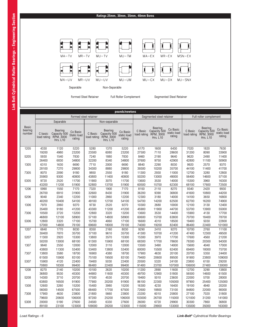

|                                   | pounds/newtons         |                                                         |                                   |                        |                                                         |                                   |                        |                                                                |                                   |                        |                                                                |                                   |  |  |
|-----------------------------------|------------------------|---------------------------------------------------------|-----------------------------------|------------------------|---------------------------------------------------------|-----------------------------------|------------------------|----------------------------------------------------------------|-----------------------------------|------------------------|----------------------------------------------------------------|-----------------------------------|--|--|
|                                   |                        |                                                         | Formed steel retainer             |                        |                                                         |                                   |                        | Segmented steel retainer                                       |                                   | Full roller complement |                                                                |                                   |  |  |
|                                   |                        | Separable                                               |                                   |                        | Non-separable                                           |                                   |                        |                                                                |                                   |                        |                                                                |                                   |  |  |
| <b>Basic</b><br>bearing<br>number | C basic<br>load rating | Bearing<br>Capacity 500<br>RPM, 3000<br><b>Hrs. L10</b> | Co Basic<br>Static load<br>rating | C Basic<br>load rating | Bearing<br>Capacity 500<br>RPM, 3000<br><b>Hrs. L10</b> | Co Basic<br>static load<br>rating | C Basic<br>load rating | <b>Bearing</b><br>Capacity 500<br>RPM, 3000<br><b>Hrs. L10</b> | Co Basic<br>static load<br>rating | C Basic<br>load rating | <b>Bearing</b><br>Capacity 500<br>RPM, 3000<br><b>Hrs. L10</b> | Co Basic<br>static load<br>rating |  |  |
| 1205                              | 4330                   | 1120                                                    | 5220                              | 5280                   | 1370                                                    | 5220                              | 6170                   | 1600                                                           | 6430                              | 7020                   | 1820                                                           | 7630                              |  |  |
|                                   | 19200                  | 4980                                                    | 23200                             | 23500                  | 6080                                                    | 23200                             | 27500                  | 7110                                                           | 28600                             | 31200                  | 8090                                                           | 33900                             |  |  |
| 5205                              | 5930                   | 1540                                                    | 7830                              | 7240                   | 1880                                                    | 7830                              | 8460                   | 2190                                                           | 9640                              | 9620                   | 2490                                                           | 11400                             |  |  |
|                                   | 26400                  | 6830                                                    | 34800                             | 32200                  | 8340                                                    | 34800                             | 37600                  | 9750                                                           | 42900                             | 42800                  | 11100                                                          | 50900                             |  |  |
| 1305                              | 6310                   | 1630                                                    | 6690                              | 7710                   | 2000                                                    | 6690                              | 8840                   | 2290                                                           | 8030                              | 9920                   | 2570                                                           | 9370                              |  |  |
|                                   | 28100                  | 7270                                                    | 29800                             | 34300                  | 8880                                                    | 29800                             | 39300                  | 10200                                                          | 35700                             | 44100                  | 11400                                                          | 41700                             |  |  |
| 7305                              | 8070                   | 2090                                                    | 9180                              | 9850                   | 2550                                                    | 9180                              | 11300                  | 2930                                                           | 11000                             | 12700                  | 3280                                                           | 12800                             |  |  |
|                                   | 35900                  | 9300                                                    | 40800                             | 43800                  | 11400                                                   | 40800                             | 50200                  | 13000                                                          | 49000                             | 56400                  | 14600                                                          | 57100                             |  |  |
| 5305                              | 9720                   | 2520                                                    | 11700                             | 11900                  | 3070                                                    | 11700                             | 13600                  | 3530                                                           | 14000                             | 15300                  | 3960                                                           | 16300                             |  |  |
|                                   | 43200                  | 11200                                                   | 51900                             | 52800                  | 13700                                                   | 51900                             | 60500                  | 15700                                                          | 62300                             | 68100                  | 17600                                                          | 72500                             |  |  |
| 1206                              | 5990                   | 1550                                                    | 7170                              | 7320                   | 1900                                                    | 7170                              | 8150                   | 2110                                                           | 8270                              | 9340                   | 2420                                                           | 9930                              |  |  |
|                                   | 26700                  | 6910                                                    | 31900                             | 32600                  | 8430                                                    | 31900                             | 36200                  | 9390                                                           | 36800                             | 41600                  | 10800                                                          | 44200                             |  |  |
| 5206                              | 9040                   | 2340                                                    | 12200                             | 11000                  | 2860                                                    | 12200                             | 12300                  | 3180                                                           | 14000                             | 14100                  | 3650                                                           | 16800                             |  |  |
|                                   | 40200                  | 10400                                                   | 54100                             | 49100                  | 12700                                                   | 54100                             | 54700                  | 14200                                                          | 62500                             | 62700                  | 16200                                                          | 74900                             |  |  |
| 1306                              | 7970                   | 2060                                                    | 9270                              | 9730                   | 2520                                                    | 9270                              | 10300                  | 2680                                                           | 10000                             | 12100                  | 3130                                                           | 12400                             |  |  |
|                                   | 35400                  | 9180                                                    | 41200                             | 43300                  | 11200                                                   | 41200                             | 45900                  | 11900                                                          | 44700                             | 53700                  | 13900                                                          | 55000                             |  |  |
| 7306                              | 10500                  | 2720                                                    | 13200                             | 12800                  | 3320                                                    | 13200                             | 13600                  | 3530                                                           | 14400                             | 15900                  | 4130                                                           | 17700                             |  |  |
|                                   | 46800                  | 12100                                                   | 58900                             | 57100                  | 14800                                                   | 58900                             | 60600                  | 15700                                                          | 63800                             | 70700                  | 18400                                                          | 78700                             |  |  |
| 5306                              | 12800                  | 3320                                                    | 17100                             | 15700                  | 4060                                                    | 17100                             | 16600                  | 4310                                                           | 18500                             | 19400                  | 5030                                                           | 22800                             |  |  |
|                                   | 57000                  | 14800                                                   | 76100                             | 69600                  | 18000                                                   | 76100                             | 74000                  | 19200                                                          | 82400                             | 86400                  | 22400                                                          | 101000                            |  |  |
| 1207                              | 6840                   | 1770                                                    | 8030                              | 8350                   | 2160                                                    | 8030                              | 9290                   | 2410                                                           | 9270                              | 10700                  | 2760                                                           | 11100                             |  |  |
|                                   | 30400                  | 7870                                                    | 35700                             | 37100                  | 9610                                                    | 35700                             | 41300                  | 10700                                                          | 41200                             | 47400                  | 12300                                                          | 49500                             |  |  |
| 5207                              | 11300                  | 2920                                                    | 15300                             | 13800                  | 3570                                                    | 15300                             | 15300                  | 3970                                                           | 17700                             | 17600                  | 4560                                                           | 21200                             |  |  |
|                                   | 50200                  | 13000                                                   | 68100                             | 61300                  | 15900                                                   | 68100                             | 68300                  | 17700                                                          | 78600                             | 78300                  | 20300                                                          | 94300                             |  |  |
| 1307                              | 9840                   | 2550                                                    | 12000                             | 12000                  | 3110                                                    | 12000                             | 13500                  | 3490                                                           | 14000                             | 15600                  | 4040                                                           | 17000                             |  |  |
|                                   | 43800                  | 11300                                                   | 53400                             | 53400                  | 13800                                                   | 53400                             | 60000                  | 15500                                                          | 62400                             | 69400                  | 18000                                                          | 75700                             |  |  |
| 7307                              | 13800                  | 3580                                                    | 18700                             | 16900                  | 4380                                                    | 18700                             | 17900                  | 4630                                                           | 20100                             | 20700                  | 5350                                                           | 24400                             |  |  |
|                                   | 61500                  | 15900                                                   | 83100                             | 75100                  | 19500                                                   | 83100                             | 79400                  | 20600                                                          | 89500                             | 91900                  | 23800                                                          | 109000                            |  |  |
| 5307                              | 15900                  | 4120                                                    | 22400                             | 19400                  | 5030                                                    | 22400                             | 20500                  | 5320                                                           | 24100                             | 23800                  | 6150                                                           | 29200                             |  |  |
|                                   | 70800                  | 18300                                                   | 99400                             | 86400                  | 22400                                                   | 99400                             | 91400                  | 23700                                                          | 107000                            | 106000                 | 27400                                                          | 130000                            |  |  |
| 1208                              | 8270                   | 2140                                                    | 10200                             | 10100                  | 2620                                                    | 10200                             | 11200                  | 2890                                                           | 11600                             | 12700                  | 3290                                                           | 13800                             |  |  |
|                                   | 36800                  | 9530                                                    | 45300                             | 44900                  | 11600                                                   | 45300                             | 49700                  | 12900                                                          | 51800                             | 56500                  | 14600                                                          | 61500                             |  |  |
| 5208                              | 14300                  | 3710                                                    | 20700                             | 17500                  | 4530                                                    | 20700                             | 19400                  | 5010                                                           | 23600                             | 22000                  | 5700                                                           | 28000                             |  |  |
|                                   | 63800                  | 16500                                                   | 91900                             | 77900                  | 20200                                                   | 91900                             | 86100                  | 22300                                                          | 105000                            | 97900                  | 25400                                                          | 125000                            |  |  |
| 1308                              | 12600                  | 3260                                                    | 15200                             | 15400                  | 3980                                                    | 15200                             | 16300                  | 4230                                                           | 16400                             | 19100                  | 4940                                                           | 20200                             |  |  |
|                                   | 56000                  | 14500                                                   | 67500                             | 68400                  | 17700                                                   | 67500                             | 72600                  | 18800                                                          | 73100                             | 84800                  | 22000                                                          | 90000                             |  |  |
| 7308                              | 17900                  | 4630                                                    | 23800                             | 21800                  | 5660                                                    | 23800                             | 23200                  | 6010                                                           | 25800                             | 27100                  | 7020                                                           | 31800                             |  |  |
|                                   | 79600                  | 20600                                                   | 106000                            | 97200                  | 25200                                                   | 106000                            | 103000                 | 26700                                                          | 115000                            | 121000                 | 31200                                                          | 141000                            |  |  |
| 5308                              | 20000                  | 5190                                                    | 27600                             | 24500                  | 6330                                                    | 27600                             | 26000                  | 6720                                                           | 29900                             | 30300                  | 7860                                                           | 36800                             |  |  |
|                                   | 89100                  | 23100                                                   | 123000                            | 109000                 | 28200                                                   | 123000                            | 115000                 | 29900                                                          | 133000                            | 135000                 | 35000                                                          | 163000                            |  |  |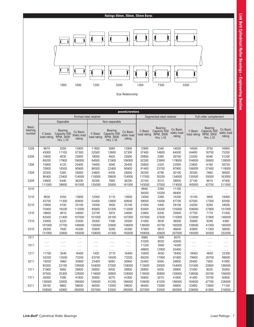# **Ratings 45mm, 50mm, 55mm Bores**



| pounds/newtons                    |                        |                                                         |                                   |                        |                                                         |                                   |                        |                                                         |                                   |                        |                                                         |                                   |
|-----------------------------------|------------------------|---------------------------------------------------------|-----------------------------------|------------------------|---------------------------------------------------------|-----------------------------------|------------------------|---------------------------------------------------------|-----------------------------------|------------------------|---------------------------------------------------------|-----------------------------------|
|                                   |                        |                                                         |                                   | Formed steel retainer  |                                                         |                                   |                        | Segmented steel retainer                                |                                   |                        | Full roller complement                                  |                                   |
|                                   |                        | Separable                                               |                                   |                        | Non-separable                                           |                                   |                        |                                                         |                                   |                        |                                                         |                                   |
| <b>Basic</b><br>bearing<br>number | C basic<br>load rating | Bearing<br>Capacity 500<br>RPM, 3000<br><b>Hrs. L10</b> | Co Basic<br>Static load<br>rating | C Basic<br>load rating | Bearing<br>Capacity 500<br>RPM, 3000<br><b>Hrs. L10</b> | Co Basic<br>static load<br>rating | C Basic<br>load rating | Bearing<br>Capacity 500<br>RPM, 3000<br><b>Hrs. L10</b> | Co Basic<br>static load<br>rating | C Basic<br>load rating | Bearing<br>Capacity 500<br>RPM, 3000<br><b>Hrs. L10</b> | Co Basic<br>static load<br>rating |
| 1209                              | 9670                   | 2500                                                    | 12900                             | 11800                  | 3060                                                    | 12900                             | 12900                  | 3340                                                    | 14500                             | 14500                  | 3750                                                    | 16900                             |
|                                   | 43000                  | 11100                                                   | 57300                             | 52500                  | 13600                                                   | 57300                             | 57400                  | 14900                                                   | 64500                             | 64400                  | 16700                                                   | 75200                             |
| 5209                              | 15600                  | 4030                                                    | 23800                             | 19000                  | 4920                                                    | 23800                             | 20800                  | 5380                                                    | 26700                             | 23300                  | 6040                                                    | 31200                             |
|                                   | 69200                  | 17900                                                   | 106000                            | 84500                  | 21900                                                   | 106000                            | 92300                  | 23900                                                   | 119000                            | 104000                 | 26800                                                   | 139000                            |
| 1309                              | 15900                  | 4120                                                    | 20400                             | 19400                  | 5040                                                    | 20400                             | 20600                  | 5320                                                    | 22000                             | 23800                  | 6160                                                    | 26700                             |
|                                   | 70800                  | 18300                                                   | 90900                             | 86500                  | 22400                                                   | 90900                             | 91400                  | 23700                                                   | 97900                             | 106000                 | 27400                                                   | 119000                            |
| 7309                              | 20300                  | 5260                                                    | 28000                             | 24800                  | 6430                                                    | 28000                             | 26200                  | 6790                                                    | 30100                             | 30300                  | 7860                                                    | 36600                             |
|                                   | 90400                  | 23400                                                   | 124000                            | 110000                 | 28600                                                   | 124000                            | 117000                 | 30200                                                   | 134000                            | 135000                 | 35000                                                   | 163000                            |
| 5309                              | 24800                  | 6440                                                    | 36200                             | 30300                  | 7860                                                    | 36200                             | 32100                  | 8310                                                    | 39000                             | 37100                  | 9610                                                    | 47400                             |
|                                   | 111000                 | 28600                                                   | 161000                            | 135000                 | 35000                                                   | 161000                            | 143000                 | 37000                                                   | 174000                            | 165000                 | 42700                                                   | 211000                            |
| 1010                              | .                      | $\ldots$                                                | .                                 | .                      | .                                                       | .                                 | 8840                   | 2290                                                    | 11100                             | $\ldots$               | .                                                       | .                                 |
|                                   | .                      | .                                                       | $\ldots$                          | .                      | .                                                       | .                                 | 39300                  | 10200                                                   | 49400                             | $\ldots$               | .                                                       | .                                 |
| 1210                              | 9830                   | 2550                                                    | 13600                             | 12000                  | 3110                                                    | 13600                             | 13000                  | 3380                                                    | 15200                             | 15100                  | 3900                                                    | 18400                             |
|                                   | 43700                  | 11300                                                   | 60600                             | 53400                  | 13800                                                   | 60600                             | 58000                  | 15000                                                   | 67700                             | 67000                  | 17300                                                   | 82000                             |
| 5210                              | 15800                  | 4100                                                    | 25100                             | 19300                  | 5000                                                    | 25100                             | 21000                  | 5440                                                    | 28100                             | 24200                  | 6280                                                    | 34000                             |
|                                   | 70400                  | 18200                                                   | 112000                            | 85900                  | 22300                                                   | 112000                            | 93400                  | 24200                                                   | 125000                            | 108000                 | 27900                                                   | 151000                            |
| 1310                              | 18600                  | 4810                                                    | 24000                             | 22700                  | 5870                                                    | 24000                             | 23900                  | 6200                                                    | 25900                             | 27700                  | 7170                                                    | 31400                             |
|                                   | 82500                  | 21400                                                   | 107000                            | 101000                 | 26100                                                   | 107000                            | 107000                 | 27600                                                   | 115000                            | 123000                 | 31900                                                   | 140000                            |
| 7310                              | 24000                  | 6220                                                    | 33500                             | 29300                  | 7590                                                    | 33500                             | 31000                  | 8030                                                    | 36000                             | 35900                  | 9290                                                    | 4380                              |
|                                   | 107000                 | 27700                                                   | 149000                            | 130000                 | 33800                                                   | 149000                            | 138000                 | 35700                                                   | 160000                            | 159000                 | 41300                                                   | 195000                            |
| 5310                              | 29300                  | 7600                                                    | 43300                             | 35800                  | 9280                                                    | 43300                             | 37900                  | 9810                                                    | 46600                             | 43800                  | 11300                                                   | 56600                             |
|                                   | 131000                 | 33800                                                   | 193000                            | 159000                 | 41300                                                   | 193000                            | 169000                 | 43600                                                   | 207000                            | 195000                 | 50500                                                   | 252000                            |
| 1911                              | .                      | .                                                       | .                                 | .                      | .                                                       | .                                 | 6960                   | 1800                                                    | 9570                              | .                      | .                                                       | .                                 |
|                                   | .                      | .                                                       | .                                 | .                      | .                                                       | .                                 | 31000                  | 8020                                                    | 42600                             | .                      | .                                                       | .                                 |
| 1011                              | .                      | .                                                       | .                                 | .                      | .                                                       | .                                 | 11200                  | 2890                                                    | 14300                             | .                      | .                                                       | .                                 |
|                                   | .                      | .                                                       | .                                 | .                      | .                                                       | .                                 | 49800                  | 12900                                                   | 63400                             | .                      | .                                                       | .                                 |
| 1211                              | 11700                  | 3040                                                    | 16400                             | 1430                   | 3710                                                    | 16400                             | 15600                  | 4030                                                    | 18400                             | 18000                  | 4650                                                    | 22300                             |
|                                   | 52200                  | 13500                                                   | 73200                             | 63700                  | 16500                                                   | 73200                             | 69200                  | 17900                                                   | 81800                             | 79900                  | 20700                                                   | 99000                             |
| 5211                              | 19200                  | 4960                                                    | 30900                             | 23400                  | 6060                                                    | 30900                             | 25400                  | 6590                                                    | 34600                             | 29400                  | 7600                                                    | 41900                             |
|                                   | 85300                  | 22100                                                   | 138000                            | 104000                 | 27000                                                   | 138000                            | 113000                 | 29300                                                   | 154000                            | 131000                 | 33800                                                   | 186000                            |
| 1311                              | 21900                  | 5680                                                    | 28800                             | 26800                  | 6930                                                    | 28800                             | 26800                  | 6930                                                    | 28800                             | 31000                  | 8020                                                    | 35000                             |
|                                   | 97500                  | 25300                                                   | 128000                            | 119000                 | 30800                                                   | 128000                            | 119000                 | 30800                                                   | 128000                            | 138000                 | 35700                                                   | 156000                            |
| 7311                              | 29300                  | 7590                                                    | 41800                             | 35800                  | 9270                                                    | 41800                             | 35800                  | 9270                                                    | 41800                             | 41400                  | 10700                                                   | 50800                             |
|                                   | 130000                 | 33800                                                   | 186000                            | 159000                 | 41200                                                   | 186000                            | 159000                 | 41200                                                   | 186000                            | 184000                 | 47700                                                   | 226000                            |
| 5311                              | 38100                  | 9860                                                    | 58600                             | 46500                  | 12000                                                   | 58600                             | 46500                  | 12000                                                   | 58600                             | 53800                  | 13900                                                   | 71100                             |
|                                   | 169000                 | 43900                                                   | 260000                            | 207000                 | 53500                                                   | 260000                            | 207000                 | 53500                                                   | 260000                            | 239000                 | 61900                                                   | 316000                            |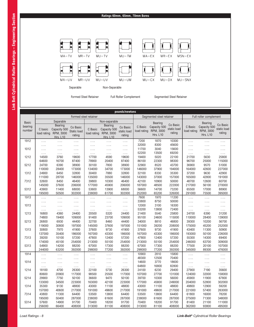# **Ratings 60mm, 65mm, 70mm Bores**



| pounds/newtons    |                        |                                                                |                                          |                        |                                                                |                                   |                        |                                              |                                   |                        |                                              |                                   |
|-------------------|------------------------|----------------------------------------------------------------|------------------------------------------|------------------------|----------------------------------------------------------------|-----------------------------------|------------------------|----------------------------------------------|-----------------------------------|------------------------|----------------------------------------------|-----------------------------------|
|                   |                        |                                                                | Formed steel retainer                    |                        |                                                                |                                   |                        | Segmented steel retainer                     |                                   |                        | Full roller complement                       |                                   |
| <b>Basic</b>      |                        | Separable                                                      |                                          |                        | Non-separable                                                  |                                   |                        | Bearing                                      |                                   |                        | <b>Bearing</b>                               |                                   |
| bearing<br>number | C basic<br>load rating | <b>Bearing</b><br>Capacity 500<br>RPM, 3000<br><b>Hrs. L10</b> | Co Basic<br><b>Static load</b><br>rating | C Basic<br>load rating | <b>Bearing</b><br>Capacity 500<br>RPM, 3000<br><b>Hrs. L10</b> | Co Basic<br>static load<br>rating | C Basic<br>load rating | Capacity 500<br>RPM, 3000<br><b>Hrs. L10</b> | Co Basic<br>static load<br>rating | C Basic<br>load rating | Capacity 500<br>RPM, 3000<br><b>Hrs. L10</b> | Co Basic<br>static load<br>rating |
| 1912              | .                      | .                                                              | .                                        | .                      | .                                                              | .                                 | 7200                   | 1870                                         | 10300                             | .                      | .                                            | .                                 |
|                   | .                      | .                                                              | .                                        | .                      | .                                                              | .                                 | 32000                  | 8300                                         | 45600                             | .                      | .                                            | .                                 |
| 1012              | .                      | .                                                              | .                                        | .                      | .                                                              | .                                 | 11700                  | 3040                                         | 15600                             | .                      | .                                            | .                                 |
|                   | .                      | .                                                              | .                                        | .                      | .                                                              | .                                 | 52200                  | 13500                                        | 69200                             | .                      | .                                            | .                                 |
| 1212              | 14500<br>64600         | 3760<br>16700                                                  | 19600<br>87400                           | 17700<br>78900         | 4590<br>20400                                                  | 19600<br>87400                    | 19400<br>86100         | 5020<br>22300                                | 22100<br>98300                    | 21700                  | 5630<br>25000                                | 25800<br>115000                   |
|                   |                        |                                                                |                                          |                        | 7800                                                           |                                   |                        | 8520                                         |                                   | 96700                  |                                              | 51000                             |
| 5212              | 24700<br>110000        | 6390<br>28400                                                  | 38900<br>173000                          | 30100<br>134000        | 34700                                                          | 38900<br>173000                   | 32900<br>146000        | 37900                                        | 43700<br>194000                   | 36900<br>164000        | 9570<br>42600                                | 227000                            |
| 1312              | 24900                  | 6450                                                           | 32800                                    | 30400                  | 7880                                                           | 32800                             | 32100                  | 8330                                         | 35300                             | 37200                  | 9630                                         | 42900                             |
|                   | 111000                 | 28700                                                          | 146000                                   | 135000                 | 35500                                                          | 146000                            | 143000                 | 37000                                        | 157000                            | 165000                 | 42800                                        | 191000                            |
| 7312              | 32600                  | 8450                                                           | 46400                                    | 39800                  | 10300                                                          | 46400                             | 42100                  | 10900                                        | 50000                             | 48700                  | 12600                                        | 60700                             |
|                   | 145000                 | 37600                                                          | 206000                                   | 177000                 | 45900                                                          | 206000                            | 187000                 | 48500                                        | 222000                            | 217000                 | 56100                                        | 270000                            |
| 5312              | 43900                  | 11400                                                          | 68000                                    | 53600                  | 13900                                                          | 68000                             | 56600                  | 14700                                        | 73200                             | 65500                  | 17000                                        | 88900                             |
|                   | 195000                 | 50500                                                          | 302000                                   | 238000                 | 61700                                                          | 302000                            | 252000                 | 65200                                        | 326000                            | 291000                 | 75500                                        | 395000                            |
| 1913              | .                      | .                                                              | .                                        | .                      | .                                                              | .                                 | 7600                   | 1970                                         | 11200                             | .                      | .                                            | .                                 |
|                   | .                      | .                                                              | .                                        | .                      | .                                                              | .                                 | 33800                  | 8750                                         | 50000                             | .                      | .                                            | .                                 |
| 1013              | .                      | .                                                              | .                                        | .                      | .                                                              | .                                 | 12000                  | 3100                                         | 16300                             | .                      | .                                            | .                                 |
|                   | .                      | .                                                              | .                                        | .                      | .                                                              | $\ldots$                          | 53200                  | 13800                                        | 72400                             | .                      | .                                            | .                                 |
| 1213              | 16800                  | 4360                                                           | 24400                                    | 20500                  | 5320                                                           | 24400                             | 21400                  | 5540                                         | 25800                             | 24700                  | 6390                                         | 31200                             |
|                   | 74800                  | 19400                                                          | 109000                                   | 91400                  | 23700                                                          | 109000                            | 95100                  | 24600                                        | 115000                            | 110000                 | 28400                                        | 139000                            |
| 5213              | 26800                  | 6930                                                           | 44400                                    | 32700                  | 8460                                                           | 44400                             | 34000                  | 8810                                         | 46800                             | 39300                  | 10200                                        | 56700                             |
|                   | 119000                 | 30800                                                          | 197000                                   | 145000                 | 37600                                                          | 197000                            | 151000                 | 39200                                        | 208000                            | 175000                 | 45200                                        | 252000                            |
| 1313              | 30800                  | 7970                                                           | 41900                                    | 37600                  | 9730                                                           | 41900                             | 37600                  | 9730                                         | 41900                             | 43400                  | 11300                                        | 50900                             |
|                   | 137000                 | 35400                                                          | 186000                                   | 167000                 | 43300                                                          | 186000                            | 167000                 | 43300                                        | 186000                            | 193000                 | 50100                                        | 226000                            |
| 7313              | 39200                  | 10100                                                          | 57200                                    | 47800                  | 12400                                                          | 57200                             | 47800                  | 12400                                        | 57200                             | 55300                  | 14300                                        | 69400                             |
|                   | 174000                 | 45100                                                          | 254000                                   | 213000                 | 55100                                                          | 254000                            | 213000                 | 55100                                        | 254000                            | 246000                 | 63700                                        | 309000                            |
| 5313              | 54900                  | 14200                                                          | 88200                                    | 67000                  | 17300                                                          | 88200                             | 67000                  | 17300                                        | 88200                             | 77500                  | 20100                                        | 107000                            |
|                   | 244000                 | 63200                                                          | 392000                                   | 298000                 | 77200                                                          | 392000                            | 298000                 | 77200                                        | 392000                            | 345000                 | 89300                                        | 476000                            |
| 1914              | .                      | .                                                              | .                                        | .                      | $\ldots$                                                       | $\ldots$                          | 10900                  | 2810                                         | 15800                             | .                      | $\ldots$                                     | .                                 |
|                   | .                      | .                                                              | .                                        | .                      | .                                                              | .                                 | 48300                  | 12500                                        | 70400                             | .                      | .                                            | .                                 |
| 1014              | .                      | .                                                              | .                                        | .                      | .                                                              | .                                 | 14600                  | 3770                                         | 18600                             | .                      | .                                            | .                                 |
|                   | .                      | .                                                              | .                                        | .                      | $\ldots$                                                       | $\ldots$                          | 64800                  | 16800                                        | 82800                             | .                      | $\ldots$                                     | $\ldots$                          |
| 1214              | 18100                  | 4700                                                           | 26300                                    | 22100                  | 5730                                                           | 26300                             | 24100                  | 6230                                         | 29400                             | 27900                  | 7190                                         | 35600                             |
|                   | 80600                  | 20900                                                          | 117000                                   | 98500                  | 25500                                                          | 117000                            | 107000                 | 27700                                        | 131000                            | 124000                 | 32000                                        | 158000                            |
| 5214              | 29900                  | 7750                                                           | 50100                                    | 36600                  | 9470                                                           | 50100                             | 39700                  | 10300                                        | 56000                             | 45900                  | 11900                                        | 67800                             |
|                   | 133000                 | 34500                                                          | 223000                                   | 163000                 | 42100                                                          | 223000                            | 177000                 | 45800                                        | 249000                            | 204000                 | 52800                                        | 302000                            |
| 1314              | 35300                  | 9130                                                           | 48800                                    | 43000                  | 11100                                                          | 48800                             | 43000                  | 11100                                        | 48800                             | 49800                  | 12900                                        | 59200                             |
|                   | 157000                 | 40600                                                          | 217000                                   | 191000                 | 49600                                                          | 217000                            | 191000                 | 49600                                        | 217000                            | 221000                 | 57400                                        | 263000                            |
| 7314              | 43800                  | 11300                                                          | 64400                                    | 53500                  | 13800                                                          | 64400                             | 53500                  | 13800                                        | 64400                             | 61800                  | 16000                                        | 78200                             |
|                   | 195000                 | 50400                                                          | 287000                                   | 238000                 | 61600                                                          | 287000                            | 238000                 | 61600                                        | 287000                            | 275000                 | 71300                                        | 348000                            |
| 5314              | 57600                  | 14900                                                          | 91700                                    | 70400                  | 18200                                                          | 91700                             | 70400                  | 18200                                        | 91700                             | 81400                  | 21100                                        | 111000                            |
|                   | 256000                 | 66400                                                          | 408000                                   | 313000                 | 81100                                                          | 408000                            | 313000                 | 81100                                        | 408000                            | 362000                 | 93800                                        | 495000                            |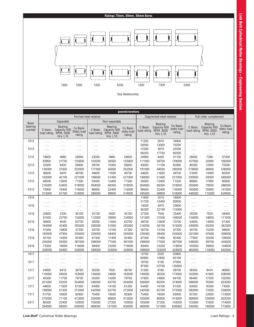# **Ratings 75mm, 80mm, 85mm Bores**



|                   |                        |                                                         |                                          |                        |                                                         | pounds/newtons                    |                        |                                                         |                                   |                        |                                                         |                                   |
|-------------------|------------------------|---------------------------------------------------------|------------------------------------------|------------------------|---------------------------------------------------------|-----------------------------------|------------------------|---------------------------------------------------------|-----------------------------------|------------------------|---------------------------------------------------------|-----------------------------------|
|                   |                        |                                                         | Formed steel retainer                    |                        |                                                         |                                   |                        | Segmented steel retainer                                |                                   | Full roller complement |                                                         |                                   |
| <b>Basic</b>      |                        | Separable                                               |                                          |                        | Non-separable                                           |                                   |                        |                                                         |                                   |                        |                                                         |                                   |
| bearing<br>number | C basic<br>load rating | Bearing<br>Capacity 500<br>RPM, 3000<br><b>Hrs. L10</b> | Co Basic<br><b>Static load</b><br>rating | C Basic<br>load rating | Bearing<br>Capacity 500<br>RPM, 3000<br><b>Hrs. L10</b> | Co Basic<br>static load<br>rating | C Basic<br>load rating | Bearing<br>Capacity 500<br>RPM, 3000<br><b>Hrs. L10</b> | Co Basic<br>static load<br>rating | C Basic<br>load rating | Bearing<br>Capacity 500<br>RPM, 3000<br><b>Hrs. L10</b> | Co Basic<br>static load<br>rating |
| 1915              | .                      | .                                                       | .                                        | .                      | .                                                       | .                                 | 11200                  | 2910                                                    | 16900                             | .                      | .                                                       | .                                 |
|                   | .                      | .                                                       | .                                        | .                      | .                                                       | .                                 | 50000                  | 13000                                                   | 75200                             | .                      | .                                                       | .                                 |
| 1015              | .                      | .                                                       | .                                        | .                      | .                                                       | .                                 | 15300                  | 3970                                                    | 20300                             | .                      | .                                                       | .                                 |
|                   | .                      | .                                                       | .                                        | $\cdots$               | .                                                       | .                                 | 68200                  | 17700                                                   | 90300                             | .                      | $\cdots$                                                | .                                 |
| 1215              | 18800                  | 4880                                                    | 28000                                    | 23000                  | 5960                                                    | 28000                             | 24900                  | 6450                                                    | 31100                             | 28600                  | 7390                                                    | 37400                             |
|                   | 83800                  | 21700                                                   | 125000                                   | 102000                 | 26500                                                   | 125000                            | 111000                 | 28700                                                   | 139000                            | 157000                 | 32900                                                   | 166000                            |
| 5215              | 32500<br>145000        | 8430<br>37500                                           | 56600                                    | 39700<br>177000        | 10300<br>45800                                          | 56600                             | 43000<br>191000        | 11100<br>49500                                          | 62900                             | 49300<br>219000        | 12800<br>56800                                          | 75500<br>336000                   |
| 1315              | 36600                  | 9470                                                    | 252000<br>49700                          | 44600                  | 11600                                                   | 252000<br>49700                   | 44600                  | 11600                                                   | 280000<br>49700                   | 51600                  | 13400                                                   | 60300                             |
|                   | 163000                 | 42100                                                   | 221000                                   | 199000                 | 51400                                                   | 221000                            | 199000                 | 51400                                                   | 221000                            | 230000                 | 59500                                                   | 268000                            |
| 7315              | 48500                  | 12600                                                   | 71500                                    | 59300                  | 15400                                                   | 71500                             | 59300                  | 15400                                                   | 71500                             | 68600                  | 17800                                                   | 86900                             |
|                   | 216000                 | 55900                                                   | 318000                                   | 264000                 | 68300                                                   | 318000                            | 264000                 | 68300                                                   | 318000                            | 305000                 | 79000                                                   | 386000                            |
| 5315              | 70900                  | 18400                                                   | 116000                                   | 86600                  | 22400                                                   | 116000                            | 86600                  | 22400                                                   | 116000                            | 100000                 | 25900                                                   | 141000                            |
|                   | 315000                 | 81700                                                   | 518000                                   | 385000                 | 99800                                                   | 518000                            | 385000                 | 99800                                                   | 518000                            | 446000                 | 115000                                                  | 629000                            |
| 1916              | .                      | $\ldots$                                                |                                          | .                      | .                                                       | .                                 | 11600                  | 3010                                                    | 18000                             | .                      | .                                                       | .                                 |
|                   | .                      | .                                                       | $\ldots$<br>.                            | .                      | .                                                       | .                                 | 51700                  | 13400                                                   | 80000                             | .                      | .                                                       | .                                 |
| 1016              | .                      |                                                         | .                                        | .                      | .                                                       | .                                 | 19200                  | 4970                                                    | 25800                             | .                      | .                                                       | .                                 |
|                   |                        | $\cdots$                                                |                                          |                        |                                                         | .                                 | 85300                  | 22100                                                   | 115000                            | .                      |                                                         | .                                 |
| 1216              | 20600                  | 5330                                                    | 30100                                    | 25100                  | 6500                                                    | 30100                             | 27200                  | 7040                                                    | 33400                             | 30200                  | 7820                                                    | 38400                             |
|                   | 91500                  | 23700                                                   | 134000                                   | 112000                 | 28900                                                   | 134000                            | 121000                 | 31300                                                   | 149000                            | 134000                 | 34800                                                   | 171000                            |
| 5216              | 36800                  | 9540                                                    | 63700                                    | 45000                  | 11600                                                   | 63700                             | 48700                  | 12600                                                   | 70700                             | 54000                  | 14000                                                   | 81300                             |
|                   | 164000                 | 42400                                                   | 283000                                   | 200000                 | 51800                                                   | 283000                            | 216000                 | 56100                                                   | 315000                            | 240000                 | 62300                                                   | 362000                            |
| 1316              | 41500                  | 10800                                                   | 57300                                    | 50700                  | 13100                                                   | 57300                             | 50700                  | 13100                                                   | 57300                             | 58700                  | 15200                                                   | 69600                             |
|                   | 185000                 | 47900                                                   | 255000                                   | 226000                 | 58400                                                   | 255000                            | 226000                 | 58400                                                   | 255000                            | 261000                 | 67600                                                   | 309000                            |
| 7316              | 55100                  | 14300                                                   | 82400                                    | 67300                  | 17400                                                   | 82400                             | 67300                  | 17400                                                   | 82400                             | 77900                  | 20200                                                   | 100000                            |
|                   | 245000                 | 63500                                                   | 367000                                   | 299000                 | 77500                                                   | 367000                            | 299000                 | 77500                                                   | 367000                            | 346000                 | 89700                                                   | 445000                            |
| 5316              | 73300                  | 19000                                                   | 119000                                   | 89400                  | 23200                                                   | 119000                            | 89400                  | 23200                                                   | 119000                            | 103000                 | 26800                                                   | 144000                            |
|                   | 326000                 | 84400                                                   | 528000                                   | 398000                 | 103000                                                  | 528000                            | 398000                 | 103000                                                  | 528000                            | 460000                 | 119000                                                  | 642000                            |
| 1917              | .                      | .                                                       | .                                        | .                      | .                                                       | .                                 | 13700                  | 3550                                                    | 20900                             | .                      | .                                                       | .                                 |
|                   | .                      | .                                                       | .                                        | .                      | .                                                       | .                                 | 60900                  | 15800                                                   | 93100                             | .                      | .                                                       | .                                 |
| 1017              | .                      | .                                                       | $\cdots$                                 | .                      | .                                                       | .                                 | 19700                  | 5100                                                    | 27000                             | .                      | .                                                       | .                                 |
|                   |                        | .                                                       | .                                        |                        | .                                                       | .                                 | 87500                  | 22700                                                   | 120000                            | $\ldots$               |                                                         | .                                 |
| 1217              | 24800                  | 6410                                                    | 36700                                    | 30200                  | 7830                                                    | 36700                             | 31500                  | 8160                                                    | 38700                             | 36300                  | 9410                                                    | 46900                             |
|                   | 110000                 | 28500                                                   | 163000                                   | 134000                 | 34800                                                   | 163000                            | 140000                 | 36300                                                   | 172000                            | 162000                 | 41900                                                   | 208000                            |
| 5217              | 45300                  | 11700                                                   | 79700                                    | 55300                  | 14300                                                   | 79700                             | 57600                  | 14900                                                   | 84100                             | 66400                  | 17200                                                   | 102000                            |
|                   | 201000                 | 52200                                                   | 354000                                   | 246000                 | 63700                                                   | 354000                            | 356000                 | 66300                                                   | 374000                            | 296000                 | 76500                                                   | 453000                            |
| 1317              | 44600                  | 11500                                                   | 61200                                    | 54400                  | 14100                                                   | 61200                             | 54400                  | 14100                                                   | 61200                             | 63000                  | 16300                                                   | 74300                             |
|                   | 198000                 | 51300                                                   | 272000                                   | 242000                 | 62700                                                   | 272000                            | 242000                 | 62700                                                   | 272000                            | 280000                 | 72500                                                   | 330000                            |
| 7317              | 61700                  | 16000                                                   | 92900                                    | 75400                  | 19500                                                   | 92900                             | 75400                  | 19500                                                   | 92900                             | 87200                  | 22600                                                   | 113000                            |
|                   | 275000                 | 71100                                                   | 413000                                   | 335000                 | 86800                                                   | 413000                            | 335000                 | 86900                                                   | 413000                            | 388000                 | 100000                                                  | 502000                            |
| 5317              | 86300                  | 22400                                                   | 143000                                   | 105000                 | 27300                                                   | 143000                            | 105000                 | 27300                                                   | 143000                            | 122000                 | 31600                                                   | 174000                            |
|                   | 384000                 | 99500                                                   | 636000                                   | 469000                 | 121000                                                  | 636000                            | 469000                 | 121000                                                  | 636000                            | 542000                 | 140000                                                  | 773000                            |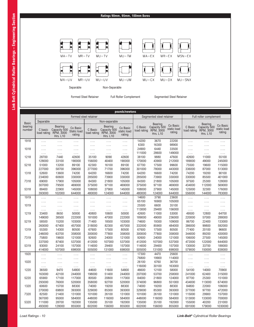# **Ratings 90mm, 95mm, 100mm Bores**



|                   | pounds/newtons         |                                                         |                                   |                        |                                                         |                                   |                        |                                                         |                                   |                        |                                                         |                                   |
|-------------------|------------------------|---------------------------------------------------------|-----------------------------------|------------------------|---------------------------------------------------------|-----------------------------------|------------------------|---------------------------------------------------------|-----------------------------------|------------------------|---------------------------------------------------------|-----------------------------------|
|                   |                        |                                                         | Formed steel retainer             |                        |                                                         |                                   |                        | Segmented steel retainer                                |                                   |                        | Full roller complement                                  |                                   |
| <b>Basic</b>      | Separable              |                                                         |                                   |                        | Non-separable                                           |                                   |                        |                                                         |                                   |                        |                                                         |                                   |
| bearing<br>number | C basic<br>load rating | Bearing<br>Capacity 500<br>RPM, 3000<br><b>Hrs. L10</b> | Co Basic<br>Static load<br>rating | C Basic<br>load rating | Bearing<br>Capacity 500<br>RPM, 3000<br><b>Hrs. L10</b> | Co Basic<br>static load<br>rating | C Basic<br>load rating | Bearing<br>Capacity 500<br>RPM, 3000<br><b>Hrs. L10</b> | Co Basic<br>static load<br>rating | C Basic<br>load rating | Bearing<br>Capacity 500<br>RPM, 3000<br><b>Hrs. L10</b> | Co Basic<br>static load<br>rating |
| 1918              | .                      | .                                                       | .                                 | .                      | .                                                       | .                                 | 14200<br>6300          | 3670<br>16300                                           | 22200<br>98900                    | .                      | .                                                       | .                                 |
| 1018              | .<br>.                 | .<br>.                                                  | .<br>.                            | .<br>.                 | .<br>.                                                  | .<br>.                            | 24900                  | 6440                                                    | 33500                             | .<br>.                 | .<br>.                                                  | .<br>.                            |
|                   | $\ldots$               | $\ldots$                                                | .                                 | $\ldots$               | $\ldots$                                                | .                                 | 111000                 | 28600                                                   | 149000                            | .                      | $\ldots$                                                | $\ldots$                          |
| 1218              | 28700                  | 7440                                                    | 42600                             | 35100                  | 9090                                                    | 42600                             | 38100                  | 9880                                                    | 47600                             | 42600                  | 11000                                                   | 55100                             |
|                   | 128000                 | 33100                                                   | 190000                            | 156000                 | 40400                                                   | 190000                            | 170000                 | 43900                                                   | 212000                            | 189000                 | 49000                                                   | 245000                            |
| 5218              | 51000                  | 13200                                                   | 89100                             | 62300                  | 16100                                                   | 89100                             | 67700                  | 17500                                                   | 99600                             | 75500                  | 19600                                                   | 115000                            |
|                   | 227000                 | 58700                                                   | 396000                            | 277000                 | 71700                                                   | 396000                            | 301000                 | 78000                                                   | 443000                            | 336000                 | 87000                                                   | 513000                            |
| 1318              | 52600                  | 13600                                                   | 74200                             | 64200                  | 16600                                                   | 74200                             | 64200                  | 16600                                                   | 74200                             | 74200                  | 19200                                                   | 90100                             |
|                   | 234000                 | 60600                                                   | 330000                            | 285000                 | 73900                                                   | 330000                            | 285000                 | 73900                                                   | 330000                            | 330000                 | 85500                                                   | 401000                            |
| 7318              | 69000                  | 17900                                                   | 105000                            | 84300                  | 21800                                                   | 105000                            | 84300                  | 21800                                                   | 105000                            | 97500                  | 25300                                                   | 128000                            |
|                   | 307000                 | 79500                                                   | 469000                            | 375000                 | 97100                                                   | 469000                            | 375000                 | 97100                                                   | 469000                            | 434000                 | 112000                                                  | 569000                            |
| 5318              | 88400                  | 22900                                                   | 145000                            | 108000                 | 27900                                                   | 145000                            | 108000                 | 27900                                                   | 145000                            | 125000                 | 32300                                                   | 176000                            |
|                   | 393000                 | 102000                                                  | 644000                            | 480000                 | 124000                                                  | 644000                            | 480000                 | 124000                                                  | 644000                            | 556000                 | 144000                                                  | 783000                            |
| 1919              | .                      | .                                                       | .                                 | .                      | .                                                       | .                                 | 14600                  | 3790                                                    | 23600                             | .                      | .                                                       | .                                 |
|                   | .                      | .                                                       | .                                 | .                      | .                                                       | .                                 | 65100                  | 16900                                                   | 105000                            | .                      | .                                                       | .                                 |
| 1019              | .                      | .                                                       | .                                 | .                      | .                                                       | .                                 | 25500                  | 6600                                                    | 35100                             | .                      | .                                                       | .                                 |
|                   | .                      | .                                                       | .                                 | .                      | .                                                       | .                                 | 113000                 | 29400                                                   | 156000                            | .                      | .                                                       | .                                 |
| 1219              | 33400                  | 8650                                                    | 50000                             | 40800                  | 10600                                                   | 50000                             | 42600                  | 11000                                                   | 53000                             | 49500                  | 12800                                                   | 64700                             |
|                   | 149000                 | 38500                                                   | 222000                            | 181000                 | 47000                                                   | 222000                            | 189000                 | 49000                                                   | 236000                            | 220000                 | 57000                                                   | 288000                            |
| 5219              | 58500                  | 15200                                                   | 103000                            | 71400                  | 18500                                                   | 103000                            | 74600                  | 19300                                                   | 109000                            | 86700                  | 22400                                                   | 133000                            |
|                   | 260000                 | 67400                                                   | 457000                            | 318000                 | 82300                                                   | 457000                            | 332000                 | 85900                                                   | 484000                            | 386000                 | 99800                                                   | 592000                            |
| 1319              | 55300                  | 14300                                                   | 80500                             | 67600                  | 17500                                                   | 80500                             | 67600                  | 17500                                                   | 80500                             | 77400                  | 20100                                                   | 96600                             |
|                   | 246000                 | 63700                                                   | 358000                            | 300000                 | 77800                                                   | 358000                            | 300000                 | 77800                                                   | 358000                            | 344000                 | 89200                                                   | 430000                            |
| 7319              | 75800                  | 19600                                                   | 121000                            | 92600                  | 24000                                                   | 121000                            | 92600                  | 24000                                                   | 121000                            | 106000                 | 27500                                                   | 145000                            |
|                   | 337000                 | 87400                                                   | 537000                            | 412000                 | 107000                                                  | 537000                            | 412000                 | 107000                                                  | 537000                            | 472000                 | 122000                                                  | 644000                            |
| 5319              | 93000                  | 24100                                                   | 157000                            | 114000                 | 29400                                                   | 157000                            | 114000                 | 29400                                                   | 157000                            | 130000                 | 33700                                                   | 188000                            |
|                   | 414000                 | 107000                                                  | 698000                            | 505000                 | 131000                                                  | 698000                            | 505000                 | 131000                                                  | 698000                            | 579000                 | 150000                                                  | 838000                            |
| 1920              | .                      | .                                                       | .                                 | .                      | .                                                       | .                                 | 17300                  | 4470                                                    | 25600                             | .                      | .                                                       | .                                 |
|                   | .                      | .                                                       | .                                 | .                      | .                                                       | .                                 | 76800                  | 19900                                                   | 114000                            | .                      | .                                                       | .                                 |
| 1020              | .                      | .                                                       | .                                 | .                      | .                                                       | .                                 | 26100                  | 6760                                                    | 36700                             | .                      | .                                                       | .                                 |
|                   | .                      | .                                                       | .                                 | $\ldots$               | $\ldots$                                                | .                                 | 116000                 | 30100                                                   | 163000                            | .                      | $\ldots$                                                | .                                 |
| 1220              | 36500                  | 9470                                                    | 54800                             | 44600                  | 11600                                                   | 54800                             | 46600                  | 12100                                                   | 58000                             | 54100                  | 14000                                                   | 70900                             |
|                   | 163000                 | 42100                                                   | 244000                            | 198000                 | 51400                                                   | 244000                            | 207000                 | 53700                                                   | 258000                            | 241000                 | 62400                                                   | 315000                            |
| 5220              | 65900                  | 17100                                                   | 117000                            | 80500                  | 20800                                                   | 117000                            | 84000                  | 21800                                                   | 124000                            | 97700                  | 25300                                                   | 151000                            |
|                   | 293000                 | 76000                                                   | 520000                            | 358000                 | 92700                                                   | 520000                            | 374000                 | 96800                                                   | 551000                            | 434000                 | 113000                                                  | 674000                            |
| 1320              | 60600                  | 15700                                                   | 88300                             | 74000                  | 19200                                                   | 88300                             | 74000                  | 19200                                                   | 88300                             | 84800                  | 22000                                                   | 106000                            |
|                   | 270000                 | 69800                                                   | 393000                            | 329000                 | 85300                                                   | 393000                            | 329000                 | 85300                                                   | 393000                            | 377000                 | 97700                                                   | 472000                            |
| 7320              | 82500                  | 21400                                                   | 131000                            | 101000                 | 26100                                                   | 131000                            | 101000                 | 26100                                                   | 131000                            | 115000                 | 29900                                                   | 157000                            |
|                   | 367000                 | 95000                                                   | 584000                            | 448000                 | 116000                                                  | 584000                            | 448000                 | 116000                                                  | 584000                            | 513000                 | 133000                                                  | 700000                            |
| 5320              | 111000                 | 28700                                                   | 192000                            | 135000                 | 35100                                                   | 192000                            | 135000                 | 35100                                                   | 192000                            | 155000                 | 40200                                                   | 231000                            |
|                   | 493000                 | 128000                                                  | 855000                            | 602000                 | 156000                                                  | 855000                            | 602000                 | 156000                                                  | 855000                            | 691000                 | 179000                                                  | 1030000                           |

ı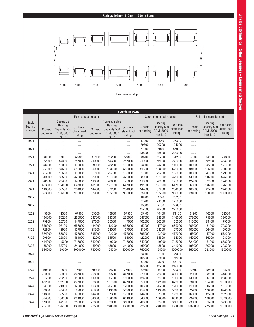# **Ratings 105mm,110mm, 120mm Bores**



|              |                 |                           |                    |                       |                           | pounds/newtons   |                 |                          |                       |                  |                        |                       |
|--------------|-----------------|---------------------------|--------------------|-----------------------|---------------------------|------------------|-----------------|--------------------------|-----------------------|------------------|------------------------|-----------------------|
|              |                 |                           |                    | Formed steel retainer |                           |                  |                 | Segmented steel retainer |                       |                  | Full roller complement |                       |
| <b>Basic</b> |                 | Separable                 |                    |                       | Non-separable             |                  |                 | <b>Bearing</b>           |                       |                  | <b>Bearing</b>         |                       |
| bearing      |                 | <b>Bearing</b>            | Co Basic           |                       | <b>Bearing</b>            | Co Basic         | C Basic         | Capacity 500             | Co Basic              | C Basic          | Capacity 500           | Co Basic              |
| number       | C basic         | Capacity 500<br>RPM, 3000 | <b>Static load</b> | C Basic               | Capacity 500<br>RPM, 3000 | static load      | load rating     | RPM, 3000                | static load<br>rating |                  | load rating RPM, 3000  | static load<br>rating |
|              | load rating     | <b>Hrs. L10</b>           | rating             | load rating           | <b>Hrs. L10</b>           | rating           |                 | <b>Hrs. L10</b>          |                       |                  | <b>Hrs. L10</b>        |                       |
| 1921         | .               | .                         | .                  | .                     | .                         | .                | 17900           | 4650                     | 27300                 | .                | .                      | .                     |
|              | .               | .                         | .                  | .                     | .                         | .                | 79800           | 20700                    | 121000                | .                | .                      | .                     |
| 1021         | .               |                           | .                  | .                     | .                         | .                | 31000           | 8040                     | 45000                 | .                | .                      | .                     |
|              | .               | .                         | .                  | .                     | .                         | .                | 138000          | 35800                    | 200000                | .                | .                      | .                     |
| 1221         | 38600           | 9990                      | 57800              | 47100                 | 12200                     | 57800            | 49200           | 12700                    | 61200                 | 57200            | 14800                  | 74800                 |
|              | 172000          | 44400                     | 257000             | 210000                | 54300                     | 257000           | 219000          | 56600                    | 272000                | 254000           | 65800                  | 333000                |
| 5221         | 73400           | 19000                     | 132000             | 89600                 | 23200                     | 132000           | 93600           | 24200                    | 140000                | 109000           | 28200                  | 171000                |
|              | 327000          | 84600                     | 588000             | 399000                | 103000                    | 588000           | 416000          | 108000                   | 622000                | 484000           | 125000                 | 760000                |
| 1321         | 71700           | 18600                     | 108000             | 87500                 | 22700                     | 108000           | 87500           | 22700                    | 108000                | 100000           | 26000                  | 129000                |
|              | 319000          | 82500                     | 479000             | 389000                | 101000                    | 479000           | 389000          | 101000                   | 479000                | 446000           | 116000                 | 575000                |
| 7321         | 90500           | 23400                     | 145000             | 110000                | 28600                     | 145000           | 110000          | 28600                    | 145000                | 127000           | 32800                  | 174000                |
|              | 403000          | 104000                    | 647000             | 491000                | 127000                    | 647000           | 491000          | 127000                   | 647000                | 563000           | 146000                 | 776000                |
| 5321         | 118000          | 30500                     | 204000             | 144000                | 37200                     | 204000           | 144000          | 37200                    | 204000                | 165000           | 42700                  | 244000                |
|              | 523000          | 136000                    | 906000             | 639000                | 165000                    | 906000           | 639000          | 165000                   | 906000                | 734000           | 190000                 | 1090000               |
| 1922         | .               | .                         | .                  | .                     | .                         | .                | 18200           | 4720                     | 28200                 | .                | .                      | $\ldots$              |
|              | .               | .                         | .                  | .                     | .                         | .                | 81200           | 21000                    | 125000                | .                | .                      | .                     |
| 1022         | .               | .                         | .                  | .                     | .                         | .                | 35300           | 9150                     | 50600                 | .                | .                      | .                     |
|              | .               | .                         | .                  | .                     | .                         | .                | 157000          | 40700                    | 225000                | .                | .                      | $\ldots$              |
| 1222         | 43600           | 11300                     | 67300              | 53200                 | 13800                     | 67300            | 55400           | 14400                    | 71100                 | 61900            | 16000                  | 82300                 |
|              | 194000          | 50200                     | 299000             | 237000                | 61300                     | 299000           | 247000          | 63900                    | 316000                | 275000           | 71300                  | 366000                |
| 5222         | 79900           | 20700                     | 147000             | 97600                 | 25300                     | 147000           | 102000          | 26300                    | 155000                | 113000           | 29400                  | 179000                |
| 1322         | 356000<br>72800 | 92100<br>18900            | 653000<br>107000   | 434000<br>88900       | 112000<br>23000           | 653000           | 452000<br>88900 | 117000                   | 689000                | 505000<br>102000 | 131000<br>26400        | 798000<br>129000      |
|              | 324000          | 83800                     | 477000             | 395000                | 102000                    | 107000<br>477000 | 395000          | 23000<br>102000          | 107000                | 453000           | 117000                 | 572000                |
| 7322         | 99800           | 25800                     | 161000             | 122000                | 31500                     | 161000           | 122000          | 31500                    | 477000<br>161000      | 140000           | 36200                  | 193000                |
|              | 444000          | 115000                    | 715000             | 542000                | 140000                    | 715000           | 542000          | 140000                   | 715000                | 621000           | 161000                 | 858000                |
| 5322         | 138000          | 35700                     | 244000             | 169000                | 43600                     | 244000           | 169000          | 43600                    | 244000                | 193000           | 50000                  | 293000                |
|              | 614000          | 159000                    | 1090000            | 750000                | 194000                    | 1090000          | 750000          | 194000                   | 1090000               | 859000           | 223000                 | 1300000               |
| 1924         |                 |                           |                    |                       |                           |                  | 23800           | 6160                     | 37300                 | .                | .                      |                       |
|              | .<br>.          | .                         | .                  | .<br>.                | .                         | .<br>.           | 106000          | 27400                    | 166000                | .                |                        | .                     |
| 1024         | .               | .<br>.                    | .<br>.             | .                     | .<br>.                    | .                | 37000           | 9590                     | 55100                 | .                | .<br>.                 | .<br>.                |
|              | .               | .                         | .                  | .                     | .                         | .                | 165000          | 42700                    | 245000                | .                | .                      | $\cdots$              |
| 1224         | 49400           | 12800                     | 77900              | 60300                 | 15600                     | 77900            | 62800           | 16300                    | 82300                 | 72500            | 18800                  | 99600                 |
|              | 220000          | 56900                     | 347000             | 268000                | 69500                     | 347000           | 279000          | 72400                    | 366000                | 323000           | 83500                  | 443000                |
| 5224         | 97200           | 25200                     | 186000             | 119000                | 30700                     | 186000           | 124000          | 32000                    | 196000                | 143000           | 36900                  | 238000                |
|              | 432000          | 112000                    | 827000             | 528000                | 137000                    | 827000           | 550000          | 142000                   | 873000                | 634000           | 164000                 | 1060000               |
| 1324         | 84600           | 21900                     | 126000             | 103000                | 26700                     | 126000           | 103000          | 26700                    | 126000                | 118000           | 30700                  | 151000                |
|              | 376000          | 97400                     | 562000             | 459000                | 119000                    | 562000           | 459000          | 119000                   | 562000                | 527000           | 136000                 | 674000                |
| 7324         | 118000          | 30500                     | 193000             | 144000                | 37300                     | 193000           | 144000          | 37300                    | 193000                | 165000           | 42700                  | 232000                |
|              | 524000          | 136000                    | 861000             | 640000                | 166000                    | 861000           | 640000          | 166000                   | 861000                | 734000           | 190000                 | 1030000               |
| 5324         | 170000          | 44100                     | 310000             | 208000                | 53900                     | 310000           | 208000          | 53900                    | 310000                | 238000           | 61700                  | 373000                |
|              | 757000          | 196000                    | 1380000            | 925000                | 240000                    | 1380000          | 925000          | 240000                   | 1380000               | 1060000          | 275000                 | 1660000               |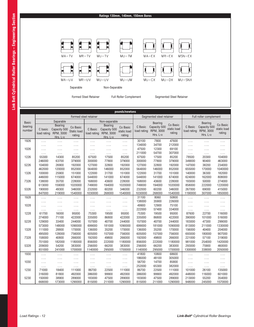# **Ratings 130mm, 140mm, 150mm Bores**



|              | pounds/newtons   |                 |                       |                  |                 |                   |                          |                 |                   |                        |                 |                   |
|--------------|------------------|-----------------|-----------------------|------------------|-----------------|-------------------|--------------------------|-----------------|-------------------|------------------------|-----------------|-------------------|
|              |                  |                 | Formed steel retainer |                  |                 |                   | Segmented steel retainer |                 |                   | Full roller complement |                 |                   |
| <b>Basic</b> |                  | Separable       |                       |                  | Non-separable   |                   |                          | <b>Bearing</b>  |                   |                        | <b>Bearing</b>  |                   |
| bearing      |                  | <b>Bearing</b>  | Co Basic              |                  | <b>Bearing</b>  | Co Basic          | C Basic                  | Capacity 500    | Co Basic          | C Basic                | Capacity 500    | Co Basic          |
| number       | C basic          | Capacity 500    | Static load           | C Basic          | Capacity 500    | static load       | load rating              | RPM, 3000       | static load       | load rating            | RPM, 3000       | static load       |
|              | load rating      | RPM, 3000       | rating                | load rating      | RPM, 3000       | rating            |                          | <b>Hrs. L10</b> | rating            |                        | <b>Hrs. L10</b> | rating            |
| 1926         |                  | <b>Hrs. L10</b> |                       |                  | <b>Hrs. L10</b> |                   | 30100                    | 7800            | 47600             |                        |                 |                   |
|              | .<br>.           | .               | .<br>.                | .                | .               | .<br>.            | 134000                   | 34700           | 212000            | .<br>.                 | .<br>.          | .                 |
| 1026         | .                | .<br>.          | .                     | .<br>.           | .<br>.          | .                 | 47500                    | 12300           | 69100             | .                      | .               | .<br>.            |
|              | .                | .               | .                     | .                | .               | .                 | 211000                   | 54700           | 307000            | .                      | .               | .                 |
| 1226         | 55300            | 14300           | 85200                 | 67500            | 17500           | 85200             | 67500                    | 17500           | 85200             | 78500                  | 20300           | 104000            |
|              | 246000           | 63700           | 379000                | 300000           | 77800           | 379000            | 300000                   | 77800           | 379000            | 349000                 | 90400           | 463000            |
| 5226         | 104000           | 26900           | 192000                | 127000           | 32800           | 192000            | 127000                   | 32800           | 192000            | 147000                 | 38200           | 234000            |
|              | 462000           | 120000          | 852000                | 564000           | 146000          | 852000            | 564000                   | 146000          | 852000            | 655000                 | 170000          | 1040000           |
| 1326         | 100000           | 25900           | 151000                | 122000           | 31700           | 151000            | 122000                   | 31700           | 151000            | 140000                 | 36300           | 182000            |
|              | 446000           | 115000          | 674000                | 544000           | 141000          | 674000            | 544000                   | 141000          | 674000            | 624000                 | 162000          | 808000            |
| 7326         | 138000           | 35700           | 228000                | 168000           | 43600           | 228000            | 168000                   | 43600           | 228000            | 193000                 | 50000           | 274000            |
|              | 613000           | 159000          | 1020000               | 749000           | 194000          | 1020000           | 749000                   | 194000          | 1020000           | 858000                 | 222000          | 1220000           |
| 5326         | 190000           | 49300           | 346000                | 232000           | 60200           | 346000            | 232000                   | 60200           | 346000            | 267000                 | 69000           | 415000            |
|              | 847000           | 219000          | 1540000               | 1030000          | 268000          | 1540000           | 1030000                  | 268000          | 1540000           | 1190000                | 307000          | 1850000           |
| 1928         | .                | .               | .                     | .                | .               | .                 | 31100                    | 8060            | 50800             | .                      | .               | .                 |
|              | .                | .               | .                     | .                | .               | .                 | 138000                   | 35900           | 226000            | .                      | .               | .                 |
| 1028         | .                | .               | .                     | .                | .               | .                 | 49900                    | 12900           | 75100             | .                      | .               | .                 |
|              | .                | $\ldots$        | .                     | .                | .               | .                 | 222000                   | 57400           | 334000            | .                      | .               | .                 |
| 1228         | 61700            | 16000           | 95000                 | 75300            | 19500           | 95000             | 75300                    | 19500           | 95000             | 87600                  | 22700           | 116000            |
|              | 274000           | 71100           | 422000                | 335000           | 86800           | 422000            | 335000                   | 86800           | 422000            | 390000                 | 101000          | 516000            |
| 5228         | 129000           | 33400           | 244000                | 157000           | 40700           | 244000            | 157000                   | 40700           | 244000            | 183000                 | 47300           | 299000            |
| 1328         | 573000<br>111000 | 148000<br>28800 | 1090000<br>170000     | 699000<br>136000 | 181000<br>35200 | 1090000<br>170000 | 699000<br>136000         | 181000<br>35200 | 1090000<br>170000 | 813000<br>156000       | 211000<br>40400 | 1330000<br>204000 |
|              | 495000           | 128000          | 756000                | 605000           | 157000          | 756000            | 605000                   | 157000          | 756000            | 693000                 | 180000          | 907000            |
| 7328         | 158000           | 40800           | 266000                | 192000           | 49800           | 266000            | 192000                   | 49800           | 266000            | 221000                 | 57100           | 319000            |
|              | 701000           | 182000          | 1180000               | 856000           | 222000          | 1180000           | 856000                   | 222000          | 1180000           | 981000                 | 254000          | 1420000           |
| 5328         | 209000           | 54200           | 383000                | 256000           | 66200           | 383000            | 256000                   | 66200           | 383000            | 293000                 | 75900           | 460000            |
|              | 931000           | 241000          | 1700000               | 1140000          | 295000          | 1700000           | 1140000                  | 295000          | 1700000           | 1300000                | 338000          | 2050000           |
| 1930         | .                | .               | .                     | .                | .               | .                 | 41800                    | 10800           | 68600             | .                      | .               | .                 |
|              | .                | .               | .                     | .                | .               | .                 | 186000                   | 48100           | 305000            | .                      | .               | .                 |
| 1030         | .                | .               | .                     | .                | .               | .                 | 56700                    | 14700           | 85800             | .                      | .               | .                 |
|              | .                | .               | .                     | .                | $\ldots$        | .                 | 252000                   | 65300           | 382000            | .                      | $\ldots$        | .                 |
| 1230         | 71000            | 18400           | 111000                | 86700            | 22500           | 111000            | 86700                    | 22500           | 111000            | 101000                 | 26100           | 135000            |
|              | 316000           | 81800           | 492000                | 386000           | 99900           | 492000            | 386000                   | 99900           | 492000            | 448000                 | 116000          | 601000            |
| 5230         | 150000           | 38900           | 289000                | 183000           | 47500           | 289000            | 183000                   | 47500           | 289000            | 213000                 | 55200           | 354000            |
|              | 668000           | 173000          | 1290000               | 815000           | 211000          | 1290000           | 815000                   | 211000          | 1290000           | 948000                 | 245000          | 1570000           |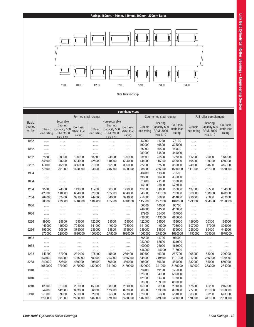

|                                   |                        |                                                                             |                                   |                        |                                                                                 | pounds/newtons                    |                        |                                                                |                                   |                        |                                                                |                                   |
|-----------------------------------|------------------------|-----------------------------------------------------------------------------|-----------------------------------|------------------------|---------------------------------------------------------------------------------|-----------------------------------|------------------------|----------------------------------------------------------------|-----------------------------------|------------------------|----------------------------------------------------------------|-----------------------------------|
|                                   |                        |                                                                             |                                   | Formed steel retainer  |                                                                                 |                                   |                        | Segmented steel retainer                                       |                                   | Full roller complement |                                                                |                                   |
| <b>Basic</b><br>bearing<br>number | C basic<br>load rating | Separable<br><b>Bearing</b><br>Capacity 500<br>RPM, 3000<br><b>Hrs. L10</b> | Co Basic<br>Static load<br>rating | C Basic<br>load rating | Non-separable<br><b>Bearing</b><br>Capacity 500<br>RPM, 3000<br><b>Hrs. L10</b> | Co Basic<br>static load<br>rating | C Basic<br>load rating | <b>Bearing</b><br>Capacity 500<br>RPM, 3000<br><b>Hrs. L10</b> | Co Basic<br>static load<br>rating | C Basic<br>load rating | <b>Bearing</b><br>Capacity 500<br>RPM, 3000<br><b>Hrs. L10</b> | Co Basic<br>static load<br>rating |
| 1932                              | .                      | .                                                                           | .                                 | .                      | .                                                                               | .                                 | 43200                  | 11200                                                          | 73100                             | .                      | .                                                              | .                                 |
|                                   | .                      | .                                                                           | .                                 | .                      | .                                                                               | .                                 | 192000                 | 49800                                                          | 325000                            | $\ldots$               | .                                                              | .                                 |
| 1032                              | .                      | .                                                                           | .                                 | .                      | .                                                                               | .                                 | 65000                  | 16800                                                          | 99800                             | .                      | .                                                              | .                                 |
|                                   | .                      | $\ldots$                                                                    | .                                 | .                      | .                                                                               | .                                 | 289000                 | 74800                                                          | 444000                            | .                      | .                                                              | $\cdots$                          |
| 1232                              | 78300                  | 20300                                                                       | 120000                            | 95600                  | 24800                                                                           | 120000                            | 99800                  | 25800                                                          | 127000                            | 112000                 | 29000                                                          | 148000                            |
|                                   | 348000                 | 90200                                                                       | 534000                            | 425000                 | 110000                                                                          | 534000                            | 444000                 | 115000                                                         | 565000                            | 498000                 | 129000                                                         | 660000                            |
| 5232                              | 174000                 | 45100                                                                       | 336000                            | 213000                 | 55100                                                                           | 336000                            | 222000                 | 57500                                                          | 356000                            | 249000                 | 64600                                                          | 415000                            |
|                                   | 775000                 | 201000                                                                      | 1490000                           | 946000                 | 245000                                                                          | 1490000                           | 988000                 | 256000                                                         | 1580000                           | 1110000                | 287000                                                         | 1850000                           |
| 1934                              | .                      | .                                                                           | .                                 | .                      | .                                                                               | .                                 | 43700                  | 11300                                                          | 75500                             | .                      | .                                                              | .                                 |
|                                   | .                      | .                                                                           |                                   |                        |                                                                                 | .                                 | 195000                 | 50400                                                          | 336000                            |                        |                                                                | .                                 |
| 1034                              | .                      | .                                                                           | .                                 | .                      | .                                                                               | .                                 | 81400                  | 21100                                                          | 130000                            | .                      | .                                                              | .                                 |
|                                   | .                      | .                                                                           | .                                 | .                      | .                                                                               | .                                 | 362000                 | 93800                                                          | 577000                            | .                      | .                                                              | .                                 |
| 1234                              | 95700                  | 24800                                                                       | 149000                            | 117000                 | 30300                                                                           | 149000                            | 122000                 | 31600                                                          | 158000                            | 137000                 | 35500                                                          | 184000                            |
|                                   | 426000                 | 110000                                                                      | 664000                            | 520000                 | 135000                                                                          | 664000                            | 543000                 | 141000                                                         | 703000                            | 609000                 | 158000                                                         | 820000                            |
| 5234                              | 202000                 | 52400                                                                       | 391000                            | 247000                 | 64000                                                                           | 391000                            | 258000                 | 66800                                                          | 414000                            | 290000                 | 75000                                                          | 483000                            |
|                                   | 900000                 | 233000                                                                      | 1740000                           | 1100000                | 285000                                                                          | 1740000                           | 1150000                | 297000                                                         | 1840000                           | 1290000                | 334000                                                         | 2150000                           |
| 1936                              | .                      | .                                                                           | .                                 | .                      | .                                                                               | .                                 | 56000                  | 14500                                                          | 93700                             | .                      | .                                                              | .                                 |
|                                   | .                      | .                                                                           | .                                 | .                      | .                                                                               | .                                 | 249000                 | 64500                                                          | 417000                            | .                      | .                                                              | .                                 |
| 1036                              | .                      | .                                                                           | .                                 | .                      |                                                                                 | .                                 | 97900                  | 25400                                                          | 154000                            |                        | .                                                              | .                                 |
|                                   | .                      | .                                                                           | $\cdots$                          | .                      | .                                                                               | $\cdots$                          | 436000                 | 113000                                                         | 685000                            | .                      | .                                                              | $\ldots$                          |
| 1236                              | 99600                  | 25800                                                                       | 159000                            | 122000                 | 31500                                                                           | 159000                            | 122000                 | 31500                                                          | 159000                            | 136000                 | 35300                                                          | 186000                            |
|                                   | 443000                 | 115000                                                                      | 708000<br>379000                  | 541000                 | 140000<br>61800                                                                 | 708000<br>379000                  | 541000<br>239000       | 140000<br>61800                                                | 708000<br>379000                  | 607000                 | 157000                                                         | 826000<br>442000                  |
| 5236                              | 195000<br>870000       | 50600<br>225000                                                             | 1690000                           | 239000<br>1060000      | 275000                                                                          | 1690000                           | 1060000                | 275000                                                         | 1690000                           | 268000<br>1190000      | 69400<br>309000                                                | 1970000                           |
| 1938                              |                        |                                                                             |                                   |                        |                                                                                 |                                   | 56800                  | 14700                                                          | 97000                             |                        |                                                                |                                   |
|                                   | .                      | .                                                                           | .                                 | .                      | .                                                                               | .                                 | 253000                 | 65500                                                          | 431000                            | .                      | .                                                              | .                                 |
| 1038                              | .                      | .                                                                           | .                                 | .                      | .                                                                               | .                                 | 100000                 | 26000                                                          | 161000                            | .                      | .                                                              | .                                 |
|                                   | .                      | .                                                                           | .                                 | .                      | .                                                                               | .                                 | 446000                 | 115000                                                         | 716000                            | .                      | .                                                              | .                                 |
| 1238                              | .<br>143200            | .<br>37000                                                                  | .<br>239400                       | .<br>175400            | .<br>45600                                                                      | $\ldots$<br>239400                | 190600                 | 49300                                                          | 267700                            | $\ldots$<br>205000     | .<br>53000                                                     | $\cdots$<br>299000                |
|                                   | 637000                 | 164900                                                                      | 1065000                           | 780000                 | 203000                                                                          | 1065000                           | 848000                 | 219500                                                         | 1191000                           | 912000                 | 236000                                                         | 1330000                           |
| 5238                              | 242000                 | 62800                                                                       | 489000                            | 296000                 | 76600                                                                           | 489000                            | 296000                 | 76600                                                          | 489000                            | 332000                 | 86000                                                          | 570000                            |
|                                   | 1080000                | 279000                                                                      | 2170000                           | 1320000                | 341000                                                                          | 2170000                           | 1320000                | 341000                                                         | 2170000                           | 1480000                | 383000                                                         | 254000                            |
| 1940                              | .                      | .                                                                           | .                                 | .                      | .                                                                               | .                                 | 73700                  | 19100                                                          | 125000                            | .                      | .                                                              | .                                 |
|                                   | .                      | .                                                                           | .                                 | .                      | .                                                                               | .                                 | 328000                 | 84900                                                          | 556000                            | .                      | .                                                              | .                                 |
| 1040                              | .                      | .                                                                           | .                                 | .                      | .                                                                               | .                                 | 121000                 | 31300                                                          | 193000                            | .                      | .                                                              | .                                 |
|                                   | .                      | .                                                                           | .                                 | .                      | .                                                                               | .                                 | 538000                 | 139000                                                         | 859000                            | .                      | .                                                              | .                                 |
| 1240                              | 123000                 | 31900                                                                       | 201000                            | 150000                 | 38900                                                                           | 201000                            | 150000                 | 38900                                                          | 201000                            | 175000                 | 45200                                                          | 246000                            |
|                                   | 547000                 | 142000                                                                      | 893000                            | 668000                 | 173000                                                                          | 893000                            | 668000                 | 173000                                                         | 893000                            | 777000                 | 201000                                                         | 1090000                           |
| 5240                              | 270000                 | 69900                                                                       | 551000                            | 329000                 | 85300                                                                           | 551000                            | 329000                 | 85300                                                          | 551000                            | 383000                 | 99200                                                          | 673000                            |
|                                   | 1200000                | 311000                                                                      | 2450000                           | 1460000                | 379000                                                                          | 2450000                           | 1460000                | 379000                                                         | 2450000                           | 1700000                | 441000                                                         | 2990000                           |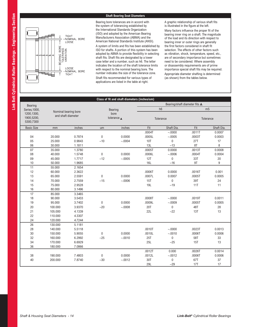# **Shaft Bearing Seat Diameters**

Bearing bore tolerances are in accord with the system of tolerancing established by the International Standards Organization (ISO) and adopted by the American Bearing Manufacturers Association (ABMA) and the American National Standards Institute (ANSI).

TIGHT NOMINAL BORE LOOSE

LOOSE<br>NOMINAL BORE **TIGHT** 

EARING BORE<br>TOLERANCE<br>VARIATION **BEARING** 

A system of limits and fits has been established by ISO for shafts. A portion of this system has been adopted by ABMA to provide flexibility in selecting shaft fits. Shaft fits are designated by a lower case letter and a number, such as h6. The letter indicates the location of the shaft tolerance limits with respect to the nominal bearing bore. The number indicates the size of the tolerance zone.

Shaft fits recommended for various types of applications are listed in the table at right.

A graphic relationship of various shaft fits is illustrated in the figure at the left.

Many factors influence the proper fit of the bearing inner ring on a shaft. The magnitude of the load and its direction with respect to bearing inner or outer rings are generally the first factors considered in shaft fit selection. The effects of other factors such as vibration, shock, temperature, speed, etc., are of secondary importance but sometimes need to be considered. Where assembly or disassembly requirements are of prime importance special shaft fits may be required. Appropriate diameter shafting is determined (as shown) from the tables below.

|                                       |                                            |                  |              | Class of fit and shaft diameters (inches/um) |                         |                               |                         |                            |
|---------------------------------------|--------------------------------------------|------------------|--------------|----------------------------------------------|-------------------------|-------------------------------|-------------------------|----------------------------|
| <b>Bearing</b>                        |                                            |                  |              |                                              |                         | Bearing/shaft diameter fits A |                         |                            |
| Series, 1000,                         |                                            |                  |              | <b>Bearing</b>                               |                         | h6                            |                         | m <sub>5</sub>             |
| 1200,1300,<br>1900,5200,<br>5300,7300 | Nominal bearing bore<br>and shaft diameter |                  |              | bore<br>tolerance                            |                         | Tolerance                     |                         | Tolerance                  |
| <b>Basic Size</b>                     | mm                                         | inches           | um           | inches                                       | Fit                     | Shaft Dia.                    | Fit                     | Shaft Dia.                 |
| 04<br>05                              | 20.000<br>25.000                           | 0.7874<br>0.9843 | 0<br>$-10$   | 0.0000<br>$-.0004$                           | .0004T<br>.0005L<br>10T | $-.0000$<br>$-.0005$<br>0     | .0011T<br>.0003T<br>27T | 0.0007<br>0.0003<br>$17\,$ |
| 06                                    | 30.000                                     | 1.1811           |              |                                              | 13L                     | $-13$                         | 8T                      | $\,8\,$                    |
| 07<br>08                              | 35.000<br>40.000                           | 1.3780<br>1.5748 | $\mathbf 0$  | 0.0000                                       | .0005T<br>.0006L        | 0.0000<br>$-.0006$            | .0013T<br>.0004T        | 0.0008<br>0.0004           |
| 09                                    | 45.000                                     | 1.7717           | $-12$        | $-.0005$                                     | 12T                     | 0                             | 33T                     | 20                         |
| 10                                    | 50.000                                     | 1.9685           |              |                                              | 16L                     | $-16$                         | 9T                      | 9                          |
| 11<br>12                              | 55.000<br>60.000                           | 2.1654<br>2.3622 |              |                                              | .0006T                  | 0.0000                        | .0016T                  | 0.001                      |
| 13                                    | 65.000                                     | 2.5591           | 0            | 0.0000                                       | .0007L                  | 0.0007                        | .0005T                  | 0.0005                     |
| 14                                    | 70.000                                     | 2.7559           | $-15$        | $-.0006$                                     | <b>15T</b>              | 0                             | 39T                     | 24                         |
| 15                                    | 75.000                                     | 2.9528           |              |                                              | 19L                     | $-19$                         | 11T                     | 11                         |
| 16                                    | 80.000                                     | 3.1496           |              |                                              |                         |                               |                         |                            |
| 17<br>18                              | 85.000<br>90.000                           | 3.3465<br>3.5433 |              |                                              | .0008T                  | $-.0000$                      | .0019T                  | 0.0011                     |
| 19                                    | 95.000                                     | 3.7402           | $\mathbf 0$  | 0.0000                                       | .0009L                  | $-.0009$                      | .0005T                  | 0.0005                     |
| 20                                    | 100.000                                    | 3.9370           | $-20$        | $-.0008$                                     | 20T                     | $\mathbf 0$                   | 48T                     | 28                         |
| 21                                    | 105.000                                    | 4.1339           |              |                                              | 22L                     | $-22$                         | 13T                     | 13                         |
| 22                                    | 110.000                                    | 4.3307           |              |                                              |                         |                               |                         |                            |
| 24                                    | 120.000                                    | 4.7244           |              |                                              |                         |                               |                         |                            |
| 26                                    | 130.000                                    | 5.1181           |              |                                              |                         |                               |                         |                            |
| 28                                    | 140.000                                    | 5.5118           |              |                                              | .0010T                  | $-.0000$                      | .0023T                  | 0.0013                     |
| 30                                    | 150.000                                    | 5.9055           | $\mathbf{0}$ | 0.0000                                       | .0010L                  | $-.0010$                      | .0006T                  | 0.0006                     |
| 32                                    | 160.000                                    | 6.2992           | $-25$        | $-.0010$                                     | 25T                     | $\overline{0}$                | 58T                     | 33                         |
| 34                                    | 170.000                                    | 6.6929           |              |                                              | 25L                     | $-25$                         | 15T                     | 13                         |
| 36                                    | 180.000                                    | 7.0866           |              |                                              |                         |                               |                         |                            |
|                                       |                                            |                  |              |                                              | .0012T                  | 0.000                         | .0026T                  | 0.0014                     |
| 38                                    | 190.000                                    | 7.4803           | 0            | 0.0000                                       | .0012L                  | $-.0012$                      | .0006T                  | 0.0006                     |
| 40                                    | 200.000                                    | 7.8740           | $-30$        | $-.0012$                                     | 30T                     | $\boldsymbol{0}$              | 67T                     | 37                         |
|                                       |                                            |                  |              |                                              | 29L                     | $-29$                         | 17T                     | 17                         |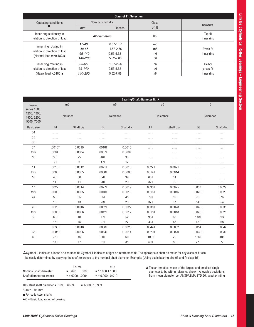|                                                                                            |                                     | <b>Class of Fit Selection</b>                            |                                                                      |                                  |
|--------------------------------------------------------------------------------------------|-------------------------------------|----------------------------------------------------------|----------------------------------------------------------------------|----------------------------------|
| Operating conditions                                                                       |                                     | Nominal shaft dia.                                       | <b>Class</b>                                                         | <b>Remarks</b>                   |
|                                                                                            | mm                                  | inches                                                   | of fit                                                               |                                  |
| Inner ring stationary in<br>relation to direction of load                                  |                                     | All diameters                                            | h <sub>6</sub>                                                       | Tap fit<br>inner ring            |
| Inner ring rotating in<br>relation to direction of load<br>(Normal load m=0.18C) $\bullet$ | 17-40<br>40-65<br>65-140<br>140-200 | $0.67 - 1.57$<br>$1.57 - 2.56$<br>2.56-5.52<br>5.52-7.88 | m <sub>5</sub><br>m <sub>6</sub><br>n <sub>6</sub><br>p <sub>6</sub> | Press fit<br>inner ring          |
| Inner ring rotating in<br>relation to direction of load<br>(Heavy load $> 0.018C$ )        | $35 - 65$<br>65-140<br>140-200      | 1.37-2.56<br>2.56-5.52<br>5.52-7.88                      | n <sub>6</sub><br>p <sub>6</sub><br>r <sub>6</sub>                   | Heavy<br>press fit<br>inner ring |
|                                                                                            |                                     |                                                          |                                                                      |                                  |

|                                                          |        |            |            |            | Bearing/Shaft diameter fit ▲ |                |            |            |
|----------------------------------------------------------|--------|------------|------------|------------|------------------------------|----------------|------------|------------|
| Bearing                                                  |        | m6         |            | n6         |                              | p <sub>6</sub> |            | r6         |
| series 1000,<br>1200, 1300,<br>1900, 5200,<br>5300, 7300 |        | Tolerance  |            | Tolerance  |                              | Tolerance      |            | Tolerance  |
| <b>Basic size</b>                                        | Fit    | Shaft dia. | Fit        | Shaft dia. | Fit                          | Shaft dia.     | Fit        | Shaft dia. |
| 04                                                       | .      |            |            |            |                              | .              | .          |            |
| 05                                                       | .      |            |            |            |                              | .              | .          | .          |
| 06                                                       | .      |            |            |            | .                            |                |            | .          |
| 07                                                       | .0015T | 0.0010     | .0018T     | 0.0013     |                              |                | .          |            |
| thru                                                     | .0004T | 0.0004     | .0007T     | 0.0007     |                              | .              |            |            |
| 10                                                       | 38T    | 25         | 46T        | 33         | .                            |                |            |            |
|                                                          | 9T     | 9          | 17T        | 17         |                              | .              | .          |            |
| 11                                                       | .0018T | 0.0012     | .0021T     | 0.0015     | .0027T                       | 0.0021         | .          | .          |
| thru                                                     | .0005T | 0.0005     | .0008T     | 0.0008     | .0014T                       | 0.0014         |            |            |
| 16                                                       | 45T    | 30         | 54T        | 39         | 66T                          | 51             |            | .          |
|                                                          | 11T    | 11         | <b>20T</b> | 20         | 32T                          | 32             |            |            |
| 17                                                       | .0022T | 0.0014     | .0027T     | 0.0019     | .0033T                       | 0.0025         | .0037T     | 0.0029     |
| thru                                                     | .0005T | 0.0005     | .0010T     | 0.0010     | .0016T                       | 0.0016         | .0020T     | 0.0020     |
| 24                                                       | 55T    | 35         | 65T        | 45         | <b>79T</b>                   | 59             | 96T        | 76         |
|                                                          | 13T    | 13         | 23T        | 23         | 37T                          | 37             | 54T        | 54         |
| 26                                                       | .0026T | 0.0016     | .0032T     | 0.0022     | .0038T                       | 0.0028         | .0045T     | 0.0035     |
| thru                                                     | .0006T | 0.0006     | .0012T     | 0.0012     | .0018T                       | 0.0018         | .0025T     | 0.0025     |
| 36                                                       | 65T    | 40         | <b>77T</b> | 52         | 93T                          | 68             | 118T       | 93         |
|                                                          | 15T    | 15         | 27T        | 27         | 43T                          | 43             | 68T        | 68         |
|                                                          | .0030T | 0.0018     | .0038T     | 0.0026     | .0044T                       | 0.0032         | .0054T     | 0.0042     |
| 38                                                       | .0006T | 0.0006     | .0014T     | 0.0014     | .0020T                       | 0.0020         | .0030T     | 0.0030     |
| 40                                                       | 76T    | 46         | 90T        | 60         | 109T                         | 79             | 136T       | 106        |
|                                                          | 17T    | 17         | 31T        | 31         | 50T                          | 50             | <b>77T</b> | 77         |

 Symbol L indicates a loose or clearance fit. Symbol T indicates a tight or interference fit. The appropriate shaft diameter for any class of fit can be easily determined by applying the shaft tolerance to the nominal shaft diameter. Example: (Using basic bearing size 03 and fit class h6)

|                          | inches           | mm                |
|--------------------------|------------------|-------------------|
| Nominal shaft diameter   | $= 6693$<br>6693 | $= 17.000 17.000$ |
| Shaft diameter tolerance | $= +0000 - 0004$ | $= +0.000 -0.010$ |

The arithmetical mean of the largest and smallest single diameter to be within tolerance shown. Allowable deviations from mean diameter per ANSI/ABMA STD 20, latest printing.

Resultant shaft diameter = .6693 .6689 = 17.000 16.989

 $1 \mu m = .001$  mm

For solid steel shafts.

 $\bullet$  C = Basic load rating of bearing.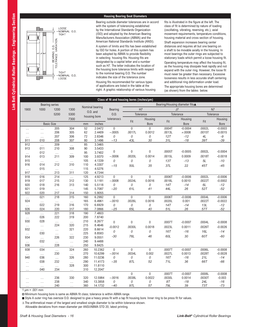# **Housing Bearing Seat Diameters**



Bearing outside diameter tolerances are in accord with the system of tolerancing established by the International Standards Organization (ISO) and adopted by the American Bearing Manufacturers Association (ABMA) and the American National Standards Institute (ANSI). A system of limits and fits has been established by ISO for holes. A portion of this system has been adopted by ABMA to provide flexibility in selecting housing fits. Housing fits are designated by a capital letter and a number such as H7. The letter indicates the location of the housing bore tolerance limits with respect to the nominal bearing O.D. The number indicates the size of the tolerance zone. Housing fits recommended for various types of applications are listed in the table at the right. A graphic relationship of various housing

fits is illustrated in the figure at the left. The class of fit is determined by nature of loading (oscillating, vibrating, reversing, etc.), axial movement requirements, temperature conditions, housing material and cross section of housing.

Shaft expansion increases bearing center distances and requires all but one bearing on a shaft to be movable axially in the housing. In most bearings the outer rings are subjected to stationary loads which permit a loose housing fit. Operating temperature may affect the housing fit, as the housing may dissipate heat rapidly and not expand with the outer ring. However, the loose fit must never be greater than necessary. Excessive looseness results in less accurate shaft centering and additional ring deformation under load.

The appropriate housing bores are determined (as shown) from the tables below.

|                 |                 |                       |                 |            |                  | Class of fit and housing bores (inches/µm) |                   |                  |            |                                |            |                |
|-----------------|-----------------|-----------------------|-----------------|------------|------------------|--------------------------------------------|-------------------|------------------|------------|--------------------------------|------------|----------------|
|                 |                 | <b>Bearing series</b> |                 |            |                  |                                            |                   |                  |            | Bearing/Housing diameter fits▲ |            |                |
| 1900            | 1000            | 1200                  | 1300            |            | Nominal bearing  | Bearing                                    |                   | H7               |            | J7                             |            | N7             |
|                 |                 | 5200                  | 5300            |            | O.D. and         | 0.D.                                       |                   | Tolerance        |            | Tolerance                      | Tolerance  |                |
|                 |                 |                       | 7300            |            | housing bore     | tolerance∆                                 |                   | Housing          |            | Housing                        |            | Housing        |
|                 |                 | <b>Basic Size</b>     |                 | mm         | inches           |                                            | Fit               | <b>Bore</b>      | Fit        | <b>Bore</b>                    | Fit        | <b>Bore</b>    |
| .               | .               | 205                   | 304             | 52         | 2.0472           | $\mathbf{0}$                               | $\mathbf{0}$      | $\mathbf{0}$     | .0004T     | $-0.0004$                      | .0002L     | $-0.0003$      |
| $\cdots$        | $\ldots$        | 206                   | 305             | 62         | 2.4409           | $-.0005$                                   | .0017L            | 0.0012           | .0013L     | ≠.0008                         | .0015T     | $-0.0015$      |
| $\cdots$        | $\cdots$        | 207                   | 306             | 72         | 2.8346           | $\overline{O}$                             | 0                 | 0                | 12T        | $-12$                          | 4L         | $-9$           |
| 911             | 010             | 208                   | 307             | 80         | 3.1496           | $-13$                                      | 43L               | 30               | 31L        | $-18$                          | 39T        | $-39$          |
| 912             | $\cdots$        | 209                   | $\cdots$        | 85         | 3.3465           |                                            |                   |                  |            |                                |            |                |
| 913             | 011             | 210                   | 308             | 90         | 3.5433           |                                            |                   |                  |            |                                |            |                |
| $\cdots$        | 012             | $\ldots$              | $\ldots$        | 95         | 3.7402           | $\boldsymbol{0}$                           | $\boldsymbol{0}$  | $\boldsymbol{0}$ | .0005T     | $-0.0005$                      | .0002L     | $-0.0004$      |
| 914             | 013             | 211                   | 309             | 100        | 3.9370           | $-.0006$                                   | .0020L            | 0.0014           | .0015L     | 0.0009                         | .0018T     | $-0.0018$      |
| 915             | $\cdots$        | $\ldots$              | $\cdots$        | 105        | 4.1339           | 0                                          | 0                 | 0                | 13T        | $-13$                          | 5L         | $-10$          |
| 916             | 014             | 212                   | 310             | 110        | 4.3307           | $-15$                                      | 50L               | 35               | 37L        | 22                             | <b>45T</b> | $-45$          |
| $\ldots$        | 015             | $\cdots$              | $\cdots$        | 115        | 4.5276           |                                            |                   |                  |            |                                |            |                |
| 917             | $\cdots$        | 213                   | 311             | 120        | 4.7244           |                                            |                   |                  |            |                                |            |                |
| 918             | 016             | 214                   | $\cdots$        | 125        | 4.9213           | $\mathbf 0$                                | $\mathbf 0$       | $\mathbf 0$      | .0006T     | $-0.0006$                      | .0002L     | $-0.0006$      |
| 919             | 017             | 215                   | 312             | 130        | 5.1181           | $-.0008$                                   | .0024L            | 0.0016           | .0018L     | 0.0010                         | .0022T     | $-0.0002$      |
| 920             | 018             | 216                   | 313             | 140        | 5.5118           | 0                                          | 0                 | 0                | 14T        | $-14$                          | 6L         | $-12$          |
| 921             | 019             | $\cdots$              | $\ldots$        | 145        | 5.7087           | $-20$                                      | 61L               | 41               | 44L        | 26                             | 52T        | $-52$          |
| 922             | 020             | 217                   | 314             | 150        | 5.9055           |                                            |                   |                  |            |                                |            |                |
| $\cdots$        | 021             | 218                   | 315             | 160        | 6.2992           | $\mathbf 0$                                | $\mathbf 0$       | $\Omega$         | .0006T     | $-0.0006$                      | .0004L     | $-0.0006$      |
| 924             | $\ldots$        | $\ldots$              | $\ldots$        | 165        | 6.4961           | $-.0010$                                   | .0026L            | 0.0016           | .0020L     | 0.001                          | .0022T     | $-0.0022$      |
| $\cdots$<br>926 | 022<br>024      | 219<br>220            | 316<br>317      | 170<br>180 | 6.6929<br>7.0866 | 0<br>$-25$                                 | ${\cal O}$<br>65L | 0<br>40          | <b>14T</b> | $-14$<br>26                    | 13L        | $-12$<br>$-52$ |
| 928             |                 | 221                   | 318             | 190        | 7.4803           |                                            |                   |                  | 51L        |                                | 57T        |                |
|                 | $\cdots$<br>026 | 222                   | 319             | 200        | 7.8740           |                                            |                   |                  |            |                                |            |                |
| $\cdots$<br>930 | 028             |                       |                 | 210        | 8.2677           |                                            |                   |                  |            |                                |            |                |
|                 | $\ldots$        | $\ldots$<br>224       | $\cdots$<br>320 | 215        | 8.4646           | $\boldsymbol{0}$                           | $\boldsymbol{0}$  | $\mathbf 0$      | .0007T     | $-0.0007$                      | .0004L     | $-0.0008$      |
| $\cdots$<br>932 | $\ldots$        | $\cdots$              | 321             | 220        | 8.6614           | $-0.0012$                                  | .0030L            | 0.0018           | .0023L     | 0.0011                         | .0026T     | $-0.0026$      |
| $\cdots$        | 030             | $\ldots$              | $\cdots$        | 225        | 8.8583           | 0                                          | ${\cal O}$        | 0                | <b>16T</b> | $-16$                          | 16L        | $-14$          |
| 934             | $\cdots$        | 226                   | 322             | 230        | 9.0551           | $-30$                                      | 76L               | 46               | 60L        | 30                             | 60T        | $-60$          |
| $\ldots$        | 032             | $\ldots$              | $\cdots$        | 240        | 9.4488           |                                            |                   |                  |            |                                |            |                |
| 936             | $\cdots$        | 228                   | $\ldots$        | 250        | 9.8425           |                                            |                   |                  |            |                                |            |                |
| 938             | 034             | $\cdots$              | 324             | 260        | 10.2362          | $\overline{0}$                             | $\mathbf{0}$      | $\overline{0}$   | .0007T     | $-0.0007$                      | .0006L     | $-0.0008$      |
| $\cdots$        | $\cdots$        | 230                   | $\ldots$        | 270        | 10.6299          | $-.0014$                                   | .0034L            | 0.002            | .0027L     | 0.0013                         | .0028T     | $-0.0028$      |
| 940             | 036             | $\cdots$              | 326             | 280        | 11.0236          | 0                                          | 0                 | 0                | 16T        | $-16$                          | 21L        | $-14$          |
| $\cdots$        | 038             | 232                   | $\ldots$        | 290        | 11.4173          | $-35$                                      | 87L               | 52               | 71L        | 36                             | 66T        | -66            |
| $\cdots$        | $\ldots$        | $\ldots$              | 328             | 300        | 11.8110          |                                            |                   |                  |            |                                |            |                |
|                 | 040             | 234                   | $\cdots$        | 310        | 12.2047          |                                            |                   |                  |            |                                |            |                |
|                 |                 |                       |                 |            |                  |                                            | $\mathbf 0$       | $\mathbf 0$      | .0007T     | $-0.0007$                      | .0008L     | $-0.0008$      |
|                 | $\cdots$        | 236                   | 330             | 320        | 12.5984          | $-.0016$                                   | .0038L            | 0.0022           | .0030L     | 0.0014                         | .0030T     | $-0.003$       |
| $\cdots$        | $\cdots$        | 238                   | $\cdots$        | 340        | 13.3858          | 0                                          | 0                 | 0                | 8T         | $-18$                          | 24L        | $-16$          |
|                 |                 | 240                   | $\cdots$        | 360        | 14.1732          | $-40$                                      | 97L               | 57               | 79L        | 39                             | 73T        | -73            |

 $1 \mu m = .001 \, mm$ 

□ Minimum housing bore is same as ABMA fit class; tolerance is within ABMA range.

Style A outer ring has oversize O.D. designed to give a heavy press fit with a tap fit housing bore. Inner ring to be press fit for values.

∆ The arithmetical mean of the largest and smallest single diameter to be within tolerance shown.

Allowable deviations from mean diameter per ANSI/ABMA STD 20, latest printing.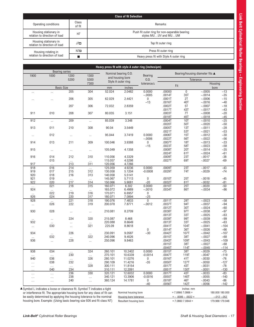|                                                        |                 | <b>Class of fit Selection</b>                                         |
|--------------------------------------------------------|-----------------|-----------------------------------------------------------------------|
| Operating conditions                                   | Class<br>of fit | <b>Remarks</b>                                                        |
| Housing stationary in<br>relation to direction of load | H7              | Push fit outer ring for non-separable bearing<br>styles MUUV and MUUM |
| Housing stationary in<br>relation to direction of load | $J7\Box$        | Tap fit outer ring                                                    |
| Housing rotating in                                    | $N7\Box$        | Press fit outer ring                                                  |
| relation to direction of load                          |                 | Heavy press fit with Style A outer ring                               |

|                      |                 | <b>Bearing series</b> |                   |                    |                                          |                    |                  |                    |                                 |                 |
|----------------------|-----------------|-----------------------|-------------------|--------------------|------------------------------------------|--------------------|------------------|--------------------|---------------------------------|-----------------|
| 1900                 | 1000            | 1200                  | 1300              |                    | Nominal bearing O.D.<br>and housing bore | Bearing            |                  |                    | Bearing/housing diameter fits ▲ |                 |
|                      |                 | 5200                  | 5300              |                    | Style A outer ring                       | 0.D.               |                  |                    | Tolerance                       |                 |
|                      |                 |                       | 7300              |                    |                                          | tolerance∆         | Fit              |                    | Housing                         |                 |
|                      |                 | <b>Basic Size</b>     |                   | mm                 | inches                                   |                    |                  |                    | bore                            |                 |
| $\cdots$             | $\ddotsc$       | 205                   | 304               | 52.024             | 2.0482                                   | 0.0000<br>$-.0005$ | .00000<br>.0014T | $\mathbf 0$<br>35T | $-.0005$<br>$-.0014$            | $-13$<br>$-35$  |
| $\cdots$             |                 | 206                   | 305               | 62.029             | 2.4421                                   | 0                  | .0001T           | 2T                 | $-.0006$                        | $-15$           |
|                      |                 |                       |                   |                    |                                          | $-13$              | .0016T           | 40T                | $-.0016$                        | $-40$           |
|                      |                 | 207                   | 306               | 72.032             | 2.8359                                   |                    | .0002T           | 5T                 | $-.0007$                        | $-18$           |
|                      |                 |                       |                   |                    |                                          |                    | .0017T           | 43T                | $-.0017$                        | $-43$           |
| 911                  | 010             | 208                   | 307               | 80.035             | 3.151                                    |                    | .0003T<br>.0018T | 7T<br>45T          | $-.0008$<br>$-.0018$            | $-20$<br>$-45$  |
| 912                  | $\ldots$        | 209                   | $\ldots$          | 85.039             | 3.348                                    |                    | .0004T           | <b>10T</b>         | $-.0010$                        | $-25$           |
|                      |                 |                       |                   |                    |                                          |                    | .0020T           | 50T                | $-.0020$                        | $-50$           |
| 913                  | 011             | 210                   | 308               | 90.04              | 3.5449                                   |                    | .0005T           | 13T                | $-.0011$                        | $-28$           |
|                      |                 |                       |                   |                    |                                          |                    | .0021T           | 53T                | $-.0021$                        | $-53$           |
| $\cdots$             | 012             | $\cdots$              | $\cdots$          | 95.044             | 3.7419                                   | 0.0000             | .0006T           | 15T                | $-.0012$                        | $-30$           |
| 914                  | 013             | 211                   | 309               | 100.046            | 3.9388                                   | $-.0006$<br>0      | .0022T<br>.0007T | 56T<br><b>18T</b>  | $-.0022$<br>$-.0013$            | $-56$<br>$-33$  |
|                      |                 |                       |                   |                    |                                          | $-15$              | .0023T           | 58T                | $-.0023$                        | $-58$           |
| 915                  | $\ldots$        | $\cdots$              | $\cdots$          | 105.049            | 4.1358                                   |                    | .0008T           | <b>20T</b>         | $-.0014$                        | $-35$           |
|                      |                 |                       |                   |                    |                                          |                    | .0024T           | 61T                | $-.0024$                        | $-61$           |
| 916                  | 014             | 212                   | 310               | 110.056            | 4.3329                                   |                    | .0009T           | 23T                | $-.0017$                        | $-38$           |
| 917                  | 015             | $\ldots$<br>213       | $\ldots$<br>311   | 115.057<br>120.056 | 4.5298<br>4.7266                         |                    | .0027T           | 69T                | $-.0027$                        | $-69$           |
| 918                  | $\cdots$<br>016 | 214                   |                   | 125.059            | 4.9236                                   | 0.0000             | .0009T           | 23T                | $-.0017$                        | $-43$           |
| 919                  | 017             | 215                   | $\ldots$<br>312   | 130.058            | 5.1204                                   | $-0.0008$          | .0029T           | 74T                | $-.0029$                        | $-74$           |
| 920                  | 018             | 216                   | 313               | 140.058            | 5.5141                                   |                    |                  |                    |                                 |                 |
| 921                  | 019             | $\ldots$              | $\ldots$          | 145.067            | 5.7113                                   | 0                  | .0010T           | 25T                | $-.0018$                        | $-45$           |
| 922                  | 020             | 217                   | 314               | 150.066            | 5.9081                                   | $-20$              | .0032T           | 81T                | $-.0032$                        | $-81$           |
| $\cdots$<br>924      | 021             | 218                   | 315               | 160.071<br>165.072 | 6.302<br>6.4989                          | 0.0000<br>$-.0010$ | .0010T<br>.0034T | 25T<br>86T         | $-.0020$<br>$-.0034$            | $-50$<br>$-86$  |
| $\ldots$             | $\cdots$<br>022 | $\cdots$<br>219       | $\dots$<br>316    | 170.071            | 6.6957                                   | 0                  |                  |                    |                                 |                 |
| 926                  | 024             | 220                   | 317               | 180.071            | 7.0894                                   | $-25$              |                  |                    |                                 |                 |
| 928                  |                 | 221                   | 318               | 190.076            | 7.4833                                   | $\overline{0}$     | .0011T           | 28T                | $-.0023$                        | $-58$           |
| $\cdots$             | 026             | 222                   | 319               | 200.078            | 7.8771                                   | $-.0012$           | .0037T           | 94T                | $-.0037$                        | $-94$           |
|                      |                 |                       |                   |                    |                                          |                    | .0012T           | 30T                | $-.0024$<br>$-.0038$            | $-60$           |
| 930                  | 028             | $\ldots$              | $\cdots$          | 210.081            | 8.2709                                   |                    | .0038T<br>.0013T | 97T<br>33T         | $-.0025$                        | $-97$<br>$-63$  |
| $\ldots$             | $\cdots$        | 224                   | 320               | 215.087            | 8.468                                    |                    | .0039T           | 99T                | $-.0039$                        | $-99$           |
| 932                  | $\cdots$        | $\cdots$              | $\ldots$          | 220.088            | 8.6649                                   |                    | .0013T           | 33T                | $-.0025$                        | $-63$           |
| $\cdots$             | 030             | $\cdots$              | 321               | 225.09             | 8.8618                                   |                    | .0041T           | 104T               | $-.0041$                        | $-104$          |
|                      |                 |                       |                   |                    |                                          | 0                  | .0014T           | 36T                | $-.0026$                        | $-66$           |
| 934                  | $\ldots$<br>032 | 226                   | $\ldots$<br>322   | 230.091<br>240.096 | 9.0587<br>9.4526                         | $-30$              | .0042T<br>.0015T | 107T<br>38T        | $-.0042$<br>$-.0027$            | $-107$<br>$-68$ |
| $\cdots$<br>936      | $\ldots$        | $\cdots$<br>228       | $\cdots$          | 250.096            | 9.8463                                   |                    | .0043T           | 109T               | $-.0043$                        | $-109$          |
|                      |                 |                       |                   |                    |                                          |                    | .0015T           | 38T                | $-.0027$                        | $-68$           |
|                      |                 |                       |                   |                    |                                          |                    | .00451           | 114T               | $-.0045$                        | $-114$          |
| 938                  | 034             | $\ldots$              | 324               | 260.101            | 10.2402                                  | 0.0000             | .0015T           | 38T                | $-.0029$                        | $-73$           |
| $\ldots$             | $\ldots$        | 230                   | $\dots$           | 270.101            | 10.6339                                  | $-0.0014$          | .0047T           | 119T               | $-.0047$                        | $-119$          |
| 940                  | 036<br>038      | $\ldots$<br>232       | 326<br>$\ldots$   | 280.101<br>290.109 | 11.0276<br>11.4216                       | 0<br>$-35$         | .0016T<br>.0050T | 41T<br>127T        | $-.0030$<br>$-.0050$            | $-76$<br>$-127$ |
| $\ldots$<br>$\cdots$ | $\ldots$        | $\ldots$              | 328               | 300.111            | 11.8154                                  |                    | .0017T           | 43T                | $-.0031$                        | $-78$           |
|                      | 040             | 234                   |                   | 310.111            | 12.2091                                  |                    | .0051T           | 130T               | $-.0051$                        | $-130$          |
| $\cdots$             | $\ldots$        | 236                   | 330               | 320.121            | 12.6032                                  | 0.0000             | .0017T           | 43T                | $-.0033$                        | $-83$           |
| $\cdots$             | $\ldots$        | 238                   | $\ldots$          | 340.121            | 13.3906                                  | $-0.0016$          | .0055T           | 140T               | $-.0055$                        | $-140$          |
| $\cdots$             | $\ldots$        | 240                   | $\ldots$          | 360.124            | 14.1781                                  | 0<br>$-40$         | .0018T<br>.0056T | 46T<br>142T        | $-.0043$<br>$-.0056$            | $-86$<br>$-142$ |
|                      |                 |                       | <b>LITTLE ARE</b> |                    |                                          |                    |                  | inahoo             |                                 |                 |

▲ Symbol L indicates a loose or clearance fit. Symbol T indicates a tight or interference fit. The appropriate housing bore for any class of fit can be easily determined by applying the housing tolerance to the nominal housing bore. Example: (Using basic bearing size 926 and fit class N7)

|                        | inches mm           |                 |
|------------------------|---------------------|-----------------|
| Nominal housing bore   | $= 7.0866$ 7.0866 = | 180,000 180,000 |
| Housing bore tolerance | $=-.0006 - .0022 =$ | $-.012 - .052$  |
| Resultant housing bore | $= 7.08607.0844 =$  | 179.988 179.948 |

Link Belt Cylindrical Roller Bearings - Engineering Section **Link Belt Cylindrical Roller Bearings – Engineering Section**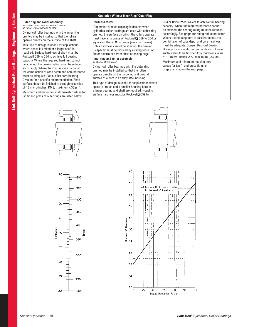# **Operation Without Inner Ring/ Outer Ring**

# **Outer ring and roller assembly** *for Series M-EX, M-EAX, M-EB, M-EAB, M-TV, M-TAV, M-UV and M-UAV*

Cylindrical roller bearings with the inner ring omitted may be installed so that the rollers operate directly on the surface of the shaft. This type of design is useful for applications where space is limited or a larger shaft is required. Surface hardness of shaft must be Rockwell C59 to C64 to achieve full bearing capacity. Where the required hardness cannot be attained, the bearing rating must be reduced accordingly. Where the shaft is case hardened, the combination of case depth and core hardness must be adequate. Consult Rexnord Bearing Division for a specific recommendation. Shaft surface should be finished to a roughness value of 13 micro-inches, RMS, maximum (.33 μm). Maximum and minimum shaft diameter values for tap fit and press fit outer rings are listed below.

# **Hardness factor**

If operation at rated capacity is desired when cylindrical roller bearings are used with either ring omitted, the surface on which the rollers operate must have a hardness of Rockwell□ C59 to C64 or equivalent Brinell **hardness** (see chart below). If this hardness cannot be attained, the bearing C capacity must be reduced by a rating reduction factor determined from chart on facing page.

**Inner ring and roller assembly** *for Series MU-X, MU-B*

Cylindrical roller bearings with the outer ring omitted may be installed so that the rollers operate directly on the hardened and ground surface of a bore in an alloy steel housing. This type of design is useful for applications where space is limited and a smaller housing bore or a larger bearing and shaft are required. Housing surface hardness must be Rockwell C59 to

C64 or Brinell ■ equivalent to achieve full bearing capacity. Where the required hardness cannot be attained, the bearing rating must be reduced accordingly. See graph for rating reduction factor. Where the housing bore is case hardened, the combination of case depth and core hardness must be adequate. Consult Rexnord Bearing Division for a specific recommendation. Housing surface should be finished to a roughness value of 13 micro-inches, A.A., maximum (.33 μm).

Maximum and minimum housing bore values for tap fit and press fit inner rings are listed on the next page.



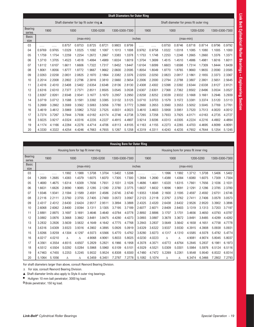|                          |        |        |                                         |           |           |        |        |                | <b>Shaft Diameters for Outer Ring</b> |        |        |        |                                         |           |                |        |
|--------------------------|--------|--------|-----------------------------------------|-----------|-----------|--------|--------|----------------|---------------------------------------|--------|--------|--------|-----------------------------------------|-----------|----------------|--------|
|                          |        |        | Shaft diameter for tap fit outer ring ▲ |           |           |        |        |                |                                       |        |        |        | Shaft diameter for press fit outer ring |           |                |        |
| <b>Bearing</b><br>series | 1900   |        | 1000                                    |           | 1200-5200 |        |        | 1300-5300-7300 | 1900                                  |        |        | 1000   |                                         | 1200-5200 | 1300-5300-7300 |        |
| <b>Basic</b><br>size     |        |        |                                         | (max-min) |           |        |        |                | inches                                |        |        |        | $(max-min)$                             |           |                |        |
| 03                       | .      | .      | 0.8757                                  | 0.8753    | 0.8725    | 0.8721 | 0.9803 | 0.9799         |                                       | .      | 0.8750 | 0.8746 | 0.8718                                  | 0.8714    | 0.9796         | 0.9792 |
| 04                       | 0.9769 | 0.9765 | 1.0329                                  | 1.0325    | 1.1092    | 1.1087 | 1.1013 | 1.1008         | 0.9762                                | 0.9758 | 1.0322 | 1.0318 | 1.1085                                  | 1.1080    | 1.1005         | 1.1000 |
| 05                       | 1.1759 | 1.1754 | 1.2259                                  | 1.2254    | 1.2672    | 1.2667 | 1.3383 | 1.3378         | 1.1753                                | 1.1748 | 1.2253 | 1.2248 | 1.2665                                  | 1.2660    | 1.3376         | 1.3371 |
| 06                       | 1.3710 | 1.3705 | 1.4523                                  | 1.4518    | 1.4994    | 1.4989 | 1.6024 | 1.6019         | 1.3704                                | 1.3699 | 1.4515 | 1.4510 | 1.4986                                  | 1.4981    | 1.6016         | 1.6011 |
| 07                       | 1.6112 | 1.6107 | 1.6611                                  | 1.6606    | 1.7322    | 1.7317 | 1.8452 | 1.8447         | 1.6104                                | 1.6099 | 1.6603 | 1.6598 | 1.7314                                  | 1.7309    | 1.8444         | 1.8439 |
| 08                       | 1.8061 | 1.8056 | 1.8777                                  | 1.8772    | 1.9667    | 1.9662 | 2.0600 | 2.0595         | 1.8054                                | 1.8049 | 1.8770 | 1.8765 | 1.9660                                  | 1.9655    | 2.0590         | 2.0585 |
| 09                       | 2.0263 | 2.0258 | 2.0831                                  | 2.0825    | 2.1870    | 2.1864 | 2.3382 | 2.3376         | 2.0255                                | 2.0250 | 2.0823 | 2.0817 | 2.1861                                  | 2.1855    | 2.3373         | 2.3367 |
| 10                       | 2.2014 | 2.2008 | 2.2802                                  | 2.2796    | 2.3816    | 2.3810 | 2.5660 | 2.5654         | 2.2006                                | 2.2000 | 2.2794 | 2.2788 | 2.3807                                  | 2.3801    | 2.5651         | 2.5645 |
| 11                       | 2.4316 | 2.4310 | 2.5408                                  | 2.5402    | 2.6354    | 2.6348 | 2.8136 | 2.8130         | 2.4308                                | 2.4302 | 2.5398 | 2.5392 | 2.6344                                  | 2.6338    | 2.8127         | 2.8121 |
| 12                       | 2.6316 | 2.6310 | 2.7377                                  | 2.7371    | 2.8511    | 2.8505 | 3.0545 | 3.0538         | 2.6307                                | 2.6301 | 2.7368 | 2.7362 | 2.8502                                  | 2.8496    | 3.0534         | 3.0527 |
| 13                       | 2.8267 | 2.8261 | 2.9348                                  | 2.9341    | 3.1677    | 3.1670 | 3.2957 | 3.2950         | 2.8258                                | 2.8252 | 2.9339 | 2.9332 | 3.1668                                  | 3.1661    | 3.2946         | 3.2939 |
| 14                       | 3.0719 | 3.0712 | 3.1588                                  | 3.1581    | 3.3392    | 3.3385 | 3.5132 | 3.5125         | 3.0710                                | 3.0703 | 3.1579 | 3.1572 | 3.3381                                  | 3.3374    | 3.5120         | 3.5113 |
| 15                       | 3.2669 | 3.2662 | 3.3569                                  | 3.3562    | 3.5063    | 3.5056 | 3.7780 | 3.7772         | 3.2660                                | 3.2653 | 3.3560 | 3.3553 | 3.5052                                  | 3.5045    | 3.7769         | 3.7761 |
| 16                       | 3.4619 | 3.4612 | 3.5969                                  | 3.5962    | 3.7532    | 3.7525 | 4.0031 | 4.0023         | 3.4610                                | 3.4603 | 3.5958 | 3.5951 | 3.7520                                  | 3.7513    | 4.0020         | 4.0012 |
| 17                       | 3.7274 | 3.7267 | 3.7944                                  | 3.7936    | 4.0182    | 4.0174 | 4.2746 | 4.2738         | 3.7265                                | 3.7258 | 3.7933 | 3.7925 | 4.0171                                  | 4.0163    | 4.2735         | 4.2727 |
| 18                       | 3.9225 | 3.9217 | 4.0324                                  | 4.0316    | 4.2235    | 4.2227 | 4.4915 | 4.4907         | 3.9214                                | 3.9206 | 4.0313 | 4.0305 | 4.2224                                  | 4.2216    | 4.4902         | 4.4894 |
| 19                       | 4.1174 | 4.1166 | 4.2284                                  | 4.2276    | 4.4714    | 4.4706 | 4.8113 | 4.8105         | 4.1163                                | 4.1155 | 4.2273 | 4.2265 | 4.4703                                  | 4.4695    | 4.8099         | 4.8091 |
| 20                       | 4.3330 | 4.3322 | 4.4254                                  | 4.4246    | 4.7663    | 4.7655 | 5.1267 | 5.1258         | 4.3319                                | 4.3311 | 4.4243 | 4.4235 | 4.7652                                  | 4.7644    | 5.1254         | 5.1245 |

|                          |        |        |        |           |                                     |           |                | <b>Housing Bore for Outer Ring</b> |        |        |        |        |                                       |           |                |        |
|--------------------------|--------|--------|--------|-----------|-------------------------------------|-----------|----------------|------------------------------------|--------|--------|--------|--------|---------------------------------------|-----------|----------------|--------|
|                          |        |        |        |           | Housing bore for tap fit inner ring |           |                |                                    |        |        |        |        | Housing bore for press fit inner ring |           |                |        |
| <b>Bearing</b><br>series |        | 1900   |        | 1000      |                                     | 1200-5200 | 1300-5300-7300 |                                    |        | 1900   | 1000   |        |                                       | 1200-5200 | 1300-5300-7300 |        |
| <b>Basic</b><br>size     |        |        |        | (max-min) |                                     |           |                |                                    | inches |        |        |        | $(max-min)$                           |           |                |        |
| 03                       | .      | .      | 1.1992 | 1.1988    | 1.3708                              | 1.3704    | 1.5402         | 1.5398                             | .      | .      | 1.1996 | 1.1992 | 1.3712                                | 1.3708    | 1.5406         | 1.5402 |
| 04                       | 1.2689 | 1.2685 | 1.4383 | 1.4379    | 1.6075                              | 1.6070    | 1.7305         | 1.7300                             | 1.2694 | 1.2690 | 1.4388 | 1.4384 | 1.6080                                | 1.6075    | 1.7309         | 1.7304 |
| 05                       | 1.4680 | 1.4675 | 1.6314 | 1.6309    | 1.7656                              | 1.7651    | 2.1031         | 2.1026                             | 1.4686 | 1.4681 | 1.6320 | 1.6315 | 1.7661                                | 1.7656    | 2.1036         | 2.1031 |
| 06                       | 1.6631 | 1.6626 | 2.9090 | 1.9085    | 2.1285                              | 2.1280    | 2.3780         | 2.3775                             | 1.6637 | 1.6632 | 1.9096 | 1.9091 | 2.1291                                | 2.1286    | 2.3785         | 2.3780 |
| 07                       | 1.9346 | 1.9341 | 2.1594 | 2.1589    | 2.4591                              | 2.4586    | 2.6745         | 2.6740                             | 1.9353 | 1.9348 | 2.1600 | 2.1595 | 2.4597                                | 2.4592    | 2.6751         | 2.6746 |
| 08                       | 2.2116 | 2.2111 | 2.3760 | 2.3755    | 2.7405                              | 2.7400    | 3.0572         | 3.0567                             | 2.2123 | 2.2118 | 2.3767 | 2.3762 | 2.7411                                | 2.7406    | 3.0578         | 3.0573 |
| 09                       | 2.4317 | 2.4312 | 2.6430 | 2.6424    | 2.9517                              | 2.9511    | 3.3894         | 3.3888                             | 2.4325 | 2.4320 | 2.6438 | 2.6432 | 2.9526                                | 2.9520    | 3.3902         | 3.3896 |
| 10                       | 2.6068 | 2.6062 | 2.8400 | 2.8394    | 3.1311                              | 3.1305    | 3.7195         | 3.7189                             | 2.6077 | 2.6071 | 2.8409 | 2.8403 | 3.1319                                | 3.1313    | 3.7203         | 3.7197 |
| 11                       | 2.8881 | 2.8875 | 3.1697 | 3.1691    | 3.4646                              | 3.4640    | 4.0784         | 4.0778                             | 2.8892 | 2.8886 | 3.1707 | 3.1701 | 3.4656                                | 3.4650    | 4.0793         | 4.0787 |
| 12                       | 3.0882 | 3.0876 | 3.3668 | 3.3662    | 3.8481                              | 3.8475    | 4.4280         | 4.4273                             | 3.0893 | 3.0887 | 3.3678 | 3.3672 | 3.8491                                | 3.8485    | 4.4289         | 4.4282 |
| 13                       | 3.2832 | 3.2826 | 3.5639 | 3.5632    | 4.1649                              | 4.1642    | 4.7775         | 4.7768                             | 3.2843 | 3.2837 | 3.5649 | 3.5642 | 4.1658                                | 4.1651    | 4.7758         | 4.7778 |
| 14                       | 3.6316 | 3.6309 | 3.9323 | 3.9316    | 4.3902                              | 4.3895    | 5.0926         | 5.0919                             | 3.6329 | 3.6322 | 3.9337 | 3.9330 | 4.3915                                | 4.3908    | 5.0938         | 5.0931 |
| 15                       | 3.8266 | 3.8259 | 4.1304 | 4.1297    | 4.5573                              | 4.5566    | 5.4770         | 5.4762                             | 3.8280 | 3.8273 | 4.1317 | 4.1310 | 4.5585                                | 4.5578    | 5.4782         | 5.4774 |
| 16                       | 4.0217 | 4.0210 | Δ      | Δ         | 4.9068                              | 4.9061    | 5.8033         | 5.8025                             | 4.0230 | 4.0223 | Δ      | Δ      | 4.9081                                | 4.9074    | 5.8045         | 5.8037 |
| 17                       | 4.3561 | 4.3554 | 4.6515 | 4.6507    | 5.2829                              | 5.2821    | 6.1966         | 6.1958                             | 4.3578 | 4.3571 | 4.6772 | 4.6764 | 5.2845                                | 5.2837    | 6.1981         | 6.1973 |
| 18                       | 4.5512 | 4.5504 | 5.0292 | 5.0284    | 5.5968                              | 5.5960    | 6.5109         | 6.5101                             | 4.5529 | 4.5521 | 5.0309 | 5.0301 | 5.5984                                | 5.5976    | 6.5124         | 6.5116 |
| 19                       | 4.7463 | 4.7455 | 5.2253 | 5.2245    | 5.9532                              | 5.9524    | 6.8308         | 6.8300                             | 4.7480 | 4.7472 | 5.2269 | 5.2261 | 5.9548                                | 5.9540    | 6.8322         | 6.8314 |
| 20                       | 5.1064 | 5.1056 | Δ      | Δ         | 6.3459                              | 6.3451    | 7.2787         | 7.2778                             | 5.1082 | 5.1074 | Δ      | Δ      | 6.3474                                | 6.3466    | 7.2802         | 7.2793 |

For shaft diameters larger than above, consult Rexnord Bearing Division.

∆ For size, consult Rexnord Bearing Division.

▲ Shaft diameter limits also apply to Style A outer ring bearings.

Hultgren 10 mm ball penetrator; 3000 kg load.

Brale penetrator; 150 kg load.

Link Belt Cylindrical Roller Bearings - Engineering Section **Link Belt Cylindrical Roller Bearings – Engineering Section**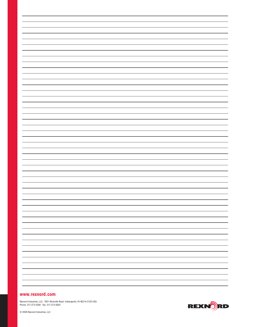# **www.rexnord.com**

Rexnord Industries, LLC, 7601 Rockville Road, Indianapolis, IN 46214-3120 USA Phone: 317-273-5500 Fax: 317-273-5620

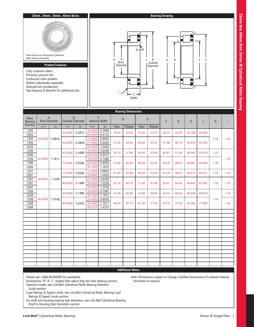

|                                |                                        |        |         |                              |                      |                  |       | <b>Bearing Dimensions</b> |       |               |       |       |        |        |             |             |
|--------------------------------|----------------------------------------|--------|---------|------------------------------|----------------------|------------------|-------|---------------------------|-------|---------------|-------|-------|--------|--------|-------------|-------------|
| <b>Basic</b><br><b>Bearing</b> | $\overline{A}$<br><b>Bore Diameter</b> |        |         | B<br><b>Outside Diameter</b> | <b>Bearing Width</b> | C                |       | D                         |       | E             | F     | G     | H      | J      | $\mathsf R$ | $\mathsf r$ |
| Number                         | mm                                     | in     | mm      | in                           | mm                   | in               | Plain | Ribbed                    | Plain | <b>Ribbed</b> |       |       |        |        |             |             |
| 1205<br>5205                   |                                        |        | 52.0000 | 2.0472                       | 15.0000<br>20.6380   | 0.5906<br>0.8125 | 30.50 | 32.00                     | 47.00 | 44.70         | 34.32 | 42.95 | 32.166 | 44.854 |             |             |
| 1305                           | 25.0000                                | 0.9843 |         |                              | 17.0000              | 0.6693           |       |                           |       |               |       |       |        |        | 1.02        | 1.02        |
| 7305                           |                                        |        | 62.0000 | 2.4409                       | 21.0000              | 0.8268           | 31.50 | 33.80                     | 55.90 | 53.30         | 37.49 | 50.14 | 33.972 | 53.426 |             |             |
| 5305                           |                                        |        |         |                              | 25.4000              | 1.0000           |       |                           |       |               |       |       |        |        |             |             |
| 1206                           |                                        |        | 62.0000 | 2.4409                       | 16.0000              | 0.6299           | 36.10 | 37.80                     | 56.40 | 53.80         | 40.87 | 51.48 | 38.062 | 54.074 | 1.02        |             |
| 5206                           |                                        |        |         |                              | 23.8120              | 0.9375           |       |                           |       |               |       |       |        |        |             |             |
| 1306                           | 30.0000                                | 1.1811 |         |                              | 19.0000              | 0.7480           |       |                           |       |               |       |       |        |        |             | 1.02        |
| 7306                           |                                        |        | 72.0000 | 2.8346                       | 23.0000              | 0.9055           | 37.80 | 40.60                     | 64.00 | 60.20         | 44.25 | 56.87 | 40.681 | 60.409 | 1.52        |             |
| 5306                           |                                        |        |         |                              | 30.1620              | 1.1875           |       |                           |       |               |       |       |        |        |             |             |
| 1207                           |                                        |        | 72,0000 | 2.8346                       | 17.0000              | 0.6693           | 41.60 | 43.90                     | 65.30 | 62.20         | 47.29 | 59.51 | 43.970 | 62.471 | 1.02        | 1.02        |
| 5207                           |                                        |        |         |                              | 26.9980              | 1.0629           |       |                           |       |               |       |       |        |        |             |             |
| 1307<br>7307                   | 35.0000                                | 1.3780 | 80.0000 | 3.1496                       | 21.0000<br>26.0000   | 0.8268<br>1.0236 | 43.70 | 46.70                     |       | 67.80         | 50.67 |       | 46.843 | 67.942 | 1.52        | 1.52        |
| 5307                           |                                        |        |         |                              | 34.9250              | 1.3750           |       |                           | 71.40 |               |       | 64.46 |        |        |             |             |
| 1208                           |                                        |        |         |                              | 18.0000              | 0.7087           |       |                           |       |               |       |       |        |        |             |             |
| 5208                           |                                        |        | 80.0000 | 3.1496                       | 30.1620              | 1.1875           | 47.20 | 49.80                     | 72.90 | 69.60         | 53.44 | 66.42 | 49.929 | 69.619 |             | 1.02        |
| 1308                           | 40.0000                                | 1.5748 |         |                              | 23.0000              | 0.9055           |       |                           |       |               |       |       |        |        | 1.52        |             |
| 7308                           |                                        |        | 90.0000 | 3.5433                       | 30.0000              | 1.1811           | 49.00 | 52.10                     | 81.30 | 77.50         | 57.00 | 73.33 | 52.299 | 77.663 |             | 1.52        |
| 5308                           |                                        |        |         |                              | 36.5120              | 1.4375           |       |                           |       |               |       |       |        |        |             |             |
|                                |                                        |        |         |                              |                      |                  |       |                           |       |               |       |       |        |        |             |             |
|                                |                                        |        |         |                              |                      |                  |       |                           |       |               |       |       |        |        |             |             |
|                                |                                        |        |         |                              |                      |                  |       |                           |       |               |       |       |        |        |             |             |
|                                |                                        |        |         |                              |                      |                  |       |                           |       |               |       |       |        |        |             |             |
|                                |                                        |        |         |                              |                      |                  |       |                           |       |               |       |       |        |        |             |             |
|                                |                                        |        |         |                              |                      |                  |       |                           |       |               |       |       |        |        |             |             |
|                                |                                        |        |         |                              |                      |                  |       |                           |       |               |       |       |        |        |             |             |
|                                |                                        |        |         |                              |                      |                  |       |                           |       |               |       |       |        |        |             |             |
|                                |                                        |        |         |                              |                      |                  |       |                           |       |               |       |       |        |        |             |             |
|                                |                                        |        |         |                              |                      |                  |       |                           |       |               |       |       |        |        |             |             |
|                                |                                        |        |         |                              |                      |                  |       |                           |       |               |       |       |        |        |             |             |
|                                |                                        |        |         |                              |                      |                  |       |                           |       |               |       |       |        |        |             |             |
|                                |                                        |        |         |                              |                      |                  |       |                           |       |               |       |       |        |        |             |             |
|                                |                                        |        |         |                              |                      |                  |       |                           |       |               |       |       |        |        |             |             |

Please call 1-866-REXNORD for availability

Dimensions "R" & "r", largest fillet radius that will clear bearing corners Selection Guide, see Link-Belt Cylindrical Roller Bearing Selection Guide section

Note: Dimensions subject to change. Certified dimensions of ordered material furnished on request.

Load Ratings & Speed Limits, see Link-Belt Cylindrical Roller Bearing Load Ratings & Speed Limits section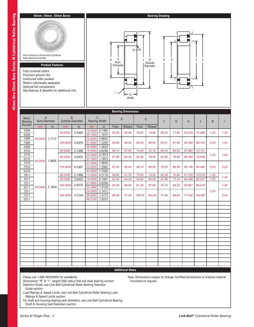

# Please call 1-866-REXNORD for availability

Dimensions "R" & "r", largest fillet radius that will clear bearing corners Selection Guide, see Link-Belt Cylindrical Roller Bearing Selection Guide section

Load Ratings & Speed Limits, see Link-Belt Cylindrical Roller Bearing Load Ratings & Speed Limits section

For shaft and housing bearing seat diameters, see Link-Belt Cylindrical Bearing Shaft & Housing Seat Diameters section

Note: Dimensions subject to change. Certified dimensions of ordered material furnished on request.

| r |  |
|---|--|
| j |  |
|   |  |
|   |  |
|   |  |
|   |  |
|   |  |
|   |  |
|   |  |
|   |  |
| é |  |
|   |  |
|   |  |
|   |  |
|   |  |
|   |  |
|   |  |
| ļ |  |
|   |  |
|   |  |
|   |  |
|   |  |
|   |  |
|   |  |
| ļ |  |
|   |  |
|   |  |
|   |  |
|   |  |
|   |  |
|   |  |
|   |  |
|   |  |
|   |  |
|   |  |
|   |  |
|   |  |
|   |  |
|   |  |
|   |  |
|   |  |
|   |  |
|   |  |
|   |  |
|   |  |
|   |  |
|   |  |
|   |  |
|   |  |
|   |  |
|   |  |
| ſ |  |
|   |  |
|   |  |
|   |  |
|   |  |
|   |  |
|   |  |
|   |  |
| l |  |
|   |  |
| ŀ |  |
|   |  |
|   |  |
|   |  |
|   |  |
|   |  |
|   |  |
|   |  |
|   |  |
|   |  |
|   |  |
|   |  |
|   |  |
|   |  |
|   |  |
| I |  |
|   |  |

|                                   | Contoured roller pockets<br>Rollers individually separated<br>Optional full complement |        | See Features & Benefits for additional info. |          |                               | 7⊫<br>$c \rightarrow$<br>Width |                               |                            |       |        |        |        |        |        |              |             |      |
|-----------------------------------|----------------------------------------------------------------------------------------|--------|----------------------------------------------|----------|-------------------------------|--------------------------------|-------------------------------|----------------------------|-------|--------|--------|--------|--------|--------|--------------|-------------|------|
|                                   |                                                                                        |        |                                              |          |                               | <b>Bearing Dimensions</b>      |                               |                            |       |        |        |        |        |        |              |             |      |
| <b>Basic</b><br>Bearing<br>Number | $\overline{A}$<br><b>Bore Diameter</b>                                                 |        | B<br><b>Outside Diameter</b>                 |          | C<br><b>Bearing Width</b>     |                                |                               | D                          |       | E      | F      | G      | H      | J      | $\mathsf{R}$ | $\mathsf r$ |      |
|                                   | mm                                                                                     | in     | mm                                           | in       | mm<br>19.0000                 | in<br>0.7480                   | Plain                         | Ribbed                     | Plain | Ribbed |        |        |        |        |              |             |      |
| 1209<br>5209                      |                                                                                        |        | 85.0000                                      | 3.3465   | 30.1620                       | 1.1875                         | 52.80                         | 55.40                      | 78.20 | 74.90  | 59.03  | 71.80  | 55.519 | 74.988 | 1.52         | 1.02        |      |
| 1309<br>7309<br>5309              | 45,0000                                                                                | 1.7717 | 100.0000                                     | 3.9370   | 25.0000<br>31.0000<br>39.6880 | 0.9843<br>1.2205<br>1.5625     | 55.90                         | 59.20                      | 90.40 | 85.80  | 64.31  | 81.48  | 59.362 | 86.103 | 2.03         | 1.52        |      |
| 1010                              |                                                                                        |        | 80.0000                                      | 3.1496   | 16.0000                       | 0.6299                         | 56.10                         | 57.60                      | 74.40 | 72.10  | 60.43  | 69.62  | 57.882 | 72.151 |              |             |      |
| 1210<br>5210                      |                                                                                        |        | 90.0000                                      | 3.5433   | 20.0000<br>30.1620            | 0.7874<br>1.1875               | 57.60                         | 60.40                      | 82.80 | 79.50  | 63.96  | 76.66  | 60.460 | 79.545 | 1.52         | 1.02        |      |
| 1310<br>7310<br>5310              | 50.0000                                                                                | 1.9685 | 110.0000                                     | 4.3307   | 27.0000<br>33.0000<br>44.4500 | 1.0630<br>1.2992<br>1.7500     | 61.00                         | 65.00                      | 99.10 | 94.50  | 70.64  | 89.36  | 65.146 | 94.490 | 2.03         | 2.03        |      |
| 1911                              |                                                                                        |        | 80.0000                                      | 3.1496   | 13.0000                       | 0.5118                         | 59.90                         | 61.70                      | 75.20 | 73.20  | 64.26  | 70.84  | 61.722 | 73.378 | 1.02         | 1.02        |      |
| 1011                              |                                                                                        |        | 90.0000                                      | 3.5433   | 18.0000                       | 0.7087                         | 62.00                         | 64.30                      | 83.60 | 80.50  | 67.69  | 77.34  | 64.496 | 80.531 | 1.52         |             |      |
| 1211<br>5211                      | 55.0000                                                                                | 2.1654 |                                              | 100.0000 | 3.9370                        | 21.0000<br>33.3380             | 0.8268<br>1.3125              | 64.00                      | 66.80 | 91.40  | 87.90  | 70.74  | 84.53  | 66.901 | 88.019       |             | 1.52 |
| 1311<br>7311<br>5311              |                                                                                        |        |                                              |          | 120.0000                      | 4.7244                         | 29.0000<br>36.0000<br>49.2120 | 1.1417<br>1.4173<br>1.9375 | 66.50 | 71.40  | 108.70 | 103.40 | 77.34  | 98.04  | 71.432       | 103.607     | 2.03 |
|                                   |                                                                                        |        |                                              |          |                               |                                |                               |                            |       |        |        |        |        |        |              |             |      |
|                                   |                                                                                        |        |                                              |          |                               |                                |                               |                            |       |        |        |        |        |        |              |             |      |
|                                   |                                                                                        |        |                                              |          |                               |                                |                               |                            |       |        |        |        |        |        |              |             |      |
|                                   |                                                                                        |        |                                              |          |                               |                                |                               |                            |       |        |        |        |        |        |              |             |      |
|                                   |                                                                                        |        |                                              |          |                               |                                |                               |                            |       |        |        |        |        |        |              |             |      |
|                                   |                                                                                        |        |                                              |          |                               |                                |                               |                            |       |        |        |        |        |        |              |             |      |
|                                   |                                                                                        |        |                                              |          |                               |                                |                               |                            |       |        |        |        |        |        |              |             |      |
|                                   |                                                                                        |        |                                              |          |                               |                                |                               |                            |       |        |        |        |        |        |              |             |      |
|                                   |                                                                                        |        |                                              |          |                               |                                |                               |                            |       |        |        |        |        |        |              |             |      |
|                                   |                                                                                        |        |                                              |          |                               |                                |                               |                            |       |        |        |        |        |        |              |             |      |
|                                   |                                                                                        |        |                                              |          |                               |                                |                               |                            |       |        |        |        |        |        |              |             |      |
|                                   |                                                                                        |        |                                              |          |                               |                                |                               |                            |       |        |        |        |        |        |              |             |      |
|                                   |                                                                                        |        |                                              |          |                               |                                |                               |                            |       |        |        |        |        |        |              |             |      |
|                                   |                                                                                        |        |                                              |          |                               |                                |                               |                            |       |        |        |        |        |        |              |             |      |
|                                   |                                                                                        |        |                                              |          |                               |                                |                               | <b>Additional Notes</b>    |       |        |        |        |        |        |              |             |      |

A Bore **Diameter**  R

# **45mm, 50mm, 55mm Bores**

**Product Features**

Fully crowned rollers Precision ground ribs

Photo Shows an Unmounted Cylindrical Roller Bearing Assembly

B J DG

HA | JBGD | | FE

Outside Diameter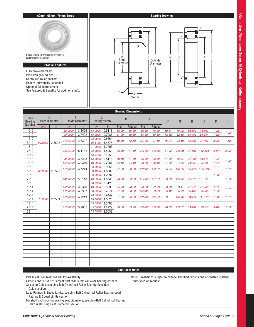

|                                | <b>Bearing Dimensions</b> |                      |                              |        |                    |                           |                |                |                 |                |                |                |                  |                  |              |              |  |  |  |  |  |  |  |  |
|--------------------------------|---------------------------|----------------------|------------------------------|--------|--------------------|---------------------------|----------------|----------------|-----------------|----------------|----------------|----------------|------------------|------------------|--------------|--------------|--|--|--|--|--|--|--|--|
| <b>Basic</b><br><b>Bearing</b> | $\overline{A}$            | <b>Bore Diameter</b> | B<br><b>Outside Diameter</b> |        |                    | C<br><b>Bearing Width</b> |                | D              |                 | E              | F              | G              | H                | J                | R.           | $\mathsf{r}$ |  |  |  |  |  |  |  |  |
| Number                         | mm                        | in                   | mm                           | in     | mm                 | in                        | Plain          | <b>Ribbed</b>  | Plain           | <b>Ribbed</b>  |                |                |                  |                  |              |              |  |  |  |  |  |  |  |  |
| 1912                           |                           |                      | 85.0000                      | 3.3465 | 13.0000            | 0.5118                    | 65.00          | 66.80          | 80.30           | 78.20          | 69.34          | 75.92          | 66.802           | 78.461           | 1.02         | 1.02         |  |  |  |  |  |  |  |  |
| 1012                           |                           |                      | 95.0000                      | 3.7402 | 18.0000            | 0.7087                    | 67.00          | 69.30          | 88.60           | 85.30          | 72.69          | 82.35          | 69.499           | 85.534           | 1.52         |              |  |  |  |  |  |  |  |  |
| 1212                           |                           |                      | 110.0000                     | 4.3307 | 22.0000            | 0.8661                    | 69.30          | 72.10          | 101.30          | 97.50          | 76.94          | 93.50          | 72.380           | 97.762           | 2.03         | 1.52         |  |  |  |  |  |  |  |  |
| 5212<br>1312                   | 60.0000                   | 2.3622               |                              |        | 36.5120<br>31.0000 | 1.4375<br>1.2205          |                |                |                 |                |                |                |                  |                  |              |              |  |  |  |  |  |  |  |  |
| 7312                           |                           |                      | 130.0000                     | 5.1181 | 38.0000            | 1.4961                    | 72.90          | 77.50          | 117.80          | 112.30         | 84.02          | 106.35         | 77.551           | 112.486          | 2.54         | 2.03         |  |  |  |  |  |  |  |  |
| 5312                           |                           |                      |                              |        | 53.9750            | 2.1250                    |                |                |                 |                |                |                |                  |                  |              |              |  |  |  |  |  |  |  |  |
| 1913                           |                           |                      | 90.0000                      | 3.5433 | 13.0000            | 0.5118                    | 70.10          | 71.60          | 85.30           | 83.30          | 74.30          | 80.87          | 71.755           | 83.416           | 1.02         |              |  |  |  |  |  |  |  |  |
| 1013                           |                           |                      | 100.0000                     | 3.9370 | 18.0000            | 0.7087                    | 72.10          | 74.40          | 93.70           | 90.40          | 77.72          | 87.35          | 74.503           | 90.541           | 1.52         | 1.02         |  |  |  |  |  |  |  |  |
| 1213                           |                           |                      | 120,0000                     | 4.7244 | 23.0000            | 0.9055                    | 77.00          | 80.30          | 110.00          | 105.70         | 85.34          | 101.24         | 80.421           | 105.804          |              | 1.52         |  |  |  |  |  |  |  |  |
| 5213                           | 65,0000                   | 2.5591               |                              |        | 38.1000            | 1.5000                    |                |                |                 |                |                |                |                  |                  |              |              |  |  |  |  |  |  |  |  |
| 1313                           |                           |                      |                              |        | 33.0000            | 1.2992                    |                |                |                 |                |                |                |                  |                  | 2.54         |              |  |  |  |  |  |  |  |  |
| 7313                           |                           |                      | 140.0000                     | 5.5118 | 40.0000            | 1.5748                    | 78.70          | 83.60          | 127.00          | 121.20         | 90.70          | 114.68         | 83.675           | 121.366          |              | 2.03         |  |  |  |  |  |  |  |  |
| 5313                           |                           |                      |                              |        | 58.7380            | 2.3125                    |                |                |                 |                |                |                |                  |                  |              |              |  |  |  |  |  |  |  |  |
| 1914                           |                           | 2.7559               | 100.0000<br>110.0000         | 3.9370 | 16.0000<br>20.0000 | 0.6299                    | 75.90<br>77.50 | 78.00<br>80.00 | 94.50<br>103.40 | 92.20<br>99.80 | 80.82<br>84.12 | 89.41<br>95.99 | 77.978<br>80.188 | 92.268<br>99.906 | 1.02<br>2.03 | 1.02         |  |  |  |  |  |  |  |  |
| 1014<br>1214                   |                           |                      |                              | 4.3307 | 24.0000            | 0.7874<br>0.9449          |                |                |                 |                |                |                |                  |                  |              |              |  |  |  |  |  |  |  |  |
| 5214                           | 70.0000                   |                      | 125,0000                     | 4.9213 | 39.6880            | 1.5625                    | 81.80          | 84.60          | 115.60          | 111.50         | 89.61          | 107.01         | 84.772           | 111.536          | 2.54         | 1.52         |  |  |  |  |  |  |  |  |
| 1314                           |                           |                      |                              |        |                    |                           |                |                |                 |                |                |                |                  | 35.0000          | 1.3780       |              |  |  |  |  |  |  |  |  |
| 7314                           |                           |                      | 150.0000                     | 5.9055 | 43.0000            | 1.6929                    | 84.30          | 89.20          | 135.60          | 129.30         | 96.72          | 122.20         | 89.192           | 129.375          | 3.18         | 2.03         |  |  |  |  |  |  |  |  |
| 5314                           |                           |                      |                              |        | 63.6000            | 2.5039                    |                |                |                 |                |                |                |                  |                  |              |              |  |  |  |  |  |  |  |  |
|                                |                           |                      |                              |        |                    |                           |                |                |                 |                |                |                |                  |                  |              |              |  |  |  |  |  |  |  |  |
|                                |                           |                      |                              |        |                    |                           |                |                |                 |                |                |                |                  |                  |              |              |  |  |  |  |  |  |  |  |
|                                |                           |                      |                              |        |                    |                           |                |                |                 |                |                |                |                  |                  |              |              |  |  |  |  |  |  |  |  |
|                                |                           |                      |                              |        |                    |                           |                |                |                 |                |                |                |                  |                  |              |              |  |  |  |  |  |  |  |  |
|                                |                           |                      |                              |        |                    |                           |                |                |                 |                |                |                |                  |                  |              |              |  |  |  |  |  |  |  |  |
|                                |                           |                      |                              |        |                    |                           |                |                |                 |                |                |                |                  |                  |              |              |  |  |  |  |  |  |  |  |
|                                |                           |                      |                              |        |                    |                           |                |                |                 |                |                |                |                  |                  |              |              |  |  |  |  |  |  |  |  |
|                                |                           |                      |                              |        |                    |                           |                |                |                 |                |                |                |                  |                  |              |              |  |  |  |  |  |  |  |  |
|                                |                           |                      |                              |        |                    |                           |                |                |                 |                |                |                |                  |                  |              |              |  |  |  |  |  |  |  |  |
|                                |                           |                      |                              |        |                    |                           |                |                |                 |                |                |                |                  |                  |              |              |  |  |  |  |  |  |  |  |
|                                |                           |                      |                              |        |                    |                           |                |                |                 |                |                |                |                  |                  |              |              |  |  |  |  |  |  |  |  |
|                                |                           |                      |                              |        |                    |                           |                |                |                 |                |                |                |                  |                  |              |              |  |  |  |  |  |  |  |  |
|                                |                           |                      |                              |        |                    |                           |                |                |                 |                |                |                |                  |                  |              |              |  |  |  |  |  |  |  |  |

Please call 1-866-REXNORD for availability

Dimensions "R" & "r", largest fillet radius that will clear bearing corners Selection Guide, see Link-Belt Cylindrical Roller Bearing Selection Guide section

Note: Dimensions subject to change. Certified dimensions of ordered material furnished on request.

Load Ratings & Speed Limits, see Link-Belt Cylindrical Roller Bearing Load Ratings & Speed Limits section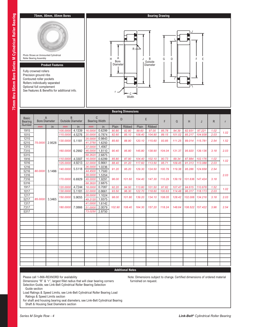# **75mm, 80mm, 85mm Bores**

Photo Shows an Unmounted Cylindrical Roller Bearing Assembly

# **Product Features**

Fully crowned rollers Precision ground ribs Contoured roller pockets Rollers individually separated Optional full complement See Features & Benefits for additional info.



A Bore Diameter

r

– C –<br>Width

R

**Bearing Drawing**

B Outside Diameter

J B G D

HA || JBGD|| |FE

# **Additional Notes**

Please call 1-866-REXNORD for availability

Dimensions "R" & "r", largest fillet radius that will clear bearing corners Selection Guide, see Link-Belt Cylindrical Roller Bearing Selection Guide section

Load Ratings & Speed Limits, see Link-Belt Cylindrical Roller Bearing Load Ratings & Speed Limits section

For shaft and housing bearing seat diameters, see Link-Belt Cylindrical Bearing Shaft & Housing Seat Diameters section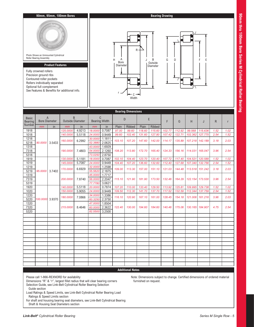

| Number<br>Plain<br><b>Ribbed</b><br>Plain<br>in<br>in<br>Ribbed<br>in<br>mm<br>mm<br>mm<br>0.7087<br>125.0000<br>4.9213<br>18.0000<br>112.92<br>1918<br>97.00<br>99.60<br>118.60<br>115.60<br>102.77<br>99.568<br>115.636<br>0.9449<br>24.0000<br>99.60<br>1018<br>140.0000<br>5.5118<br>102.40<br>107.42<br>122.71<br>102.362<br>127.775<br>131.60<br>127.80<br>1.1811<br>1218<br>30.0000<br>103.10<br>160.0000<br>6.2992<br>107.20<br>147.60<br>142.00<br>114.17<br>135.89<br>107.218<br>142.189<br>2.0625<br>52.3880<br>5218<br>3.5433<br>90.0000<br>1.6929<br>1318<br>43.0000<br>7318<br>2.1260<br>7.4803<br>54.0000<br>108.20<br>190,0000<br>113.80<br>172.70<br>165.40<br>124.33<br>156.16<br>114.031<br>165.047<br>5318<br>2.8750<br>73.0250<br>1919<br>0.7087<br>5.1181<br>18.0000<br>102.10<br>104.40<br>123.70<br>120.40<br>104.521<br>130.0000<br>107.72<br>117.40<br>120.589<br>0.9449<br>1019<br>24.0000<br>145.0000<br>5.7087<br>104.40<br>107.20<br>136.60<br>132.60<br>112.40<br>127.68<br>107.340<br>132.756 | 1.52<br>2.54<br>3.18<br>3.96 | 1.02<br>1.52<br>2.03 |
|-------------------------------------------------------------------------------------------------------------------------------------------------------------------------------------------------------------------------------------------------------------------------------------------------------------------------------------------------------------------------------------------------------------------------------------------------------------------------------------------------------------------------------------------------------------------------------------------------------------------------------------------------------------------------------------------------------------------------------------------------------------------------------------------------------------------------------------------------------------------------------------------------------------------------------------------------------------------------------------------------------------------------------|------------------------------|----------------------|
|                                                                                                                                                                                                                                                                                                                                                                                                                                                                                                                                                                                                                                                                                                                                                                                                                                                                                                                                                                                                                               |                              |                      |
|                                                                                                                                                                                                                                                                                                                                                                                                                                                                                                                                                                                                                                                                                                                                                                                                                                                                                                                                                                                                                               |                              |                      |
|                                                                                                                                                                                                                                                                                                                                                                                                                                                                                                                                                                                                                                                                                                                                                                                                                                                                                                                                                                                                                               |                              |                      |
|                                                                                                                                                                                                                                                                                                                                                                                                                                                                                                                                                                                                                                                                                                                                                                                                                                                                                                                                                                                                                               |                              |                      |
|                                                                                                                                                                                                                                                                                                                                                                                                                                                                                                                                                                                                                                                                                                                                                                                                                                                                                                                                                                                                                               |                              |                      |
|                                                                                                                                                                                                                                                                                                                                                                                                                                                                                                                                                                                                                                                                                                                                                                                                                                                                                                                                                                                                                               |                              | 2.54                 |
|                                                                                                                                                                                                                                                                                                                                                                                                                                                                                                                                                                                                                                                                                                                                                                                                                                                                                                                                                                                                                               |                              |                      |
|                                                                                                                                                                                                                                                                                                                                                                                                                                                                                                                                                                                                                                                                                                                                                                                                                                                                                                                                                                                                                               | 1.52<br>2.54                 | 1.02<br>1.52         |
| 1.2598<br>1219<br>32.0000                                                                                                                                                                                                                                                                                                                                                                                                                                                                                                                                                                                                                                                                                                                                                                                                                                                                                                                                                                                                     |                              |                      |
| 6.6929<br>170,0000<br>109.00<br>113.30<br>157.00<br>151.10<br>121.03<br>144.48<br>113.518<br>151.242<br>2.1875<br>5219<br>3.7402<br>55.5620<br>95,0000                                                                                                                                                                                                                                                                                                                                                                                                                                                                                                                                                                                                                                                                                                                                                                                                                                                                        | 3.18                         | 2.03                 |
| 1319<br>1.7717<br>45.0000                                                                                                                                                                                                                                                                                                                                                                                                                                                                                                                                                                                                                                                                                                                                                                                                                                                                                                                                                                                                     |                              |                      |
| 2.2047<br>7319<br>200.0000<br>7.8740<br>56.0000<br>115.10<br>121.90<br>181.90<br>173.50<br>132.46<br>164.29<br>122.154<br>173.530                                                                                                                                                                                                                                                                                                                                                                                                                                                                                                                                                                                                                                                                                                                                                                                                                                                                                             | 3.96                         | 2.54                 |
| 3.0621<br>5319<br>77.7780<br>0.7874<br>1920<br>5.5118<br>20.0000<br>107.20<br>110.00<br>133.40<br>129.50<br>113.92<br>125.81<br>109.995<br>129.738<br>140.0000                                                                                                                                                                                                                                                                                                                                                                                                                                                                                                                                                                                                                                                                                                                                                                                                                                                                | 1.52                         | 1.02                 |
| 0.9449<br>1020<br>24.0000<br>109.50<br>112.30<br>117.52<br>132.59<br>112.344<br>150.0000<br>5.9055<br>141.70<br>137.70<br>137.759                                                                                                                                                                                                                                                                                                                                                                                                                                                                                                                                                                                                                                                                                                                                                                                                                                                                                             | 2.54                         | 1.52                 |
| 1220<br>34.0000<br>1.3386                                                                                                                                                                                                                                                                                                                                                                                                                                                                                                                                                                                                                                                                                                                                                                                                                                                                                                                                                                                                     |                              |                      |
| 116.10<br>121.006<br>180.0000<br>7.0866<br>120.90<br>167.10<br>161.00<br>128.45<br>154.18<br>161.216<br>2.3750<br>5220<br>60.3250<br>3.9370<br>100.0000                                                                                                                                                                                                                                                                                                                                                                                                                                                                                                                                                                                                                                                                                                                                                                                                                                                                       | 3.96                         | 2.03                 |
| 1320<br>1.8504<br>47.0000                                                                                                                                                                                                                                                                                                                                                                                                                                                                                                                                                                                                                                                                                                                                                                                                                                                                                                                                                                                                     |                              |                      |
| 2.3622<br>7320<br>8.4646<br>60.0000<br>215.0000<br>122.40<br>130.165<br>130.00<br>194.60<br>184.60<br>140.46<br>175.06<br>184.907                                                                                                                                                                                                                                                                                                                                                                                                                                                                                                                                                                                                                                                                                                                                                                                                                                                                                             | 4.75                         | 2.54                 |
| 3.2500<br>5320<br>82.5500                                                                                                                                                                                                                                                                                                                                                                                                                                                                                                                                                                                                                                                                                                                                                                                                                                                                                                                                                                                                     |                              |                      |
|                                                                                                                                                                                                                                                                                                                                                                                                                                                                                                                                                                                                                                                                                                                                                                                                                                                                                                                                                                                                                               |                              |                      |
|                                                                                                                                                                                                                                                                                                                                                                                                                                                                                                                                                                                                                                                                                                                                                                                                                                                                                                                                                                                                                               |                              |                      |
|                                                                                                                                                                                                                                                                                                                                                                                                                                                                                                                                                                                                                                                                                                                                                                                                                                                                                                                                                                                                                               |                              |                      |
|                                                                                                                                                                                                                                                                                                                                                                                                                                                                                                                                                                                                                                                                                                                                                                                                                                                                                                                                                                                                                               |                              |                      |
|                                                                                                                                                                                                                                                                                                                                                                                                                                                                                                                                                                                                                                                                                                                                                                                                                                                                                                                                                                                                                               |                              |                      |
|                                                                                                                                                                                                                                                                                                                                                                                                                                                                                                                                                                                                                                                                                                                                                                                                                                                                                                                                                                                                                               |                              |                      |
|                                                                                                                                                                                                                                                                                                                                                                                                                                                                                                                                                                                                                                                                                                                                                                                                                                                                                                                                                                                                                               |                              |                      |
|                                                                                                                                                                                                                                                                                                                                                                                                                                                                                                                                                                                                                                                                                                                                                                                                                                                                                                                                                                                                                               |                              |                      |
|                                                                                                                                                                                                                                                                                                                                                                                                                                                                                                                                                                                                                                                                                                                                                                                                                                                                                                                                                                                                                               |                              |                      |
|                                                                                                                                                                                                                                                                                                                                                                                                                                                                                                                                                                                                                                                                                                                                                                                                                                                                                                                                                                                                                               |                              |                      |
|                                                                                                                                                                                                                                                                                                                                                                                                                                                                                                                                                                                                                                                                                                                                                                                                                                                                                                                                                                                                                               |                              |                      |
|                                                                                                                                                                                                                                                                                                                                                                                                                                                                                                                                                                                                                                                                                                                                                                                                                                                                                                                                                                                                                               |                              |                      |

Please call 1-866-REXNORD for availability

Dimensions "R" & "r", largest fillet radius that will clear bearing corners Selection Guide, see Link-Belt Cylindrical Roller Bearing Selection Guide section

Note: Dimensions subject to change. Certified dimensions of ordered material furnished on request.

Load Ratings & Speed Limits, see Link-Belt Cylindrical Roller Bearing Load Ratings & Speed Limits section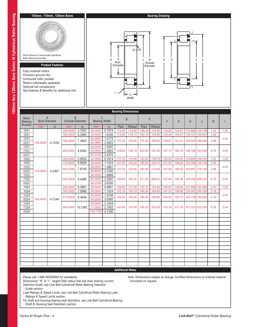

| <b>Bearing</b> | <b>Bore Diameter</b><br>mm |        | <b>Outside Diameter</b> |         | <b>Bearing Width</b> |        |        |        |        |        | F      | G      | H                          | J                          | R    | r    |
|----------------|----------------------------|--------|-------------------------|---------|----------------------|--------|--------|--------|--------|--------|--------|--------|----------------------------|----------------------------|------|------|
| Number         |                            | in     | mm                      | in      | mm                   | in     | Plain  | Ribbed | Plain  | Ribbed |        |        |                            |                            |      |      |
| 1921           |                            |        | 145.0000                | 5.7087  | 20.0000              | 0.7874 | 112.00 | 114.80 | 138.20 | 134.60 | 118.92 | 130.81 | 114.996 134.739            |                            | 1.52 | 1.02 |
| 1021           |                            |        | 160.0000                | 6.2992  | 26.0000              | 1.0236 | 115.80 | 119.10 | 150.10 | 145.80 | 124.48 |        | 140.61 119.151 145.941     |                            | 2.54 |      |
| 1221           |                            |        | 190.0000                | 7.4803  | 36.0000              | 1.4173 | 121.40 | 126.50 | 175.30 | 168.40 | 134.87 | 161.01 | 126.520 168.562            |                            | 3.96 | 2.03 |
| 5221           | 105.0000                   | 4.1339 |                         |         | 65.0880              | 2.5625 |        |        |        |        |        |        |                            |                            |      |      |
| 1321           |                            |        |                         |         | 49.0000              | 1.9291 |        |        |        |        |        |        |                            |                            |      |      |
| 7321           |                            |        | 225,0000                | 8.8583  | 63.0000              | 2.4803 | 128.00 | 136.10 | 203.40 | 193.30 | 147.17 |        | 183.16   136.185   193.456 |                            | 4.75 | 2.54 |
| 5321           |                            |        |                         |         | 87.3120              | 3.4375 |        |        |        |        |        |        |                            |                            |      |      |
| 1922           |                            |        | 150.0000                | 5.9055  | 20.0000              | 0.7874 | 117.10 | 119.90 | 143.20 | 139.70 | 123.93 |        | 135.81 119.995 139.741     |                            | 1.52 | 1.02 |
| 1022           |                            |        | 170.0000                | 6.6929  | 28.0000              | 1.1024 | 121.90 | 125.20 | 159.20 | 154.70 | 131.09 | 149.00 | 125.349 154.744            |                            | 2.54 |      |
| 1222           |                            |        | 200.0000                | 7.8740  | 38.0000              | 1.4961 | 127.20 | 132.80 | 183.90 | 176.00 | 141.60 |        | 168.43 132.951 176.192     |                            | 3.96 | 2.03 |
| 5222           | 110.0000                   | 4.3307 |                         |         | 69.8500              | 2.7500 |        |        |        |        |        |        |                            |                            |      |      |
| 1322           |                            |        |                         |         | 50.0000              | 1.9685 |        |        |        |        |        |        |                            |                            |      |      |
| 7322           |                            |        | 240.0000                | 9.4488  | 65.0000              | 2.5591 | 135.90 | 145.00 | 217.20 | 206.20 | 157.48 |        | 195.38 145.255 206.337     |                            | 4.75 | 2.54 |
| 5322           |                            |        |                         |         | 92.0750              | 3.6250 |        |        |        |        |        |        |                            |                            |      |      |
| 1924           |                            |        | 165.0000                | 6.4961  | 22.0000              | 0.8661 | 129.80 | 131.30 | 157.70 | 153.90 | 135.97 | 149.50 | 131.498 153.985            |                            | 2.03 | 1.02 |
| 1024           |                            |        | 180.0000                | 7.0866  | 28.0000              | 1.1024 | 132.10 | 135.10 | 169.20 | 164.60 | 141.22 | 158.90 | 135.357 164.754            |                            | 3.18 |      |
| 1224           |                            | 4.7244 | 215,0000                | 8.4646  | 40.0000              | 1.5748 | 139.20 | 145.00 | 198.90 | 190.80 | 154.30 |        |                            | 182.73 145.138 190.952     | 4.75 | 2.03 |
| 5224           | 120.0000                   |        |                         |         | 76.2000              | 3.0000 |        |        |        |        |        |        |                            |                            |      |      |
| 1324           |                            |        | 260.0000                | 10.2362 | 55.0000              | 2.1654 | 147.80 | 157.00 |        | 223.00 | 170.18 |        |                            | 211.20   157.023   223.053 |      |      |
| 7324           |                            |        |                         |         | 71.0000              | 2.7953 |        |        | 135.20 |        |        |        |                            |                            | 6.35 | 2.54 |
| 5324           |                            |        |                         |         | 104.7750             | 4.1250 |        |        |        |        |        |        |                            |                            |      |      |
|                |                            |        |                         |         |                      |        |        |        |        |        |        |        |                            |                            |      |      |
|                |                            |        |                         |         |                      |        |        |        |        |        |        |        |                            |                            |      |      |
|                |                            |        |                         |         |                      |        |        |        |        |        |        |        |                            |                            |      |      |
|                |                            |        |                         |         |                      |        |        |        |        |        |        |        |                            |                            |      |      |
|                |                            |        |                         |         |                      |        |        |        |        |        |        |        |                            |                            |      |      |
|                |                            |        |                         |         |                      |        |        |        |        |        |        |        |                            |                            |      |      |
|                |                            |        |                         |         |                      |        |        |        |        |        |        |        |                            |                            |      |      |
|                |                            |        |                         |         |                      |        |        |        |        |        |        |        |                            |                            |      |      |
|                |                            |        |                         |         |                      |        |        |        |        |        |        |        |                            |                            |      |      |
|                |                            |        |                         |         |                      |        |        |        |        |        |        |        |                            |                            |      |      |
|                |                            |        |                         |         |                      |        |        |        |        |        |        |        |                            |                            |      |      |
|                |                            |        |                         |         |                      |        |        |        |        |        |        |        |                            |                            |      |      |
|                |                            |        |                         |         |                      |        |        |        |        |        |        |        |                            |                            |      |      |

Please call 1-866-REXNORD for availability

Dimensions "R" & "r", largest fillet radius that will clear bearing corners Selection Guide, see Link-Belt Cylindrical Roller Bearing Selection Guide section

Note: Dimensions subject to change. Certified dimensions of ordered material furnished on request.

Load Ratings & Speed Limits, see Link-Belt Cylindrical Roller Bearing Load Ratings & Speed Limits section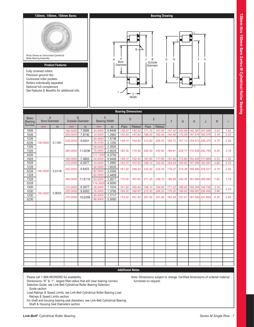

|                                | <b>Bearing Dimensions</b>              |        |                         |                  |                                      |                  |                  |                  |                  |                  |                  |        |                                           |                        |              |              |      |
|--------------------------------|----------------------------------------|--------|-------------------------|------------------|--------------------------------------|------------------|------------------|------------------|------------------|------------------|------------------|--------|-------------------------------------------|------------------------|--------------|--------------|------|
| <b>Basic</b><br><b>Bearing</b> | $\overline{A}$<br><b>Bore Diameter</b> |        | <b>Outside Diameter</b> | B                | $\mathsf{C}$<br><b>Bearing Width</b> |                  |                  | D                |                  | E                | F                | G      | H                                         | J                      | R            | $\mathsf{r}$ |      |
| Number                         | mm                                     | in     | mm                      | in               | mm                                   | in               | Plain            | Ribbed           | Plain            | Ribbed           |                  |        |                                           |                        |              |              |      |
| 1926                           |                                        |        | 180.0000                | 7.0866           | 24.0000                              | 0.9449           | 139.20           | 142.20           | 171.70           | 167.60           | 147.42           | 162.99 | 142.367 167.085                           |                        | 2.03         | 1.52         |      |
| 1026                           |                                        |        | 200.0000                | 7.8740           | 33.0000                              | 1.2992           | 143.00           | 147.60           | 188.20           | 182.40           | 154.56           | 175.59 | 147.574 182.570                           |                        | 3.18         | 2.03         |      |
| 1226                           |                                        |        | 230.0000                | 9.0551           | 40.0000                              | 1.5748           | 149.10           | 154.90           | 213.90           | 206.20           | 164.72           |        | 197.13 154.973 206.375                    |                        | 4.75         | 2.54         |      |
| 5226                           | 130.0000                               | 5.1181 |                         |                  | 79.3750                              | 3.1250           |                  |                  |                  |                  |                  |        |                                           |                        |              |              |      |
| 1326                           |                                        |        |                         |                  | 58.0000                              | 2.2835           |                  |                  |                  |                  |                  |        |                                           |                        |              |              |      |
| 7326                           |                                        |        | 280.0000                | 11.0236          | 75.0000                              | 2.9528           | 160.30           | 170.40           | 254.50           | 242.60           | 184.91           |        | 229.77 170.536 242.755                    |                        | 6.35         | 3.18         |      |
| 5326                           |                                        |        |                         |                  | 111.1250                             | 4.3750           |                  |                  |                  |                  |                  |        |                                           |                        |              |              |      |
| 1928<br>1028                   |                                        |        | 190.0000<br>210.0000    | 7.4803<br>8.2677 | 24.0000<br>33.0000                   | 0.9449<br>1.2992 | 149.10<br>153.70 | 152.40<br>157.50 | 181.60<br>198.10 | 177.80<br>192.50 | 157.48<br>164.54 | 185.60 | 172.80 152.425 177.868<br>157.556 192.557 |                        | 2.03<br>3.96 | 1.52<br>2.03 |      |
| 1228                           |                                        |        |                         |                  | 42.0000                              | 1.6535           |                  |                  |                  |                  |                  |        |                                           |                        |              |              |      |
| 5228                           | 140.0000                               | 5.5118 | 250,0000                | 9.8425           | 82.5500                              | 3.2500           | 161.50           | 168.40           | 232.40           | 224.30           | 179.07           |        | 214.38 168.460 224.417                    |                        | 4.75         | 2.54         |      |
| 1328                           |                                        |        |                         |                  | 62.0000                              | 2.4409           |                  |                  |                  |                  |                  |        |                                           |                        |              |              |      |
| 7328                           |                                        |        |                         | 300.0000         | 11.8110                              | 83.0000          | 3.2677           | 172.00           | 181.60           | 271.30           | 258.10           | 196.98 |                                           | 244.35 181.684 258.082 |              | 7.92         | 3.18 |
| 5328                           |                                        |        |                         |                  | 114.3000                             | 4.5000           |                  |                  |                  |                  |                  |        |                                           |                        |              |              |      |
| 1930                           |                                        |        | 210.0000                | 8.2677           | 28.0000                              | 1.1024           | 161.50           | 165.40           | 199.10           | 194.60           | 171.22           | 188.92 | 165.354 194.790                           |                        | 3.18         |              |      |
| 1030                           |                                        |        | 225.0000                | 8.8583           | 35.0000                              | 1.3780           | 164.30           | 168.60           | 212.30           | 206.20           | 176.20           | 198.93 | 168.681 206.454                           |                        | 3.96         | 2.03         |      |
| 1230                           | 150,0000                               | 5.9055 | 270.0000                | 10.6299          | 45.0000                              | 1.7717           | 174.20           | 181.40           | 251.00           | 241.80           | 193.04           |        | 231.01 181.544 241.854                    |                        | 6.35         | 2.54         |      |
| 5230                           |                                        |        |                         |                  | 88.9000                              | 3.5000           |                  |                  |                  |                  |                  |        |                                           |                        |              |              |      |
|                                |                                        |        |                         |                  |                                      |                  |                  |                  |                  |                  |                  |        |                                           |                        |              |              |      |
|                                |                                        |        |                         |                  |                                      |                  |                  |                  |                  |                  |                  |        |                                           |                        |              |              |      |
|                                |                                        |        |                         |                  |                                      |                  |                  |                  |                  |                  |                  |        |                                           |                        |              |              |      |
|                                |                                        |        |                         |                  |                                      |                  |                  |                  |                  |                  |                  |        |                                           |                        |              |              |      |
|                                |                                        |        |                         |                  |                                      |                  |                  |                  |                  |                  |                  |        |                                           |                        |              |              |      |
|                                |                                        |        |                         |                  |                                      |                  |                  |                  |                  |                  |                  |        |                                           |                        |              |              |      |
|                                |                                        |        |                         |                  |                                      |                  |                  |                  |                  |                  |                  |        |                                           |                        |              |              |      |
|                                |                                        |        |                         |                  |                                      |                  |                  |                  |                  |                  |                  |        |                                           |                        |              |              |      |
|                                |                                        |        |                         |                  |                                      |                  |                  |                  |                  |                  |                  |        |                                           |                        |              |              |      |
|                                |                                        |        |                         |                  |                                      |                  |                  |                  |                  |                  |                  |        |                                           |                        |              |              |      |
|                                |                                        |        |                         |                  |                                      |                  |                  |                  |                  |                  |                  |        |                                           |                        |              |              |      |
|                                |                                        |        |                         |                  |                                      |                  |                  |                  |                  |                  |                  |        |                                           |                        |              |              |      |
|                                |                                        |        |                         |                  |                                      |                  |                  |                  |                  |                  |                  |        |                                           |                        |              |              |      |
|                                |                                        |        |                         |                  |                                      |                  |                  |                  |                  |                  |                  |        |                                           |                        |              |              |      |
|                                |                                        |        |                         |                  |                                      |                  |                  |                  |                  |                  |                  |        |                                           |                        |              |              |      |
|                                |                                        |        |                         |                  |                                      |                  |                  |                  |                  |                  |                  |        |                                           |                        |              |              |      |

Please call 1-866-REXNORD for availability

Dimensions "R" & "r", largest fillet radius that will clear bearing corners Selection Guide, see Link-Belt Cylindrical Roller Bearing Selection Guide section

Note: Dimensions subject to change. Certified dimensions of ordered material furnished on request.

Load Ratings & Speed Limits, see Link-Belt Cylindrical Roller Bearing Load Ratings & Speed Limits section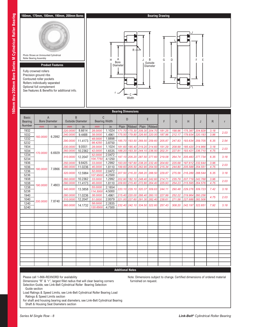

| $\mathsf{C}$<br>$\overline{A}$<br>B<br><b>Basic</b><br>E<br>D<br><b>Bearing Width</b><br><b>Bore Diameter</b><br><b>Outside Diameter</b><br>F<br>G<br>H<br>$\mathsf{R}$<br><b>Bearing</b><br>J<br>r<br>Number<br>Ribbed<br>Ribbed<br>Plain<br>Plain<br>in<br>in<br>in<br>mm<br>mm<br>mm<br>8.6614<br>1.1024<br>175.30<br>209.30<br>204.70<br>181.25<br>1932<br>220.0000<br>28.0000<br>171.70<br>198.96<br>175.387<br>204.828<br>3.18<br>2.03<br>1032<br>1.4961<br>175.50 179.80<br>226.60<br>220.193<br>9.4488<br>38.0000<br>220.00<br>187.96<br>212.17<br>179.934<br>3.96<br>240.0000<br>6.2992<br>160.0000<br>1232<br>48.0000<br>1.8898<br>290.0000<br>11.4173<br>185.70 193.50 269.50 259.60<br>205.87<br>247.83<br>193.634 259.705<br>6.35<br>2.54<br>3.8750<br>5232<br>98.4250<br>9.0551<br>1.1024<br>219.20<br>214.60<br>191.29<br>208.99<br>214.866<br>1934<br>230.0000<br>181.60 185.40<br>185.420<br>28.0000<br>3.18<br>2.03<br>1.6535<br>1034<br>10.2362<br>42.0000<br>188.20 193.30<br>244.10 236.50<br>202.31<br>227.81<br>193.421<br>236.710<br>260.0000<br>4.75<br>170.0000<br>6.6929<br>1234<br>52.0000<br>2.0472<br>12.2047<br>197.10 205.20 287.50 277.60<br>205.483 277.734<br>310.0000<br>219.08<br>264.74<br>6.35<br>3.18<br>104.7750<br>4.1250<br>5234<br>9.8425<br>1936<br>250,0000<br>1.2992<br>193.00 197.60 238.20<br>232.40<br>204.60<br>225.68<br>197.612<br>232.644<br>3.96<br>33.0000<br>2.03<br>1036<br>1.8110<br>199.60 205.50<br>262.90<br>254.50<br>215.34<br>11.0236<br>46.0000<br>244.80<br>205.588<br>254.551<br>4.75<br>280.0000<br>180.0000<br>7.0866<br>1236<br>2.0472<br>52.0000<br>12.5984<br>207.50 216.20 298.20 288.50<br>229.87<br>275.56<br>216.289 288.544<br>6.35<br>3.18<br>320.0000<br>4.2500<br>5236<br>107.9500<br>10.2362<br>202.90 182.10 248.40<br>235.79<br>1938<br>1.2992<br>242.60<br>214.71<br>207.719<br>242.768<br>260.0000<br>33.0000<br>3.96<br>2.03<br>1038<br>1.8110<br>209.60 215.40 272.80 264.40<br>225.93<br>254.23<br>215.595<br>264.576<br>290.0000<br>11.4173<br>46.0000<br>4.75<br>190.0000<br>7.4803<br>1238<br>2.1654<br>55.0000<br>13.3858<br>340.0000<br>220.10 229.10 320.37<br>309.63<br>244.11<br>290.48<br>229.276 309.723<br>7.42<br>3.18<br>114.3000<br>4.5000<br>5238<br>11.0236<br>1940<br>1.4961<br>38.0000<br>215.40 220.00<br>266.40<br>260.10<br>227.99<br>252.22<br>219.964<br>280.0000<br>260.256<br>4.75<br>2.03<br>2.0079<br>221.00 227.60 291.30<br>282.40<br>282.506<br>1040<br>310.0000<br>12.2047<br>51.0000<br>238.61<br>271.58<br>227.686<br>200.0000<br>7.8740<br>1240<br>2.2835<br>58.0000<br>14.1732<br>232.40 242.10 334.50 322.60<br>257.43<br>308.20<br>242.197<br>322.651<br>7.92<br>360.0000<br>3.18<br>5240<br>4.7500<br>120.6500 | <b>Bearing Dimensions</b> |  |  |  |  |  |  |  |  |  |  |  |  |  |  |  |  |  |  |  |  |  |  |  |  |  |  |  |  |
|-----------------------------------------------------------------------------------------------------------------------------------------------------------------------------------------------------------------------------------------------------------------------------------------------------------------------------------------------------------------------------------------------------------------------------------------------------------------------------------------------------------------------------------------------------------------------------------------------------------------------------------------------------------------------------------------------------------------------------------------------------------------------------------------------------------------------------------------------------------------------------------------------------------------------------------------------------------------------------------------------------------------------------------------------------------------------------------------------------------------------------------------------------------------------------------------------------------------------------------------------------------------------------------------------------------------------------------------------------------------------------------------------------------------------------------------------------------------------------------------------------------------------------------------------------------------------------------------------------------------------------------------------------------------------------------------------------------------------------------------------------------------------------------------------------------------------------------------------------------------------------------------------------------------------------------------------------------------------------------------------------------------------------------------------------------------------------------------------------------------------------------------------------------------------------------------------------------------------------------------------------------------------------------------------------------------------------------------------------------------------------------------------------------------------------------------------------------------------------------------------------------------------------------------------------------------------------------------------------------------------------------------------------------------------------------------------------------------------------------------------|---------------------------|--|--|--|--|--|--|--|--|--|--|--|--|--|--|--|--|--|--|--|--|--|--|--|--|--|--|--|--|
|                                                                                                                                                                                                                                                                                                                                                                                                                                                                                                                                                                                                                                                                                                                                                                                                                                                                                                                                                                                                                                                                                                                                                                                                                                                                                                                                                                                                                                                                                                                                                                                                                                                                                                                                                                                                                                                                                                                                                                                                                                                                                                                                                                                                                                                                                                                                                                                                                                                                                                                                                                                                                                                                                                                                               |                           |  |  |  |  |  |  |  |  |  |  |  |  |  |  |  |  |  |  |  |  |  |  |  |  |  |  |  |  |
|                                                                                                                                                                                                                                                                                                                                                                                                                                                                                                                                                                                                                                                                                                                                                                                                                                                                                                                                                                                                                                                                                                                                                                                                                                                                                                                                                                                                                                                                                                                                                                                                                                                                                                                                                                                                                                                                                                                                                                                                                                                                                                                                                                                                                                                                                                                                                                                                                                                                                                                                                                                                                                                                                                                                               |                           |  |  |  |  |  |  |  |  |  |  |  |  |  |  |  |  |  |  |  |  |  |  |  |  |  |  |  |  |
|                                                                                                                                                                                                                                                                                                                                                                                                                                                                                                                                                                                                                                                                                                                                                                                                                                                                                                                                                                                                                                                                                                                                                                                                                                                                                                                                                                                                                                                                                                                                                                                                                                                                                                                                                                                                                                                                                                                                                                                                                                                                                                                                                                                                                                                                                                                                                                                                                                                                                                                                                                                                                                                                                                                                               |                           |  |  |  |  |  |  |  |  |  |  |  |  |  |  |  |  |  |  |  |  |  |  |  |  |  |  |  |  |
|                                                                                                                                                                                                                                                                                                                                                                                                                                                                                                                                                                                                                                                                                                                                                                                                                                                                                                                                                                                                                                                                                                                                                                                                                                                                                                                                                                                                                                                                                                                                                                                                                                                                                                                                                                                                                                                                                                                                                                                                                                                                                                                                                                                                                                                                                                                                                                                                                                                                                                                                                                                                                                                                                                                                               |                           |  |  |  |  |  |  |  |  |  |  |  |  |  |  |  |  |  |  |  |  |  |  |  |  |  |  |  |  |
|                                                                                                                                                                                                                                                                                                                                                                                                                                                                                                                                                                                                                                                                                                                                                                                                                                                                                                                                                                                                                                                                                                                                                                                                                                                                                                                                                                                                                                                                                                                                                                                                                                                                                                                                                                                                                                                                                                                                                                                                                                                                                                                                                                                                                                                                                                                                                                                                                                                                                                                                                                                                                                                                                                                                               |                           |  |  |  |  |  |  |  |  |  |  |  |  |  |  |  |  |  |  |  |  |  |  |  |  |  |  |  |  |
|                                                                                                                                                                                                                                                                                                                                                                                                                                                                                                                                                                                                                                                                                                                                                                                                                                                                                                                                                                                                                                                                                                                                                                                                                                                                                                                                                                                                                                                                                                                                                                                                                                                                                                                                                                                                                                                                                                                                                                                                                                                                                                                                                                                                                                                                                                                                                                                                                                                                                                                                                                                                                                                                                                                                               |                           |  |  |  |  |  |  |  |  |  |  |  |  |  |  |  |  |  |  |  |  |  |  |  |  |  |  |  |  |
|                                                                                                                                                                                                                                                                                                                                                                                                                                                                                                                                                                                                                                                                                                                                                                                                                                                                                                                                                                                                                                                                                                                                                                                                                                                                                                                                                                                                                                                                                                                                                                                                                                                                                                                                                                                                                                                                                                                                                                                                                                                                                                                                                                                                                                                                                                                                                                                                                                                                                                                                                                                                                                                                                                                                               |                           |  |  |  |  |  |  |  |  |  |  |  |  |  |  |  |  |  |  |  |  |  |  |  |  |  |  |  |  |
|                                                                                                                                                                                                                                                                                                                                                                                                                                                                                                                                                                                                                                                                                                                                                                                                                                                                                                                                                                                                                                                                                                                                                                                                                                                                                                                                                                                                                                                                                                                                                                                                                                                                                                                                                                                                                                                                                                                                                                                                                                                                                                                                                                                                                                                                                                                                                                                                                                                                                                                                                                                                                                                                                                                                               |                           |  |  |  |  |  |  |  |  |  |  |  |  |  |  |  |  |  |  |  |  |  |  |  |  |  |  |  |  |
|                                                                                                                                                                                                                                                                                                                                                                                                                                                                                                                                                                                                                                                                                                                                                                                                                                                                                                                                                                                                                                                                                                                                                                                                                                                                                                                                                                                                                                                                                                                                                                                                                                                                                                                                                                                                                                                                                                                                                                                                                                                                                                                                                                                                                                                                                                                                                                                                                                                                                                                                                                                                                                                                                                                                               |                           |  |  |  |  |  |  |  |  |  |  |  |  |  |  |  |  |  |  |  |  |  |  |  |  |  |  |  |  |
|                                                                                                                                                                                                                                                                                                                                                                                                                                                                                                                                                                                                                                                                                                                                                                                                                                                                                                                                                                                                                                                                                                                                                                                                                                                                                                                                                                                                                                                                                                                                                                                                                                                                                                                                                                                                                                                                                                                                                                                                                                                                                                                                                                                                                                                                                                                                                                                                                                                                                                                                                                                                                                                                                                                                               |                           |  |  |  |  |  |  |  |  |  |  |  |  |  |  |  |  |  |  |  |  |  |  |  |  |  |  |  |  |
|                                                                                                                                                                                                                                                                                                                                                                                                                                                                                                                                                                                                                                                                                                                                                                                                                                                                                                                                                                                                                                                                                                                                                                                                                                                                                                                                                                                                                                                                                                                                                                                                                                                                                                                                                                                                                                                                                                                                                                                                                                                                                                                                                                                                                                                                                                                                                                                                                                                                                                                                                                                                                                                                                                                                               |                           |  |  |  |  |  |  |  |  |  |  |  |  |  |  |  |  |  |  |  |  |  |  |  |  |  |  |  |  |
|                                                                                                                                                                                                                                                                                                                                                                                                                                                                                                                                                                                                                                                                                                                                                                                                                                                                                                                                                                                                                                                                                                                                                                                                                                                                                                                                                                                                                                                                                                                                                                                                                                                                                                                                                                                                                                                                                                                                                                                                                                                                                                                                                                                                                                                                                                                                                                                                                                                                                                                                                                                                                                                                                                                                               |                           |  |  |  |  |  |  |  |  |  |  |  |  |  |  |  |  |  |  |  |  |  |  |  |  |  |  |  |  |
|                                                                                                                                                                                                                                                                                                                                                                                                                                                                                                                                                                                                                                                                                                                                                                                                                                                                                                                                                                                                                                                                                                                                                                                                                                                                                                                                                                                                                                                                                                                                                                                                                                                                                                                                                                                                                                                                                                                                                                                                                                                                                                                                                                                                                                                                                                                                                                                                                                                                                                                                                                                                                                                                                                                                               |                           |  |  |  |  |  |  |  |  |  |  |  |  |  |  |  |  |  |  |  |  |  |  |  |  |  |  |  |  |
|                                                                                                                                                                                                                                                                                                                                                                                                                                                                                                                                                                                                                                                                                                                                                                                                                                                                                                                                                                                                                                                                                                                                                                                                                                                                                                                                                                                                                                                                                                                                                                                                                                                                                                                                                                                                                                                                                                                                                                                                                                                                                                                                                                                                                                                                                                                                                                                                                                                                                                                                                                                                                                                                                                                                               |                           |  |  |  |  |  |  |  |  |  |  |  |  |  |  |  |  |  |  |  |  |  |  |  |  |  |  |  |  |
|                                                                                                                                                                                                                                                                                                                                                                                                                                                                                                                                                                                                                                                                                                                                                                                                                                                                                                                                                                                                                                                                                                                                                                                                                                                                                                                                                                                                                                                                                                                                                                                                                                                                                                                                                                                                                                                                                                                                                                                                                                                                                                                                                                                                                                                                                                                                                                                                                                                                                                                                                                                                                                                                                                                                               |                           |  |  |  |  |  |  |  |  |  |  |  |  |  |  |  |  |  |  |  |  |  |  |  |  |  |  |  |  |
|                                                                                                                                                                                                                                                                                                                                                                                                                                                                                                                                                                                                                                                                                                                                                                                                                                                                                                                                                                                                                                                                                                                                                                                                                                                                                                                                                                                                                                                                                                                                                                                                                                                                                                                                                                                                                                                                                                                                                                                                                                                                                                                                                                                                                                                                                                                                                                                                                                                                                                                                                                                                                                                                                                                                               |                           |  |  |  |  |  |  |  |  |  |  |  |  |  |  |  |  |  |  |  |  |  |  |  |  |  |  |  |  |
|                                                                                                                                                                                                                                                                                                                                                                                                                                                                                                                                                                                                                                                                                                                                                                                                                                                                                                                                                                                                                                                                                                                                                                                                                                                                                                                                                                                                                                                                                                                                                                                                                                                                                                                                                                                                                                                                                                                                                                                                                                                                                                                                                                                                                                                                                                                                                                                                                                                                                                                                                                                                                                                                                                                                               |                           |  |  |  |  |  |  |  |  |  |  |  |  |  |  |  |  |  |  |  |  |  |  |  |  |  |  |  |  |
|                                                                                                                                                                                                                                                                                                                                                                                                                                                                                                                                                                                                                                                                                                                                                                                                                                                                                                                                                                                                                                                                                                                                                                                                                                                                                                                                                                                                                                                                                                                                                                                                                                                                                                                                                                                                                                                                                                                                                                                                                                                                                                                                                                                                                                                                                                                                                                                                                                                                                                                                                                                                                                                                                                                                               |                           |  |  |  |  |  |  |  |  |  |  |  |  |  |  |  |  |  |  |  |  |  |  |  |  |  |  |  |  |
|                                                                                                                                                                                                                                                                                                                                                                                                                                                                                                                                                                                                                                                                                                                                                                                                                                                                                                                                                                                                                                                                                                                                                                                                                                                                                                                                                                                                                                                                                                                                                                                                                                                                                                                                                                                                                                                                                                                                                                                                                                                                                                                                                                                                                                                                                                                                                                                                                                                                                                                                                                                                                                                                                                                                               |                           |  |  |  |  |  |  |  |  |  |  |  |  |  |  |  |  |  |  |  |  |  |  |  |  |  |  |  |  |
|                                                                                                                                                                                                                                                                                                                                                                                                                                                                                                                                                                                                                                                                                                                                                                                                                                                                                                                                                                                                                                                                                                                                                                                                                                                                                                                                                                                                                                                                                                                                                                                                                                                                                                                                                                                                                                                                                                                                                                                                                                                                                                                                                                                                                                                                                                                                                                                                                                                                                                                                                                                                                                                                                                                                               |                           |  |  |  |  |  |  |  |  |  |  |  |  |  |  |  |  |  |  |  |  |  |  |  |  |  |  |  |  |
|                                                                                                                                                                                                                                                                                                                                                                                                                                                                                                                                                                                                                                                                                                                                                                                                                                                                                                                                                                                                                                                                                                                                                                                                                                                                                                                                                                                                                                                                                                                                                                                                                                                                                                                                                                                                                                                                                                                                                                                                                                                                                                                                                                                                                                                                                                                                                                                                                                                                                                                                                                                                                                                                                                                                               |                           |  |  |  |  |  |  |  |  |  |  |  |  |  |  |  |  |  |  |  |  |  |  |  |  |  |  |  |  |
|                                                                                                                                                                                                                                                                                                                                                                                                                                                                                                                                                                                                                                                                                                                                                                                                                                                                                                                                                                                                                                                                                                                                                                                                                                                                                                                                                                                                                                                                                                                                                                                                                                                                                                                                                                                                                                                                                                                                                                                                                                                                                                                                                                                                                                                                                                                                                                                                                                                                                                                                                                                                                                                                                                                                               |                           |  |  |  |  |  |  |  |  |  |  |  |  |  |  |  |  |  |  |  |  |  |  |  |  |  |  |  |  |
|                                                                                                                                                                                                                                                                                                                                                                                                                                                                                                                                                                                                                                                                                                                                                                                                                                                                                                                                                                                                                                                                                                                                                                                                                                                                                                                                                                                                                                                                                                                                                                                                                                                                                                                                                                                                                                                                                                                                                                                                                                                                                                                                                                                                                                                                                                                                                                                                                                                                                                                                                                                                                                                                                                                                               |                           |  |  |  |  |  |  |  |  |  |  |  |  |  |  |  |  |  |  |  |  |  |  |  |  |  |  |  |  |
|                                                                                                                                                                                                                                                                                                                                                                                                                                                                                                                                                                                                                                                                                                                                                                                                                                                                                                                                                                                                                                                                                                                                                                                                                                                                                                                                                                                                                                                                                                                                                                                                                                                                                                                                                                                                                                                                                                                                                                                                                                                                                                                                                                                                                                                                                                                                                                                                                                                                                                                                                                                                                                                                                                                                               |                           |  |  |  |  |  |  |  |  |  |  |  |  |  |  |  |  |  |  |  |  |  |  |  |  |  |  |  |  |
|                                                                                                                                                                                                                                                                                                                                                                                                                                                                                                                                                                                                                                                                                                                                                                                                                                                                                                                                                                                                                                                                                                                                                                                                                                                                                                                                                                                                                                                                                                                                                                                                                                                                                                                                                                                                                                                                                                                                                                                                                                                                                                                                                                                                                                                                                                                                                                                                                                                                                                                                                                                                                                                                                                                                               |                           |  |  |  |  |  |  |  |  |  |  |  |  |  |  |  |  |  |  |  |  |  |  |  |  |  |  |  |  |
|                                                                                                                                                                                                                                                                                                                                                                                                                                                                                                                                                                                                                                                                                                                                                                                                                                                                                                                                                                                                                                                                                                                                                                                                                                                                                                                                                                                                                                                                                                                                                                                                                                                                                                                                                                                                                                                                                                                                                                                                                                                                                                                                                                                                                                                                                                                                                                                                                                                                                                                                                                                                                                                                                                                                               |                           |  |  |  |  |  |  |  |  |  |  |  |  |  |  |  |  |  |  |  |  |  |  |  |  |  |  |  |  |
|                                                                                                                                                                                                                                                                                                                                                                                                                                                                                                                                                                                                                                                                                                                                                                                                                                                                                                                                                                                                                                                                                                                                                                                                                                                                                                                                                                                                                                                                                                                                                                                                                                                                                                                                                                                                                                                                                                                                                                                                                                                                                                                                                                                                                                                                                                                                                                                                                                                                                                                                                                                                                                                                                                                                               |                           |  |  |  |  |  |  |  |  |  |  |  |  |  |  |  |  |  |  |  |  |  |  |  |  |  |  |  |  |
|                                                                                                                                                                                                                                                                                                                                                                                                                                                                                                                                                                                                                                                                                                                                                                                                                                                                                                                                                                                                                                                                                                                                                                                                                                                                                                                                                                                                                                                                                                                                                                                                                                                                                                                                                                                                                                                                                                                                                                                                                                                                                                                                                                                                                                                                                                                                                                                                                                                                                                                                                                                                                                                                                                                                               |                           |  |  |  |  |  |  |  |  |  |  |  |  |  |  |  |  |  |  |  |  |  |  |  |  |  |  |  |  |
|                                                                                                                                                                                                                                                                                                                                                                                                                                                                                                                                                                                                                                                                                                                                                                                                                                                                                                                                                                                                                                                                                                                                                                                                                                                                                                                                                                                                                                                                                                                                                                                                                                                                                                                                                                                                                                                                                                                                                                                                                                                                                                                                                                                                                                                                                                                                                                                                                                                                                                                                                                                                                                                                                                                                               |                           |  |  |  |  |  |  |  |  |  |  |  |  |  |  |  |  |  |  |  |  |  |  |  |  |  |  |  |  |
|                                                                                                                                                                                                                                                                                                                                                                                                                                                                                                                                                                                                                                                                                                                                                                                                                                                                                                                                                                                                                                                                                                                                                                                                                                                                                                                                                                                                                                                                                                                                                                                                                                                                                                                                                                                                                                                                                                                                                                                                                                                                                                                                                                                                                                                                                                                                                                                                                                                                                                                                                                                                                                                                                                                                               |                           |  |  |  |  |  |  |  |  |  |  |  |  |  |  |  |  |  |  |  |  |  |  |  |  |  |  |  |  |
|                                                                                                                                                                                                                                                                                                                                                                                                                                                                                                                                                                                                                                                                                                                                                                                                                                                                                                                                                                                                                                                                                                                                                                                                                                                                                                                                                                                                                                                                                                                                                                                                                                                                                                                                                                                                                                                                                                                                                                                                                                                                                                                                                                                                                                                                                                                                                                                                                                                                                                                                                                                                                                                                                                                                               |                           |  |  |  |  |  |  |  |  |  |  |  |  |  |  |  |  |  |  |  |  |  |  |  |  |  |  |  |  |
|                                                                                                                                                                                                                                                                                                                                                                                                                                                                                                                                                                                                                                                                                                                                                                                                                                                                                                                                                                                                                                                                                                                                                                                                                                                                                                                                                                                                                                                                                                                                                                                                                                                                                                                                                                                                                                                                                                                                                                                                                                                                                                                                                                                                                                                                                                                                                                                                                                                                                                                                                                                                                                                                                                                                               |                           |  |  |  |  |  |  |  |  |  |  |  |  |  |  |  |  |  |  |  |  |  |  |  |  |  |  |  |  |
|                                                                                                                                                                                                                                                                                                                                                                                                                                                                                                                                                                                                                                                                                                                                                                                                                                                                                                                                                                                                                                                                                                                                                                                                                                                                                                                                                                                                                                                                                                                                                                                                                                                                                                                                                                                                                                                                                                                                                                                                                                                                                                                                                                                                                                                                                                                                                                                                                                                                                                                                                                                                                                                                                                                                               |                           |  |  |  |  |  |  |  |  |  |  |  |  |  |  |  |  |  |  |  |  |  |  |  |  |  |  |  |  |
|                                                                                                                                                                                                                                                                                                                                                                                                                                                                                                                                                                                                                                                                                                                                                                                                                                                                                                                                                                                                                                                                                                                                                                                                                                                                                                                                                                                                                                                                                                                                                                                                                                                                                                                                                                                                                                                                                                                                                                                                                                                                                                                                                                                                                                                                                                                                                                                                                                                                                                                                                                                                                                                                                                                                               |                           |  |  |  |  |  |  |  |  |  |  |  |  |  |  |  |  |  |  |  |  |  |  |  |  |  |  |  |  |
|                                                                                                                                                                                                                                                                                                                                                                                                                                                                                                                                                                                                                                                                                                                                                                                                                                                                                                                                                                                                                                                                                                                                                                                                                                                                                                                                                                                                                                                                                                                                                                                                                                                                                                                                                                                                                                                                                                                                                                                                                                                                                                                                                                                                                                                                                                                                                                                                                                                                                                                                                                                                                                                                                                                                               |                           |  |  |  |  |  |  |  |  |  |  |  |  |  |  |  |  |  |  |  |  |  |  |  |  |  |  |  |  |
|                                                                                                                                                                                                                                                                                                                                                                                                                                                                                                                                                                                                                                                                                                                                                                                                                                                                                                                                                                                                                                                                                                                                                                                                                                                                                                                                                                                                                                                                                                                                                                                                                                                                                                                                                                                                                                                                                                                                                                                                                                                                                                                                                                                                                                                                                                                                                                                                                                                                                                                                                                                                                                                                                                                                               |                           |  |  |  |  |  |  |  |  |  |  |  |  |  |  |  |  |  |  |  |  |  |  |  |  |  |  |  |  |

Please call 1-866-REXNORD for availability

Dimensions "R" & "r", largest fillet radius that will clear bearing corners Selection Guide, see Link-Belt Cylindrical Roller Bearing Selection Guide section

Load Ratings & Speed Limits, see Link-Belt Cylindrical Roller Bearing Load Ratings & Speed Limits section

For shaft and housing bearing seat diameters, see Link-Belt Cylindrical Bearing Shaft & Housing Seat Diameters section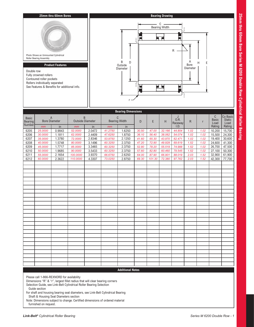

|                                          | <b>Bearing Dimensions</b> |                      |          |                              |         |                                     |       |        |        |                      |              |              |                           |                                   |
|------------------------------------------|---------------------------|----------------------|----------|------------------------------|---------|-------------------------------------|-------|--------|--------|----------------------|--------------|--------------|---------------------------|-----------------------------------|
| <b>Basic</b><br><b>Bearing</b><br>Number | $\overline{A}$            | <b>Bore Diameter</b> |          | B<br><b>Outside Diameter</b> |         | $\mathsf C$<br><b>Bearing Width</b> | D     | E      | H      | J<br>0.R.<br>Raceway | $\mathsf{R}$ | $\mathsf{r}$ | C<br><b>Basic</b><br>Load | Co Basic<br><b>Static</b><br>Load |
|                                          | mm                        | in                   | mm       | in                           | mm      | in                                  |       |        |        | I.D.                 |              |              | Rating                    | Rating                            |
| 6205                                     | 25.0000                   | 0.9843               | 52.0000  | 2.0472                       | 41.2750 | 1.6250                              | 30.50 | 47.00  | 32.166 | 44.854               | 1.02         | 1.02         | 10,200                    | 15,700                            |
| 6206                                     | 30.0000                   | 1.1811               | 62.0000  | 2.4409                       | 47.6250 | 1.8750                              | 36.10 | 56.40  | 38.062 | 54.074               | 1.02         | 1.02         | 15,500                    | 24,300                            |
| 6207                                     | 35.0000                   | 1.3780               | 72.0000  | 2.8346                       | 53.9750 | 2.1250                              | 41.60 | 65.30  | 43.970 | 62.471               | 1.02         | 1.02         | 19,400                    | 30,600                            |
| 6208                                     | 40.0000                   | 1.5748               | 80.0000  | 3.1496                       | 60.3250 | 2.3750                              | 47.20 | 72.90  | 49.929 | 69.619               | 1.52         | 1.02         | 24,600                    | 41,300                            |
| 6209                                     | 45.0000                   | 1.7717               | 85.0000  | 3.3465                       | 60.3250 | 2.3750                              | 52.80 | 78.20  | 55.519 | 74.988               | 1.52         | 1.02         | 26,700                    | 47,500                            |
| 6210                                     | 50.0000                   | 1.9685               | 90.0000  | 3.5433                       | 60.3250 | 2.3750                              | 57.60 | 82.80  | 60.460 | 79.545               | 1.52         | 1.02         | 27,100                    | 50,300                            |
| 6211                                     | 55.0000                   | 2.1654               | 100.0000 | 3.9370                       | 66.6750 | 2.6250                              | 64.00 | 87.90  | 66.901 | 88.019               | 2.03         | 1.52         | 32,900                    | 61,900                            |
| 6212                                     | 60.0000                   | 2.3622               | 110.0000 | 4.3307                       | 73.0250 | 2.8750                              | 69.30 | 101.30 | 72.380 | 97.762               | 2.03         | 1.52         | 42,300                    | 77,700                            |
|                                          |                           |                      |          |                              |         |                                     |       |        |        |                      |              |              |                           |                                   |
|                                          |                           |                      |          |                              |         |                                     |       |        |        |                      |              |              |                           |                                   |
|                                          |                           |                      |          |                              |         |                                     |       |        |        |                      |              |              |                           |                                   |
|                                          |                           |                      |          |                              |         |                                     |       |        |        |                      |              |              |                           |                                   |
|                                          |                           |                      |          |                              |         |                                     |       |        |        |                      |              |              |                           |                                   |
|                                          |                           |                      |          |                              |         |                                     |       |        |        |                      |              |              |                           |                                   |
|                                          |                           |                      |          |                              |         |                                     |       |        |        |                      |              |              |                           |                                   |
|                                          |                           |                      |          |                              |         |                                     |       |        |        |                      |              |              |                           |                                   |
|                                          |                           |                      |          |                              |         |                                     |       |        |        |                      |              |              |                           |                                   |
|                                          |                           |                      |          |                              |         |                                     |       |        |        |                      |              |              |                           |                                   |
|                                          |                           |                      |          |                              |         |                                     |       |        |        |                      |              |              |                           |                                   |
|                                          |                           |                      |          |                              |         |                                     |       |        |        |                      |              |              |                           |                                   |
|                                          |                           |                      |          |                              |         |                                     |       |        |        |                      |              |              |                           |                                   |
|                                          |                           |                      |          |                              |         |                                     |       |        |        |                      |              |              |                           |                                   |
|                                          |                           |                      |          |                              |         |                                     |       |        |        |                      |              |              |                           |                                   |
|                                          |                           |                      |          |                              |         |                                     |       |        |        |                      |              |              |                           |                                   |
|                                          |                           |                      |          |                              |         |                                     |       |        |        |                      |              |              |                           |                                   |
|                                          |                           |                      |          |                              |         |                                     |       |        |        |                      |              |              |                           |                                   |
|                                          |                           |                      |          |                              |         |                                     |       |        |        |                      |              |              |                           |                                   |
|                                          |                           |                      |          |                              |         |                                     |       |        |        |                      |              |              |                           |                                   |
|                                          |                           |                      |          |                              |         |                                     |       |        |        |                      |              |              |                           |                                   |
|                                          |                           |                      |          |                              |         |                                     |       |        |        |                      |              |              |                           |                                   |
|                                          |                           |                      |          |                              |         |                                     |       |        |        |                      |              |              |                           |                                   |
|                                          |                           |                      |          |                              |         |                                     |       |        |        |                      |              |              |                           |                                   |
|                                          |                           |                      |          |                              |         |                                     |       |        |        |                      |              |              |                           |                                   |
|                                          |                           |                      |          |                              |         | Additional Max                      |       |        |        |                      |              |              |                           |                                   |

Please call 1-866-REXNORD for availability

Dimensions "R" & "r", largest fillet radius that will clear bearing corners Selection Guide, see Link-Belt Cylindrical Roller Bearing Selection

Guide section

For shaft and housing bearing seat diameters, see Link-Belt Cylindrical Bearing Shaft & Housing Seat Diameters section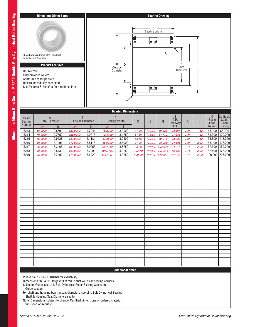

Please call 1-866-REXNORD for availability

Dimensions "R" & "r", largest fillet radius that will clear bearing corners

Selection Guide, see Link-Belt Cylindrical Roller Bearing Selection Guide section

For shaft and housing bearing seat diameters, see Link-Belt Cylindrical Bearing Shaft & Housing Seat Diameters section